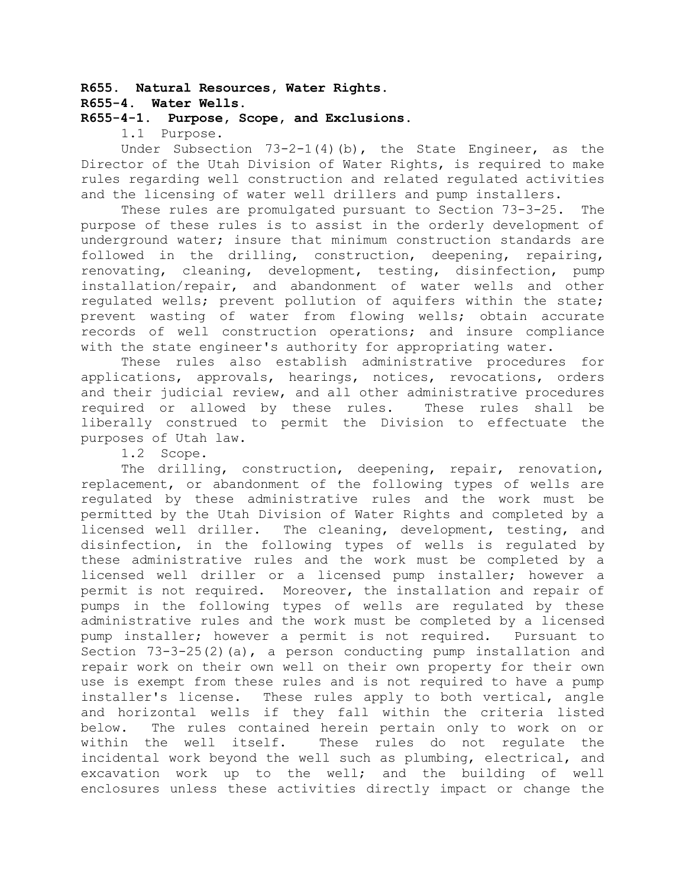# **R655. Natural Resources, Water Rights.**

## **R655-4. Water Wells.**

## **R655-4-1. Purpose, Scope, and Exclusions.**

1.1 Purpose.

Under Subsection  $73-2-1(4)(b)$ , the State Engineer, as the Director of the Utah Division of Water Rights, is required to make rules regarding well construction and related regulated activities and the licensing of water well drillers and pump installers.

These rules are promulgated pursuant to Section 73-3-25. The purpose of these rules is to assist in the orderly development of underground water; insure that minimum construction standards are followed in the drilling, construction, deepening, repairing, renovating, cleaning, development, testing, disinfection, pump installation/repair, and abandonment of water wells and other regulated wells; prevent pollution of aquifers within the state; prevent wasting of water from flowing wells; obtain accurate records of well construction operations; and insure compliance with the state engineer's authority for appropriating water.

These rules also establish administrative procedures for applications, approvals, hearings, notices, revocations, orders and their judicial review, and all other administrative procedures required or allowed by these rules. These rules shall be liberally construed to permit the Division to effectuate the purposes of Utah law.

1.2 Scope.

The drilling, construction, deepening, repair, renovation, replacement, or abandonment of the following types of wells are regulated by these administrative rules and the work must be permitted by the Utah Division of Water Rights and completed by a licensed well driller. The cleaning, development, testing, and disinfection, in the following types of wells is regulated by these administrative rules and the work must be completed by a licensed well driller or a licensed pump installer; however a permit is not required. Moreover, the installation and repair of pumps in the following types of wells are regulated by these administrative rules and the work must be completed by a licensed pump installer; however a permit is not required. Pursuant to Section  $73-3-25(2)(a)$ , a person conducting pump installation and repair work on their own well on their own property for their own use is exempt from these rules and is not required to have a pump installer's license. These rules apply to both vertical, angle and horizontal wells if they fall within the criteria listed below. The rules contained herein pertain only to work on or within the well itself. These rules do not regulate the incidental work beyond the well such as plumbing, electrical, and excavation work up to the well; and the building of well enclosures unless these activities directly impact or change the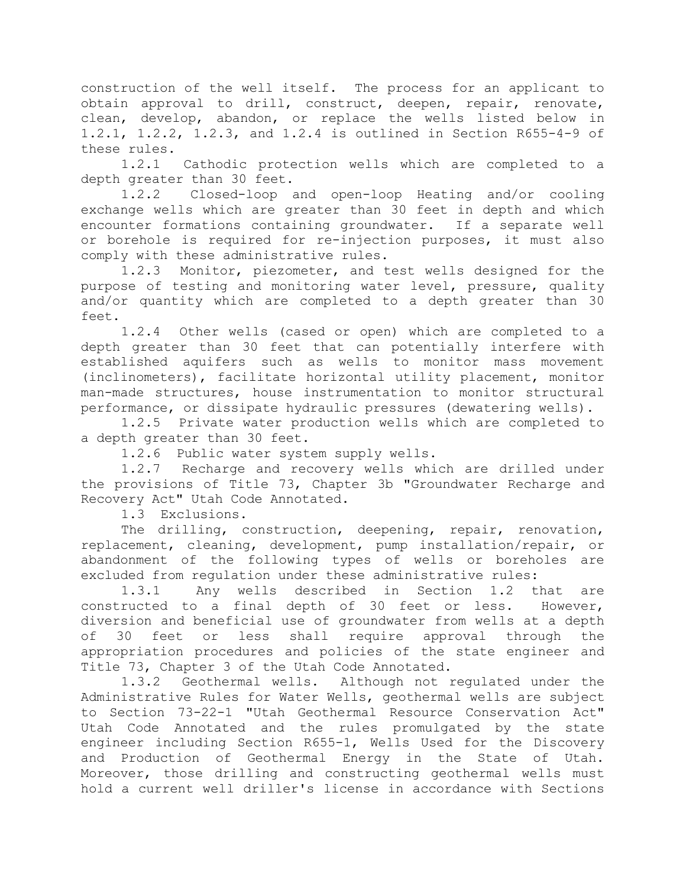construction of the well itself. The process for an applicant to obtain approval to drill, construct, deepen, repair, renovate, clean, develop, abandon, or replace the wells listed below in 1.2.1, 1.2.2, 1.2.3, and 1.2.4 is outlined in Section R655-4-9 of these rules.

1.2.1 Cathodic protection wells which are completed to a depth greater than 30 feet.

1.2.2 Closed-loop and open-loop Heating and/or cooling exchange wells which are greater than 30 feet in depth and which encounter formations containing groundwater. If a separate well or borehole is required for re-injection purposes, it must also comply with these administrative rules.

1.2.3 Monitor, piezometer, and test wells designed for the purpose of testing and monitoring water level, pressure, quality and/or quantity which are completed to a depth greater than 30 feet.

1.2.4 Other wells (cased or open) which are completed to a depth greater than 30 feet that can potentially interfere with established aquifers such as wells to monitor mass movement (inclinometers), facilitate horizontal utility placement, monitor man-made structures, house instrumentation to monitor structural performance, or dissipate hydraulic pressures (dewatering wells).

1.2.5 Private water production wells which are completed to a depth greater than 30 feet.

1.2.6 Public water system supply wells.

1.2.7 Recharge and recovery wells which are drilled under the provisions of Title 73, Chapter 3b "Groundwater Recharge and Recovery Act" Utah Code Annotated.

1.3 Exclusions.

The drilling, construction, deepening, repair, renovation, replacement, cleaning, development, pump installation/repair, or abandonment of the following types of wells or boreholes are excluded from regulation under these administrative rules:

1.3.1 Any wells described in Section 1.2 that are constructed to a final depth of 30 feet or less. However, diversion and beneficial use of groundwater from wells at a depth of 30 feet or less shall require approval through the appropriation procedures and policies of the state engineer and Title 73, Chapter 3 of the Utah Code Annotated.

1.3.2 Geothermal wells. Although not regulated under the Administrative Rules for Water Wells, geothermal wells are subject to Section 73-22-1 "Utah Geothermal Resource Conservation Act" Utah Code Annotated and the rules promulgated by the state engineer including Section R655-1, Wells Used for the Discovery and Production of Geothermal Energy in the State of Utah. Moreover, those drilling and constructing geothermal wells must hold a current well driller's license in accordance with Sections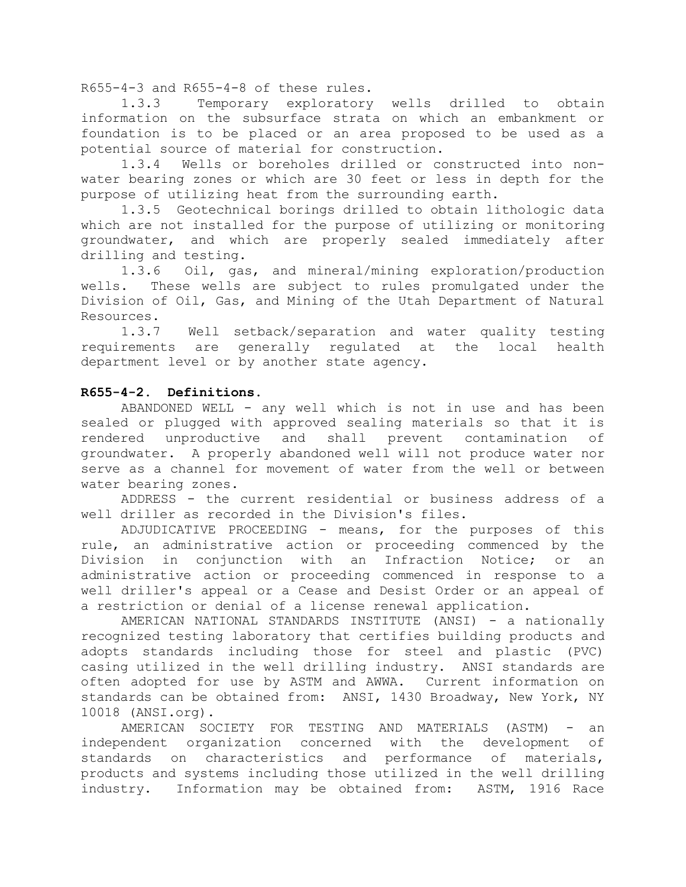R655-4-3 and R655-4-8 of these rules.

1.3.3 Temporary exploratory wells drilled to obtain information on the subsurface strata on which an embankment or foundation is to be placed or an area proposed to be used as a potential source of material for construction.

1.3.4 Wells or boreholes drilled or constructed into nonwater bearing zones or which are 30 feet or less in depth for the purpose of utilizing heat from the surrounding earth.

1.3.5 Geotechnical borings drilled to obtain lithologic data which are not installed for the purpose of utilizing or monitoring groundwater, and which are properly sealed immediately after drilling and testing.

1.3.6 Oil, gas, and mineral/mining exploration/production wells. These wells are subject to rules promulgated under the Division of Oil, Gas, and Mining of the Utah Department of Natural Resources.

1.3.7 Well setback/separation and water quality testing requirements are generally regulated at the local health department level or by another state agency.

### **R655-4-2. Definitions.**

ABANDONED WELL - any well which is not in use and has been sealed or plugged with approved sealing materials so that it is rendered unproductive and shall prevent contamination of groundwater. A properly abandoned well will not produce water nor serve as a channel for movement of water from the well or between water bearing zones.

ADDRESS - the current residential or business address of a well driller as recorded in the Division's files.

ADJUDICATIVE PROCEEDING - means, for the purposes of this rule, an administrative action or proceeding commenced by the Division in conjunction with an Infraction Notice; or an administrative action or proceeding commenced in response to a well driller's appeal or a Cease and Desist Order or an appeal of a restriction or denial of a license renewal application.

AMERICAN NATIONAL STANDARDS INSTITUTE (ANSI) - a nationally recognized testing laboratory that certifies building products and adopts standards including those for steel and plastic (PVC) casing utilized in the well drilling industry. ANSI standards are often adopted for use by ASTM and AWWA. Current information on standards can be obtained from: ANSI, 1430 Broadway, New York, NY 10018 (ANSI.org).

AMERICAN SOCIETY FOR TESTING AND MATERIALS (ASTM) - an independent organization concerned with the development of standards on characteristics and performance of materials, products and systems including those utilized in the well drilling industry. Information may be obtained from: ASTM, 1916 Race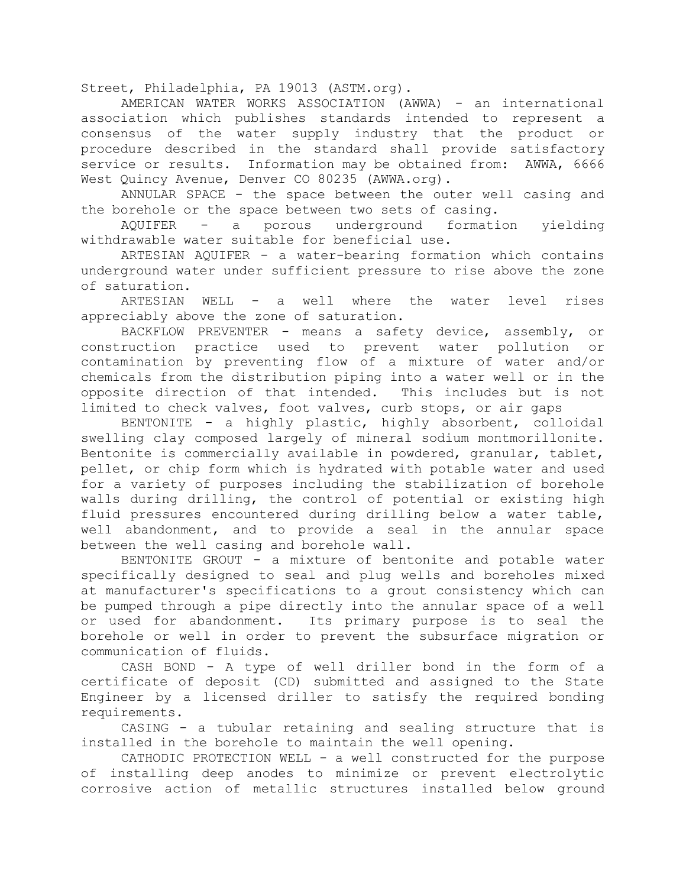Street, Philadelphia, PA 19013 (ASTM.org).

AMERICAN WATER WORKS ASSOCIATION (AWWA) - an international association which publishes standards intended to represent a consensus of the water supply industry that the product or procedure described in the standard shall provide satisfactory service or results. Information may be obtained from: AWWA, 6666 West Quincy Avenue, Denver CO 80235 (AWWA.org).

ANNULAR SPACE - the space between the outer well casing and the borehole or the space between two sets of casing.

AQUIFER - a porous underground formation yielding withdrawable water suitable for beneficial use.

ARTESIAN AQUIFER - a water-bearing formation which contains underground water under sufficient pressure to rise above the zone of saturation.

ARTESIAN WELL - a well where the water level rises appreciably above the zone of saturation.

BACKFLOW PREVENTER - means a safety device, assembly, or construction practice used to prevent water pollution or contamination by preventing flow of a mixture of water and/or chemicals from the distribution piping into a water well or in the opposite direction of that intended. This includes but is not limited to check valves, foot valves, curb stops, or air gaps

BENTONITE - a highly plastic, highly absorbent, colloidal swelling clay composed largely of mineral sodium montmorillonite. Bentonite is commercially available in powdered, granular, tablet, pellet, or chip form which is hydrated with potable water and used for a variety of purposes including the stabilization of borehole walls during drilling, the control of potential or existing high fluid pressures encountered during drilling below a water table, well abandonment, and to provide a seal in the annular space between the well casing and borehole wall.

BENTONITE GROUT - a mixture of bentonite and potable water specifically designed to seal and plug wells and boreholes mixed at manufacturer's specifications to a grout consistency which can be pumped through a pipe directly into the annular space of a well or used for abandonment. Its primary purpose is to seal the borehole or well in order to prevent the subsurface migration or communication of fluids.

CASH BOND - A type of well driller bond in the form of a certificate of deposit (CD) submitted and assigned to the State Engineer by a licensed driller to satisfy the required bonding requirements.

CASING - a tubular retaining and sealing structure that is installed in the borehole to maintain the well opening.

CATHODIC PROTECTION WELL - a well constructed for the purpose of installing deep anodes to minimize or prevent electrolytic corrosive action of metallic structures installed below ground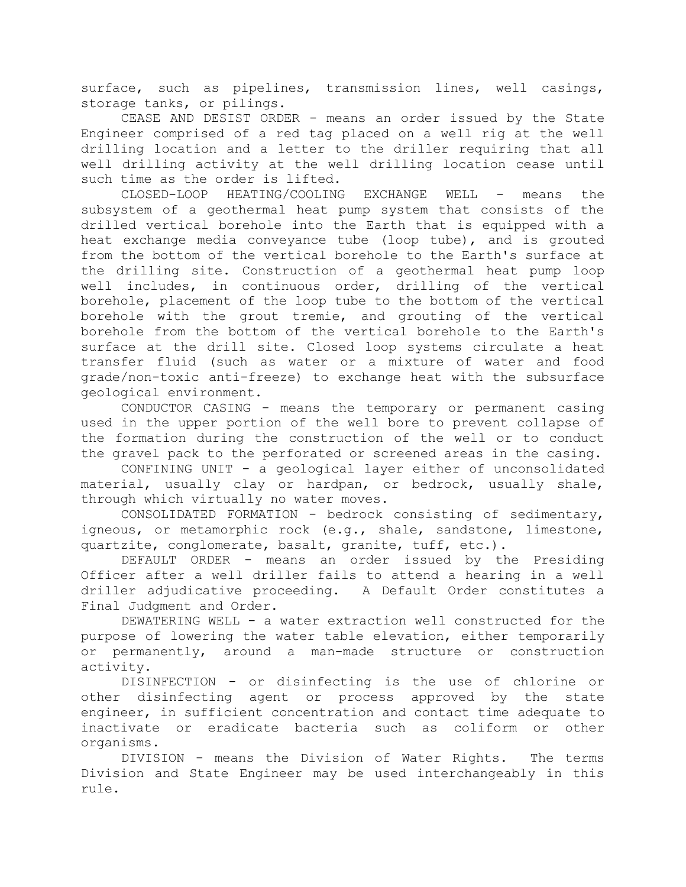surface, such as pipelines, transmission lines, well casings, storage tanks, or pilings.

CEASE AND DESIST ORDER - means an order issued by the State Engineer comprised of a red tag placed on a well rig at the well drilling location and a letter to the driller requiring that all well drilling activity at the well drilling location cease until such time as the order is lifted.

CLOSED-LOOP HEATING/COOLING EXCHANGE WELL - means the subsystem of a geothermal heat pump system that consists of the drilled vertical borehole into the Earth that is equipped with a heat exchange media conveyance tube (loop tube), and is grouted from the bottom of the vertical borehole to the Earth's surface at the drilling site. Construction of a geothermal heat pump loop well includes, in continuous order, drilling of the vertical borehole, placement of the loop tube to the bottom of the vertical borehole with the grout tremie, and grouting of the vertical borehole from the bottom of the vertical borehole to the Earth's surface at the drill site. Closed loop systems circulate a heat transfer fluid (such as water or a mixture of water and food grade/non-toxic anti-freeze) to exchange heat with the subsurface geological environment.

CONDUCTOR CASING - means the temporary or permanent casing used in the upper portion of the well bore to prevent collapse of the formation during the construction of the well or to conduct the gravel pack to the perforated or screened areas in the casing.

CONFINING UNIT - a geological layer either of unconsolidated material, usually clay or hardpan, or bedrock, usually shale, through which virtually no water moves.

CONSOLIDATED FORMATION - bedrock consisting of sedimentary, igneous, or metamorphic rock (e.g., shale, sandstone, limestone, quartzite, conglomerate, basalt, granite, tuff, etc.).

DEFAULT ORDER - means an order issued by the Presiding Officer after a well driller fails to attend a hearing in a well driller adjudicative proceeding. A Default Order constitutes a Final Judgment and Order.

DEWATERING WELL - a water extraction well constructed for the purpose of lowering the water table elevation, either temporarily or permanently, around a man-made structure or construction activity.

DISINFECTION - or disinfecting is the use of chlorine or other disinfecting agent or process approved by the state engineer, in sufficient concentration and contact time adequate to inactivate or eradicate bacteria such as coliform or other organisms.

DIVISION - means the Division of Water Rights. The terms Division and State Engineer may be used interchangeably in this rule.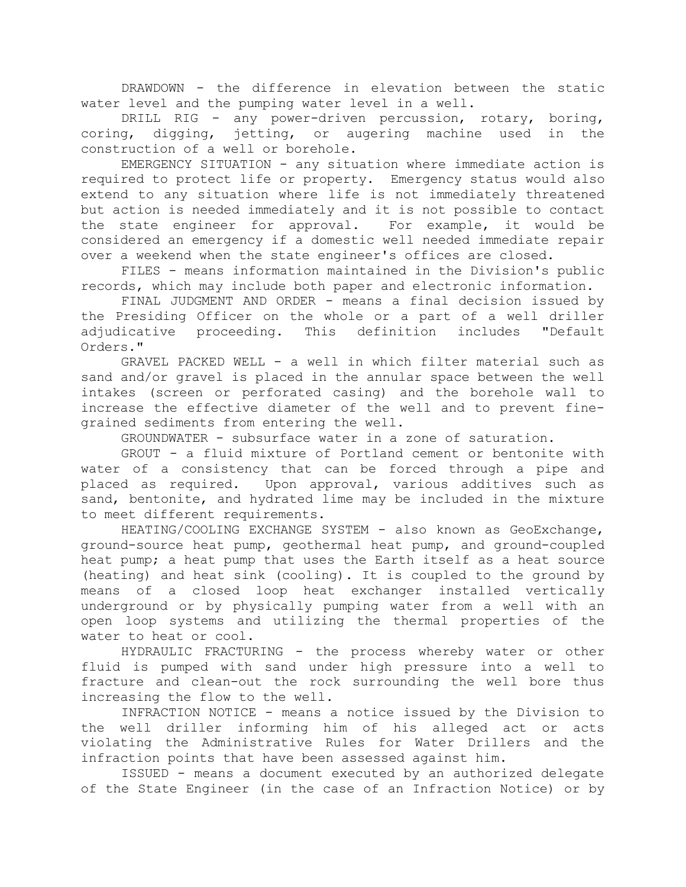DRAWDOWN - the difference in elevation between the static water level and the pumping water level in a well.

DRILL RIG - any power-driven percussion, rotary, boring, coring, digging, jetting, or augering machine used in the construction of a well or borehole.

EMERGENCY SITUATION - any situation where immediate action is required to protect life or property. Emergency status would also extend to any situation where life is not immediately threatened but action is needed immediately and it is not possible to contact the state engineer for approval. For example, it would be considered an emergency if a domestic well needed immediate repair over a weekend when the state engineer's offices are closed.

FILES - means information maintained in the Division's public records, which may include both paper and electronic information.

FINAL JUDGMENT AND ORDER - means a final decision issued by the Presiding Officer on the whole or a part of a well driller adjudicative proceeding. This definition includes "Default Orders."

GRAVEL PACKED WELL - a well in which filter material such as sand and/or gravel is placed in the annular space between the well intakes (screen or perforated casing) and the borehole wall to increase the effective diameter of the well and to prevent finegrained sediments from entering the well.

GROUNDWATER - subsurface water in a zone of saturation.

GROUT - a fluid mixture of Portland cement or bentonite with water of a consistency that can be forced through a pipe and placed as required. Upon approval, various additives such as sand, bentonite, and hydrated lime may be included in the mixture to meet different requirements.

HEATING/COOLING EXCHANGE SYSTEM - also known as GeoExchange, ground-source heat pump, geothermal heat pump, and ground-coupled heat pump; a heat pump that uses the Earth itself as a heat source (heating) and heat sink (cooling). It is coupled to the ground by means of a closed loop heat exchanger installed vertically underground or by physically pumping water from a well with an open loop systems and utilizing the thermal properties of the water to heat or cool.

HYDRAULIC FRACTURING - the process whereby water or other fluid is pumped with sand under high pressure into a well to fracture and clean-out the rock surrounding the well bore thus increasing the flow to the well.

INFRACTION NOTICE - means a notice issued by the Division to the well driller informing him of his alleged act or acts violating the Administrative Rules for Water Drillers and the infraction points that have been assessed against him.

ISSUED - means a document executed by an authorized delegate of the State Engineer (in the case of an Infraction Notice) or by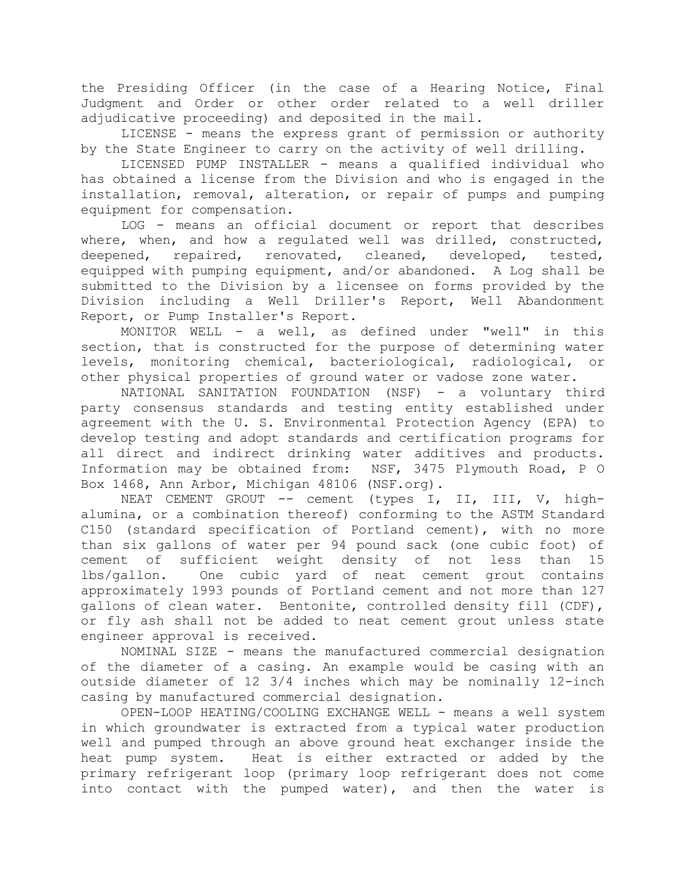the Presiding Officer (in the case of a Hearing Notice, Final Judgment and Order or other order related to a well driller adjudicative proceeding) and deposited in the mail.

LICENSE - means the express grant of permission or authority by the State Engineer to carry on the activity of well drilling.

LICENSED PUMP INSTALLER - means a qualified individual who has obtained a license from the Division and who is engaged in the installation, removal, alteration, or repair of pumps and pumping equipment for compensation.

LOG - means an official document or report that describes where, when, and how a regulated well was drilled, constructed, deepened, repaired, renovated, cleaned, developed, tested, equipped with pumping equipment, and/or abandoned. A Log shall be submitted to the Division by a licensee on forms provided by the Division including a Well Driller's Report, Well Abandonment Report, or Pump Installer's Report.

MONITOR WELL - a well, as defined under "well" in this section, that is constructed for the purpose of determining water levels, monitoring chemical, bacteriological, radiological, or other physical properties of ground water or vadose zone water.

NATIONAL SANITATION FOUNDATION (NSF) - a voluntary third party consensus standards and testing entity established under agreement with the U. S. Environmental Protection Agency (EPA) to develop testing and adopt standards and certification programs for all direct and indirect drinking water additives and products. Information may be obtained from: NSF, 3475 Plymouth Road, P O Box 1468, Ann Arbor, Michigan 48106 (NSF.org).

NEAT CEMENT GROUT -- cement (types I, II, III, V, highalumina, or a combination thereof) conforming to the ASTM Standard C150 (standard specification of Portland cement), with no more than six gallons of water per 94 pound sack (one cubic foot) of cement of sufficient weight density of not less than 15 lbs/gallon. One cubic yard of neat cement grout contains approximately 1993 pounds of Portland cement and not more than 127 gallons of clean water. Bentonite, controlled density fill (CDF), or fly ash shall not be added to neat cement grout unless state engineer approval is received.

NOMINAL SIZE - means the manufactured commercial designation of the diameter of a casing. An example would be casing with an outside diameter of 12 3/4 inches which may be nominally 12-inch casing by manufactured commercial designation.

OPEN-LOOP HEATING/COOLING EXCHANGE WELL - means a well system in which groundwater is extracted from a typical water production well and pumped through an above ground heat exchanger inside the heat pump system. Heat is either extracted or added by the primary refrigerant loop (primary loop refrigerant does not come into contact with the pumped water), and then the water is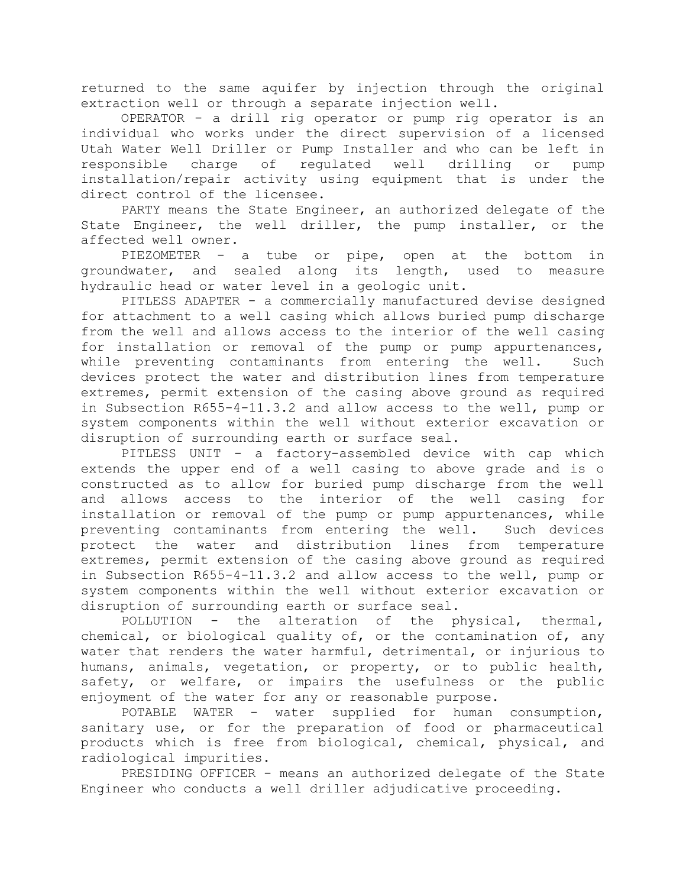returned to the same aquifer by injection through the original extraction well or through a separate injection well.

OPERATOR - a drill rig operator or pump rig operator is an individual who works under the direct supervision of a licensed Utah Water Well Driller or Pump Installer and who can be left in responsible charge of regulated well drilling or pump installation/repair activity using equipment that is under the direct control of the licensee.

PARTY means the State Engineer, an authorized delegate of the State Engineer, the well driller, the pump installer, or the affected well owner.

PIEZOMETER - a tube or pipe, open at the bottom in groundwater, and sealed along its length, used to measure hydraulic head or water level in a geologic unit.

PITLESS ADAPTER - a commercially manufactured devise designed for attachment to a well casing which allows buried pump discharge from the well and allows access to the interior of the well casing for installation or removal of the pump or pump appurtenances, while preventing contaminants from entering the well. Such devices protect the water and distribution lines from temperature extremes, permit extension of the casing above ground as required in Subsection R655-4-11.3.2 and allow access to the well, pump or system components within the well without exterior excavation or disruption of surrounding earth or surface seal.

PITLESS UNIT - a factory-assembled device with cap which extends the upper end of a well casing to above grade and is o constructed as to allow for buried pump discharge from the well and allows access to the interior of the well casing for installation or removal of the pump or pump appurtenances, while preventing contaminants from entering the well. Such devices protect the water and distribution lines from temperature extremes, permit extension of the casing above ground as required in Subsection R655-4-11.3.2 and allow access to the well, pump or system components within the well without exterior excavation or disruption of surrounding earth or surface seal.

POLLUTION - the alteration of the physical, thermal, chemical, or biological quality of, or the contamination of, any water that renders the water harmful, detrimental, or injurious to humans, animals, vegetation, or property, or to public health, safety, or welfare, or impairs the usefulness or the public enjoyment of the water for any or reasonable purpose.

POTABLE WATER - water supplied for human consumption, sanitary use, or for the preparation of food or pharmaceutical products which is free from biological, chemical, physical, and radiological impurities.

PRESIDING OFFICER - means an authorized delegate of the State Engineer who conducts a well driller adjudicative proceeding.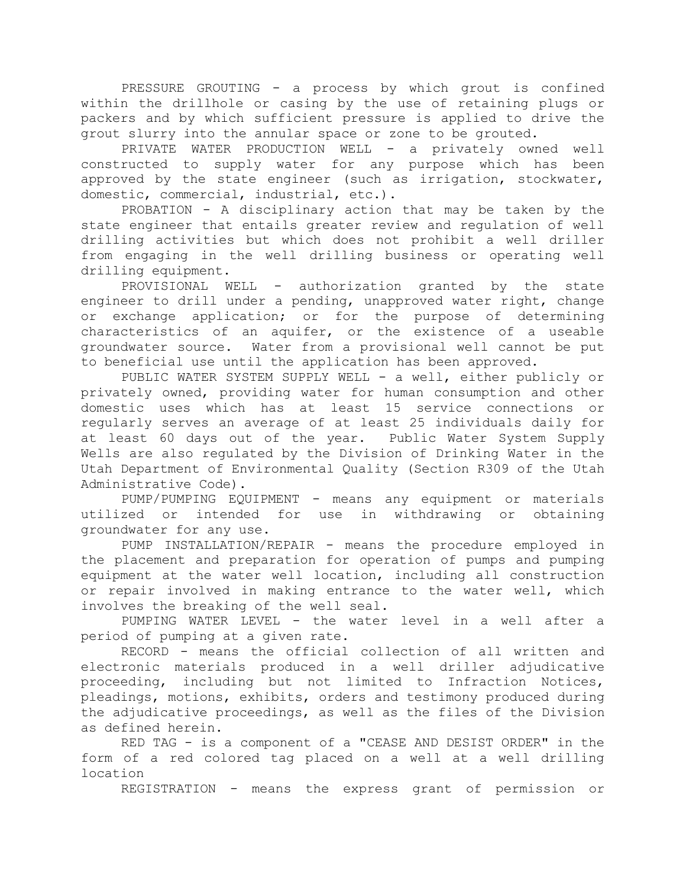PRESSURE GROUTING - a process by which grout is confined within the drillhole or casing by the use of retaining plugs or packers and by which sufficient pressure is applied to drive the grout slurry into the annular space or zone to be grouted.

PRIVATE WATER PRODUCTION WELL - a privately owned well constructed to supply water for any purpose which has been approved by the state engineer (such as irrigation, stockwater, domestic, commercial, industrial, etc.).

PROBATION - A disciplinary action that may be taken by the state engineer that entails greater review and regulation of well drilling activities but which does not prohibit a well driller from engaging in the well drilling business or operating well drilling equipment.

PROVISIONAL WELL - authorization granted by the state engineer to drill under a pending, unapproved water right, change or exchange application; or for the purpose of determining characteristics of an aquifer, or the existence of a useable groundwater source. Water from a provisional well cannot be put to beneficial use until the application has been approved.

PUBLIC WATER SYSTEM SUPPLY WELL - a well, either publicly or privately owned, providing water for human consumption and other domestic uses which has at least 15 service connections or regularly serves an average of at least 25 individuals daily for at least 60 days out of the year. Public Water System Supply Wells are also regulated by the Division of Drinking Water in the Utah Department of Environmental Quality (Section R309 of the Utah Administrative Code).

PUMP/PUMPING EQUIPMENT - means any equipment or materials utilized or intended for use in withdrawing or obtaining groundwater for any use.

PUMP INSTALLATION/REPAIR - means the procedure employed in the placement and preparation for operation of pumps and pumping equipment at the water well location, including all construction or repair involved in making entrance to the water well, which involves the breaking of the well seal.

PUMPING WATER LEVEL - the water level in a well after a period of pumping at a given rate.

RECORD - means the official collection of all written and electronic materials produced in a well driller adjudicative proceeding, including but not limited to Infraction Notices, pleadings, motions, exhibits, orders and testimony produced during the adjudicative proceedings, as well as the files of the Division as defined herein.

RED TAG - is a component of a "CEASE AND DESIST ORDER" in the form of a red colored tag placed on a well at a well drilling location

REGISTRATION - means the express grant of permission or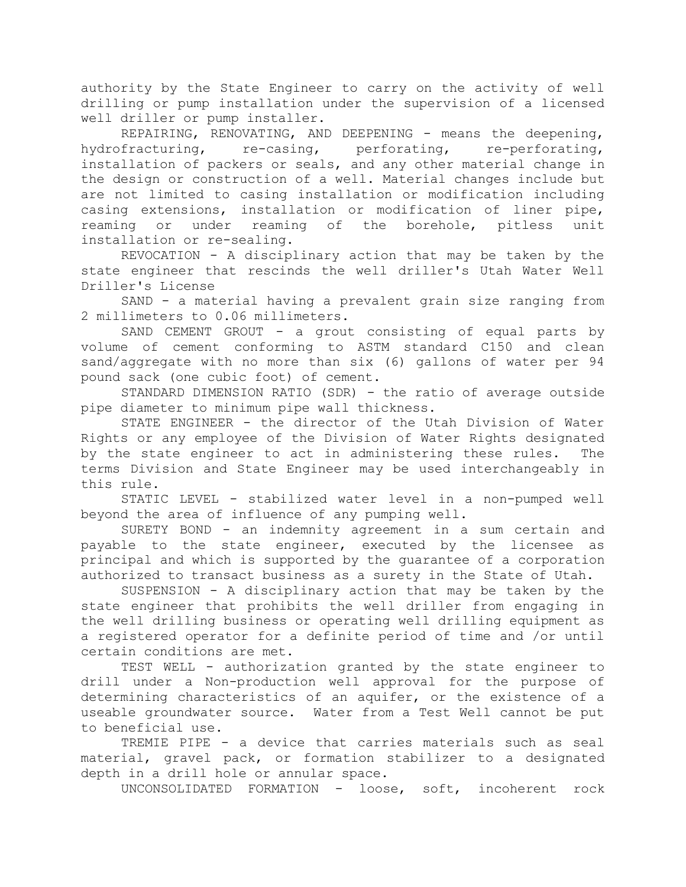authority by the State Engineer to carry on the activity of well drilling or pump installation under the supervision of a licensed well driller or pump installer.

REPAIRING, RENOVATING, AND DEEPENING - means the deepening, hydrofracturing, re-casing, perforating, re-perforating, installation of packers or seals, and any other material change in the design or construction of a well. Material changes include but are not limited to casing installation or modification including casing extensions, installation or modification of liner pipe, reaming or under reaming of the borehole, pitless unit installation or re-sealing.

REVOCATION - A disciplinary action that may be taken by the state engineer that rescinds the well driller's Utah Water Well Driller's License

SAND - a material having a prevalent grain size ranging from 2 millimeters to 0.06 millimeters.

SAND CEMENT GROUT - a grout consisting of equal parts by volume of cement conforming to ASTM standard C150 and clean sand/aggregate with no more than six (6) gallons of water per 94 pound sack (one cubic foot) of cement.

STANDARD DIMENSION RATIO (SDR) - the ratio of average outside pipe diameter to minimum pipe wall thickness.

STATE ENGINEER - the director of the Utah Division of Water Rights or any employee of the Division of Water Rights designated by the state engineer to act in administering these rules. The terms Division and State Engineer may be used interchangeably in this rule.

STATIC LEVEL - stabilized water level in a non-pumped well beyond the area of influence of any pumping well.

SURETY BOND - an indemnity agreement in a sum certain and payable to the state engineer, executed by the licensee as principal and which is supported by the guarantee of a corporation authorized to transact business as a surety in the State of Utah.

SUSPENSION - A disciplinary action that may be taken by the state engineer that prohibits the well driller from engaging in the well drilling business or operating well drilling equipment as a registered operator for a definite period of time and /or until certain conditions are met.

TEST WELL - authorization granted by the state engineer to drill under a Non-production well approval for the purpose of determining characteristics of an aquifer, or the existence of a useable groundwater source. Water from a Test Well cannot be put to beneficial use.

TREMIE PIPE - a device that carries materials such as seal material, gravel pack, or formation stabilizer to a designated depth in a drill hole or annular space.

UNCONSOLIDATED FORMATION - loose, soft, incoherent rock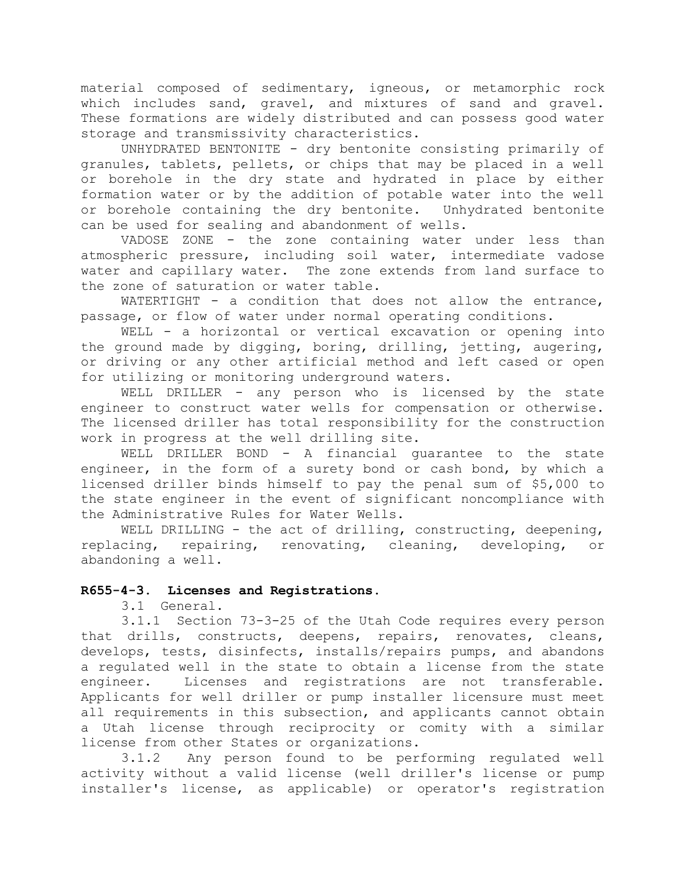material composed of sedimentary, igneous, or metamorphic rock which includes sand, gravel, and mixtures of sand and gravel. These formations are widely distributed and can possess good water storage and transmissivity characteristics.

UNHYDRATED BENTONITE - dry bentonite consisting primarily of granules, tablets, pellets, or chips that may be placed in a well or borehole in the dry state and hydrated in place by either formation water or by the addition of potable water into the well or borehole containing the dry bentonite. Unhydrated bentonite can be used for sealing and abandonment of wells.

VADOSE ZONE - the zone containing water under less than atmospheric pressure, including soil water, intermediate vadose water and capillary water. The zone extends from land surface to the zone of saturation or water table.

WATERTIGHT - a condition that does not allow the entrance, passage, or flow of water under normal operating conditions.

WELL - a horizontal or vertical excavation or opening into the ground made by digging, boring, drilling, jetting, augering, or driving or any other artificial method and left cased or open for utilizing or monitoring underground waters.

WELL DRILLER - any person who is licensed by the state engineer to construct water wells for compensation or otherwise. The licensed driller has total responsibility for the construction work in progress at the well drilling site.

WELL DRILLER BOND - A financial guarantee to the state engineer, in the form of a surety bond or cash bond, by which a licensed driller binds himself to pay the penal sum of \$5,000 to the state engineer in the event of significant noncompliance with the Administrative Rules for Water Wells.

WELL DRILLING - the act of drilling, constructing, deepening, replacing, repairing, renovating, cleaning, developing, or abandoning a well.

### **R655-4-3. Licenses and Registrations.**

3.1 General.

3.1.1 Section 73-3-25 of the Utah Code requires every person that drills, constructs, deepens, repairs, renovates, cleans, develops, tests, disinfects, installs/repairs pumps, and abandons a regulated well in the state to obtain a license from the state engineer. Licenses and registrations are not transferable. Applicants for well driller or pump installer licensure must meet all requirements in this subsection, and applicants cannot obtain a Utah license through reciprocity or comity with a similar license from other States or organizations.

3.1.2 Any person found to be performing regulated well activity without a valid license (well driller's license or pump installer's license, as applicable) or operator's registration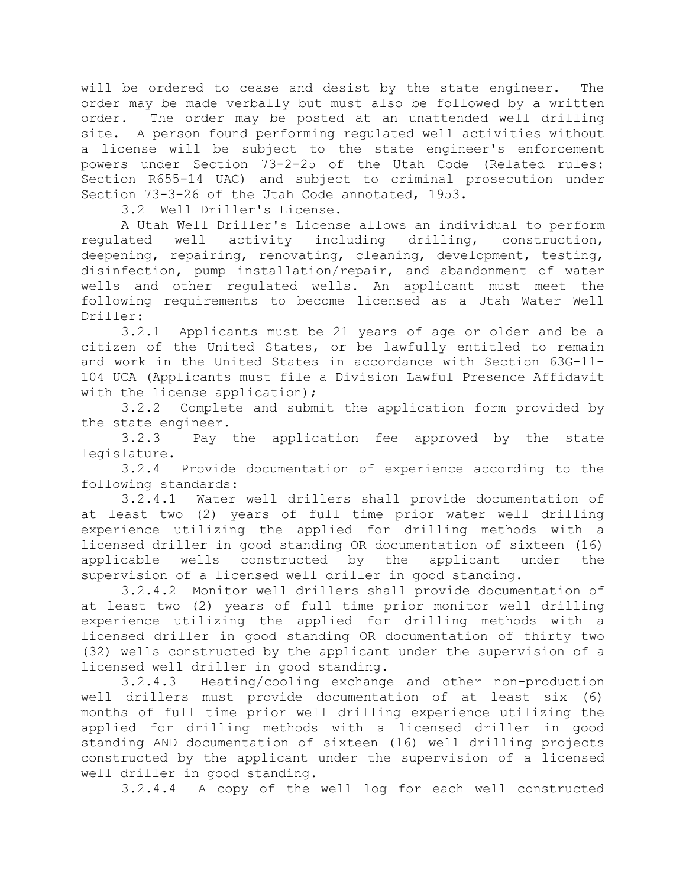will be ordered to cease and desist by the state engineer. The order may be made verbally but must also be followed by a written order. The order may be posted at an unattended well drilling site. A person found performing regulated well activities without a license will be subject to the state engineer's enforcement powers under Section 73-2-25 of the Utah Code (Related rules: Section R655-14 UAC) and subject to criminal prosecution under Section 73-3-26 of the Utah Code annotated, 1953.

3.2 Well Driller's License.

A Utah Well Driller's License allows an individual to perform regulated well activity including drilling, construction, deepening, repairing, renovating, cleaning, development, testing, disinfection, pump installation/repair, and abandonment of water wells and other regulated wells. An applicant must meet the following requirements to become licensed as a Utah Water Well Driller:

3.2.1 Applicants must be 21 years of age or older and be a citizen of the United States, or be lawfully entitled to remain and work in the United States in accordance with Section 63G-11- 104 UCA (Applicants must file a Division Lawful Presence Affidavit with the license application);

3.2.2 Complete and submit the application form provided by the state engineer.

3.2.3 Pay the application fee approved by the state legislature.

3.2.4 Provide documentation of experience according to the following standards:

3.2.4.1 Water well drillers shall provide documentation of at least two (2) years of full time prior water well drilling experience utilizing the applied for drilling methods with a licensed driller in good standing OR documentation of sixteen (16) applicable wells constructed by the applicant under the supervision of a licensed well driller in good standing.

3.2.4.2 Monitor well drillers shall provide documentation of at least two (2) years of full time prior monitor well drilling experience utilizing the applied for drilling methods with a licensed driller in good standing OR documentation of thirty two (32) wells constructed by the applicant under the supervision of a licensed well driller in good standing.

3.2.4.3 Heating/cooling exchange and other non-production well drillers must provide documentation of at least six (6) months of full time prior well drilling experience utilizing the applied for drilling methods with a licensed driller in good standing AND documentation of sixteen (16) well drilling projects constructed by the applicant under the supervision of a licensed well driller in good standing.

3.2.4.4 A copy of the well log for each well constructed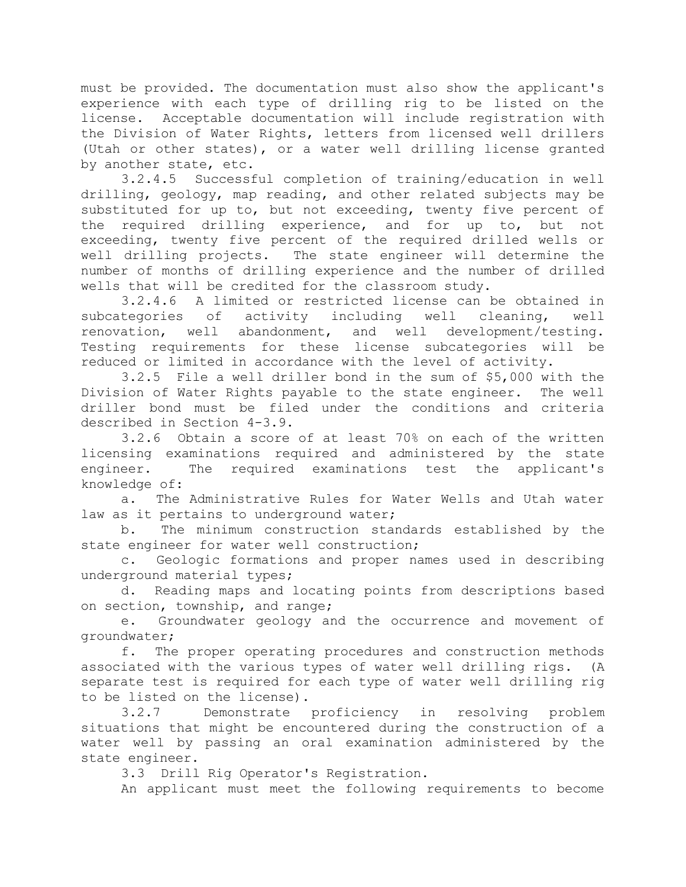must be provided. The documentation must also show the applicant's experience with each type of drilling rig to be listed on the license. Acceptable documentation will include registration with the Division of Water Rights, letters from licensed well drillers (Utah or other states), or a water well drilling license granted by another state, etc.

3.2.4.5 Successful completion of training/education in well drilling, geology, map reading, and other related subjects may be substituted for up to, but not exceeding, twenty five percent of the required drilling experience, and for up to, but not exceeding, twenty five percent of the required drilled wells or well drilling projects. The state engineer will determine the number of months of drilling experience and the number of drilled wells that will be credited for the classroom study.

3.2.4.6 A limited or restricted license can be obtained in subcategories of activity including well cleaning, well renovation, well abandonment, and well development/testing. Testing requirements for these license subcategories will be reduced or limited in accordance with the level of activity.

3.2.5 File a well driller bond in the sum of \$5,000 with the Division of Water Rights payable to the state engineer. The well driller bond must be filed under the conditions and criteria described in Section 4-3.9.

3.2.6 Obtain a score of at least 70% on each of the written licensing examinations required and administered by the state engineer. The required examinations test the applicant's knowledge of:

a. The Administrative Rules for Water Wells and Utah water law as it pertains to underground water;

b. The minimum construction standards established by the state engineer for water well construction;

c. Geologic formations and proper names used in describing underground material types;

d. Reading maps and locating points from descriptions based on section, township, and range;

e. Groundwater geology and the occurrence and movement of groundwater;

f. The proper operating procedures and construction methods associated with the various types of water well drilling rigs. (A separate test is required for each type of water well drilling rig to be listed on the license).

3.2.7 Demonstrate proficiency in resolving problem situations that might be encountered during the construction of a water well by passing an oral examination administered by the state engineer.

3.3 Drill Rig Operator's Registration.

An applicant must meet the following requirements to become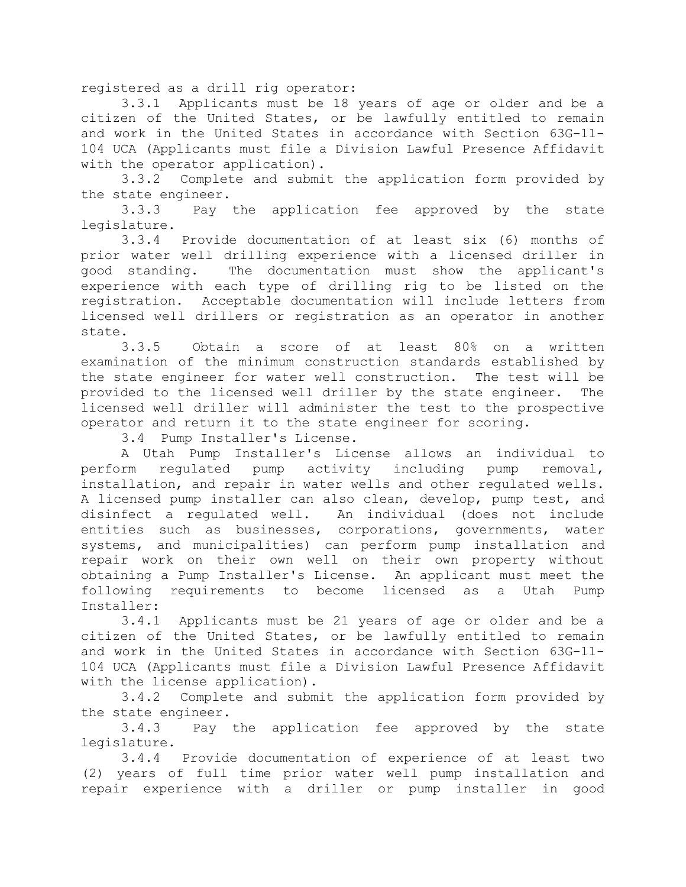registered as a drill rig operator:

3.3.1 Applicants must be 18 years of age or older and be a citizen of the United States, or be lawfully entitled to remain and work in the United States in accordance with Section 63G-11- 104 UCA (Applicants must file a Division Lawful Presence Affidavit with the operator application).

3.3.2 Complete and submit the application form provided by the state engineer.

3.3.3 Pay the application fee approved by the state legislature.

3.3.4 Provide documentation of at least six (6) months of prior water well drilling experience with a licensed driller in good standing. The documentation must show the applicant's experience with each type of drilling rig to be listed on the registration. Acceptable documentation will include letters from licensed well drillers or registration as an operator in another state.

3.3.5 Obtain a score of at least 80% on a written examination of the minimum construction standards established by the state engineer for water well construction. The test will be provided to the licensed well driller by the state engineer. The licensed well driller will administer the test to the prospective operator and return it to the state engineer for scoring.

3.4 Pump Installer's License.

A Utah Pump Installer's License allows an individual to perform regulated pump activity including pump removal, installation, and repair in water wells and other regulated wells. A licensed pump installer can also clean, develop, pump test, and disinfect a regulated well. An individual (does not include entities such as businesses, corporations, governments, water systems, and municipalities) can perform pump installation and repair work on their own well on their own property without obtaining a Pump Installer's License. An applicant must meet the following requirements to become licensed as a Utah Pump Installer:

3.4.1 Applicants must be 21 years of age or older and be a citizen of the United States, or be lawfully entitled to remain and work in the United States in accordance with Section 63G-11- 104 UCA (Applicants must file a Division Lawful Presence Affidavit with the license application).

3.4.2 Complete and submit the application form provided by the state engineer.

3.4.3 Pay the application fee approved by the state legislature.

3.4.4 Provide documentation of experience of at least two (2) years of full time prior water well pump installation and repair experience with a driller or pump installer in good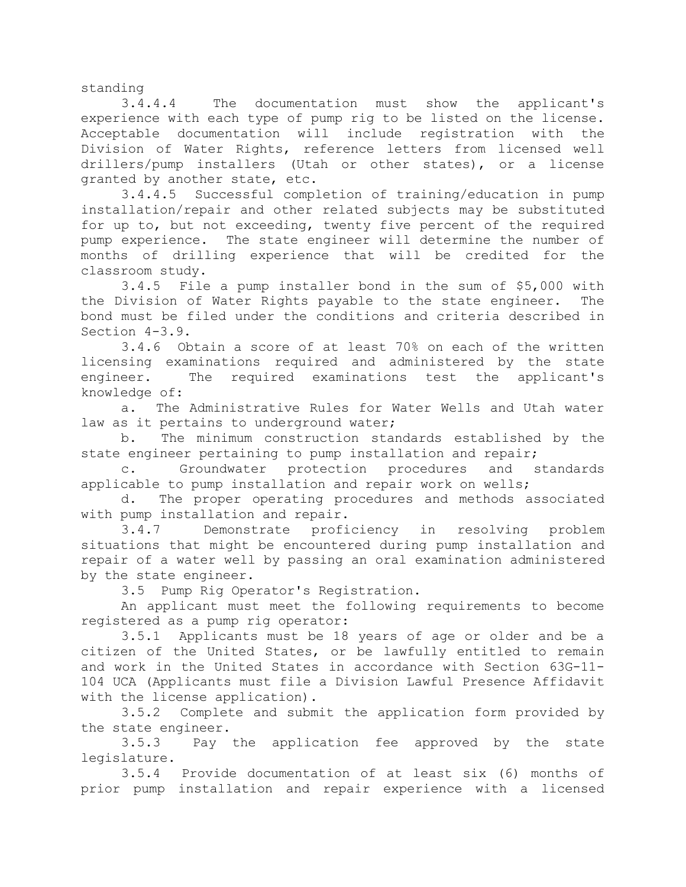standing

3.4.4.4 The documentation must show the applicant's experience with each type of pump rig to be listed on the license. Acceptable documentation will include registration with the Division of Water Rights, reference letters from licensed well drillers/pump installers (Utah or other states), or a license granted by another state, etc.

3.4.4.5 Successful completion of training/education in pump installation/repair and other related subjects may be substituted for up to, but not exceeding, twenty five percent of the required pump experience. The state engineer will determine the number of months of drilling experience that will be credited for the classroom study.

3.4.5 File a pump installer bond in the sum of \$5,000 with the Division of Water Rights payable to the state engineer. The bond must be filed under the conditions and criteria described in Section 4-3.9.

3.4.6 Obtain a score of at least 70% on each of the written licensing examinations required and administered by the state engineer. The required examinations test the applicant's knowledge of:

a. The Administrative Rules for Water Wells and Utah water law as it pertains to underground water;

b. The minimum construction standards established by the state engineer pertaining to pump installation and repair;

c. Groundwater protection procedures and standards applicable to pump installation and repair work on wells;

d. The proper operating procedures and methods associated with pump installation and repair.

3.4.7 Demonstrate proficiency in resolving problem situations that might be encountered during pump installation and repair of a water well by passing an oral examination administered by the state engineer.

3.5 Pump Rig Operator's Registration.

An applicant must meet the following requirements to become registered as a pump rig operator:

3.5.1 Applicants must be 18 years of age or older and be a citizen of the United States, or be lawfully entitled to remain and work in the United States in accordance with Section 63G-11- 104 UCA (Applicants must file a Division Lawful Presence Affidavit with the license application).

3.5.2 Complete and submit the application form provided by the state engineer.

3.5.3 Pay the application fee approved by the state legislature.

3.5.4 Provide documentation of at least six (6) months of prior pump installation and repair experience with a licensed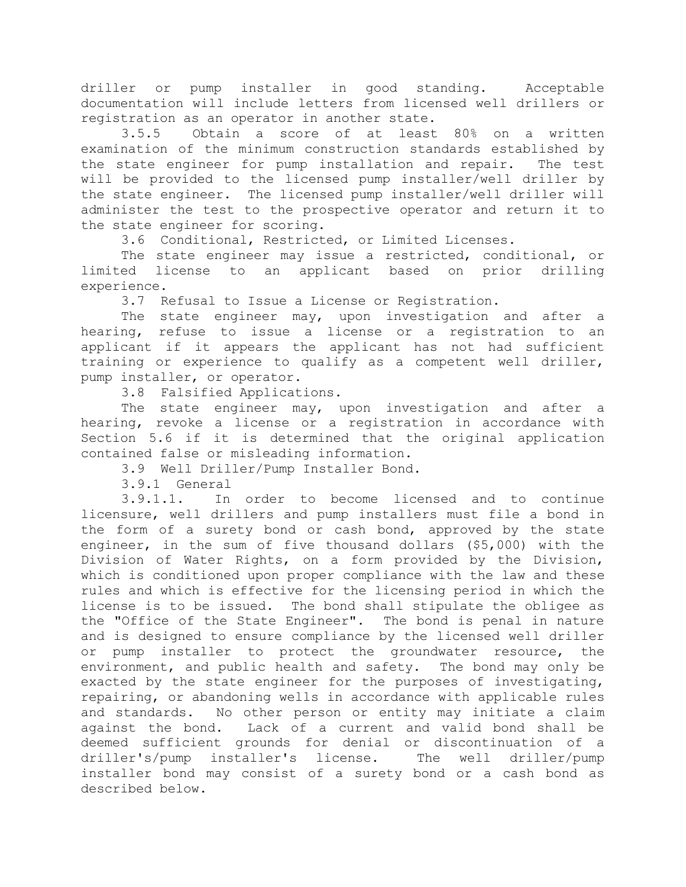driller or pump installer in good standing. Acceptable documentation will include letters from licensed well drillers or registration as an operator in another state.

3.5.5 Obtain a score of at least 80% on a written examination of the minimum construction standards established by the state engineer for pump installation and repair. The test will be provided to the licensed pump installer/well driller by the state engineer. The licensed pump installer/well driller will administer the test to the prospective operator and return it to the state engineer for scoring.

3.6 Conditional, Restricted, or Limited Licenses.

The state engineer may issue a restricted, conditional, or limited license to an applicant based on prior drilling experience.

3.7 Refusal to Issue a License or Registration.

The state engineer may, upon investigation and after a hearing, refuse to issue a license or a registration to an applicant if it appears the applicant has not had sufficient training or experience to qualify as a competent well driller, pump installer, or operator.

3.8 Falsified Applications.

The state engineer may, upon investigation and after a hearing, revoke a license or a registration in accordance with Section 5.6 if it is determined that the original application contained false or misleading information.

3.9 Well Driller/Pump Installer Bond.

3.9.1 General

3.9.1.1. In order to become licensed and to continue licensure, well drillers and pump installers must file a bond in the form of a surety bond or cash bond, approved by the state engineer, in the sum of five thousand dollars (\$5,000) with the Division of Water Rights, on a form provided by the Division, which is conditioned upon proper compliance with the law and these rules and which is effective for the licensing period in which the license is to be issued. The bond shall stipulate the obligee as the "Office of the State Engineer". The bond is penal in nature and is designed to ensure compliance by the licensed well driller or pump installer to protect the groundwater resource, the environment, and public health and safety. The bond may only be exacted by the state engineer for the purposes of investigating, repairing, or abandoning wells in accordance with applicable rules and standards. No other person or entity may initiate a claim against the bond. Lack of a current and valid bond shall be deemed sufficient grounds for denial or discontinuation of a driller's/pump installer's license. The well driller/pump installer bond may consist of a surety bond or a cash bond as described below.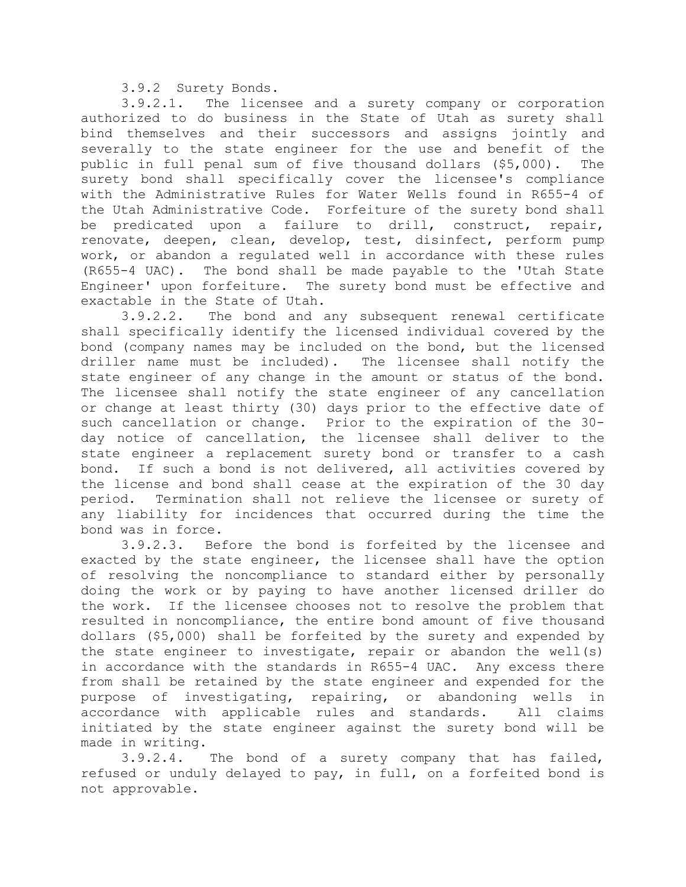3.9.2 Surety Bonds.

3.9.2.1. The licensee and a surety company or corporation authorized to do business in the State of Utah as surety shall bind themselves and their successors and assigns jointly and severally to the state engineer for the use and benefit of the public in full penal sum of five thousand dollars (\$5,000). The surety bond shall specifically cover the licensee's compliance with the Administrative Rules for Water Wells found in R655-4 of the Utah Administrative Code. Forfeiture of the surety bond shall be predicated upon a failure to drill, construct, repair, renovate, deepen, clean, develop, test, disinfect, perform pump work, or abandon a regulated well in accordance with these rules (R655-4 UAC). The bond shall be made payable to the 'Utah State Engineer' upon forfeiture. The surety bond must be effective and exactable in the State of Utah.

3.9.2.2. The bond and any subsequent renewal certificate shall specifically identify the licensed individual covered by the bond (company names may be included on the bond, but the licensed driller name must be included). The licensee shall notify the state engineer of any change in the amount or status of the bond. The licensee shall notify the state engineer of any cancellation or change at least thirty (30) days prior to the effective date of such cancellation or change. Prior to the expiration of the 30 day notice of cancellation, the licensee shall deliver to the state engineer a replacement surety bond or transfer to a cash bond. If such a bond is not delivered, all activities covered by the license and bond shall cease at the expiration of the 30 day period. Termination shall not relieve the licensee or surety of any liability for incidences that occurred during the time the bond was in force.

3.9.2.3. Before the bond is forfeited by the licensee and exacted by the state engineer, the licensee shall have the option of resolving the noncompliance to standard either by personally doing the work or by paying to have another licensed driller do the work. If the licensee chooses not to resolve the problem that resulted in noncompliance, the entire bond amount of five thousand dollars (\$5,000) shall be forfeited by the surety and expended by the state engineer to investigate, repair or abandon the well(s) in accordance with the standards in R655-4 UAC. Any excess there from shall be retained by the state engineer and expended for the purpose of investigating, repairing, or abandoning wells in accordance with applicable rules and standards. All claims initiated by the state engineer against the surety bond will be made in writing.

3.9.2.4. The bond of a surety company that has failed, refused or unduly delayed to pay, in full, on a forfeited bond is not approvable.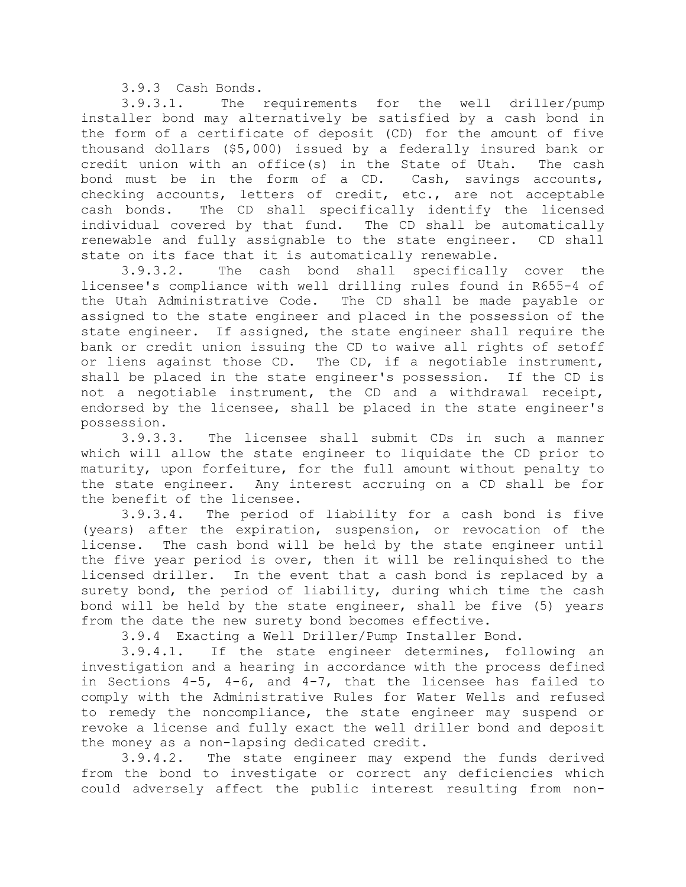3.9.3 Cash Bonds.

3.9.3.1. The requirements for the well driller/pump installer bond may alternatively be satisfied by a cash bond in the form of a certificate of deposit (CD) for the amount of five thousand dollars (\$5,000) issued by a federally insured bank or credit union with an office(s) in the State of Utah. The cash bond must be in the form of a CD. Cash, savings accounts, checking accounts, letters of credit, etc., are not acceptable cash bonds. The CD shall specifically identify the licensed individual covered by that fund. The CD shall be automatically renewable and fully assignable to the state engineer. CD shall state on its face that it is automatically renewable.

3.9.3.2. The cash bond shall specifically cover the licensee's compliance with well drilling rules found in R655-4 of the Utah Administrative Code. The CD shall be made payable or assigned to the state engineer and placed in the possession of the state engineer. If assigned, the state engineer shall require the bank or credit union issuing the CD to waive all rights of setoff or liens against those CD. The CD, if a negotiable instrument, shall be placed in the state engineer's possession. If the CD is not a negotiable instrument, the CD and a withdrawal receipt, endorsed by the licensee, shall be placed in the state engineer's possession.

3.9.3.3. The licensee shall submit CDs in such a manner which will allow the state engineer to liquidate the CD prior to maturity, upon forfeiture, for the full amount without penalty to the state engineer. Any interest accruing on a CD shall be for the benefit of the licensee.

3.9.3.4. The period of liability for a cash bond is five (years) after the expiration, suspension, or revocation of the license. The cash bond will be held by the state engineer until the five year period is over, then it will be relinquished to the licensed driller. In the event that a cash bond is replaced by a surety bond, the period of liability, during which time the cash bond will be held by the state engineer, shall be five (5) years from the date the new surety bond becomes effective.

3.9.4 Exacting a Well Driller/Pump Installer Bond.

3.9.4.1. If the state engineer determines, following an investigation and a hearing in accordance with the process defined in Sections  $4-5$ ,  $4-6$ , and  $4-7$ , that the licensee has failed to comply with the Administrative Rules for Water Wells and refused to remedy the noncompliance, the state engineer may suspend or revoke a license and fully exact the well driller bond and deposit the money as a non-lapsing dedicated credit.

3.9.4.2. The state engineer may expend the funds derived from the bond to investigate or correct any deficiencies which could adversely affect the public interest resulting from non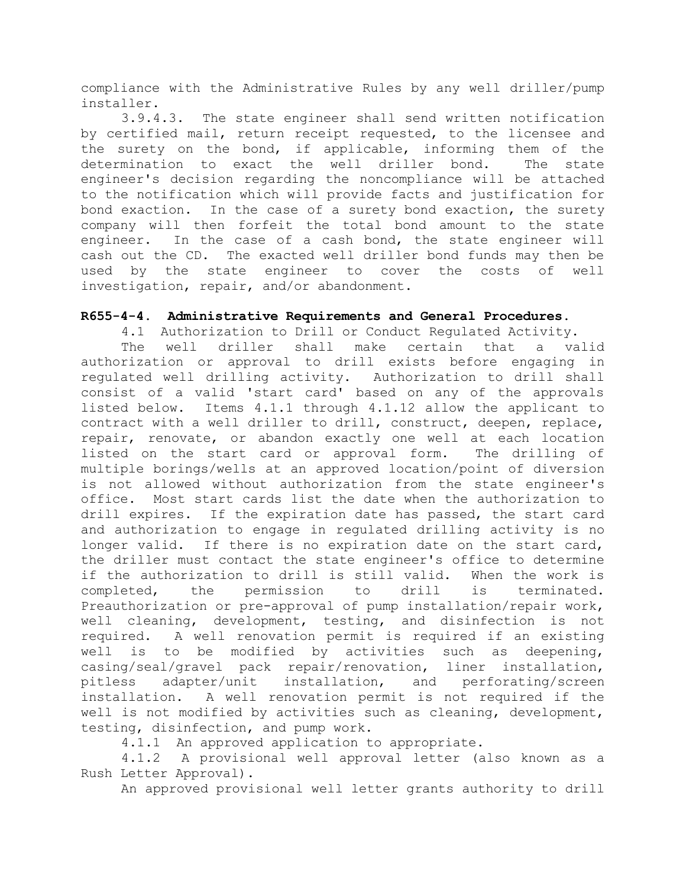compliance with the Administrative Rules by any well driller/pump installer.

3.9.4.3. The state engineer shall send written notification by certified mail, return receipt requested, to the licensee and the surety on the bond, if applicable, informing them of the determination to exact the well driller bond. The state engineer's decision regarding the noncompliance will be attached to the notification which will provide facts and justification for bond exaction. In the case of a surety bond exaction, the surety company will then forfeit the total bond amount to the state engineer. In the case of a cash bond, the state engineer will cash out the CD. The exacted well driller bond funds may then be used by the state engineer to cover the costs of well investigation, repair, and/or abandonment.

### **R655-4-4. Administrative Requirements and General Procedures.**

4.1 Authorization to Drill or Conduct Regulated Activity. The well driller shall make certain that a valid authorization or approval to drill exists before engaging in regulated well drilling activity. Authorization to drill shall consist of a valid 'start card' based on any of the approvals listed below. Items 4.1.1 through 4.1.12 allow the applicant to contract with a well driller to drill, construct, deepen, replace, repair, renovate, or abandon exactly one well at each location listed on the start card or approval form. The drilling of multiple borings/wells at an approved location/point of diversion is not allowed without authorization from the state engineer's office. Most start cards list the date when the authorization to drill expires. If the expiration date has passed, the start card and authorization to engage in regulated drilling activity is no longer valid. If there is no expiration date on the start card, the driller must contact the state engineer's office to determine if the authorization to drill is still valid. When the work is completed, the permission to drill is terminated. Preauthorization or pre-approval of pump installation/repair work, well cleaning, development, testing, and disinfection is not required. A well renovation permit is required if an existing well is to be modified by activities such as deepening, casing/seal/gravel pack repair/renovation, liner installation, pitless adapter/unit installation, and perforating/screen installation. A well renovation permit is not required if the well is not modified by activities such as cleaning, development, testing, disinfection, and pump work.

4.1.1 An approved application to appropriate.

4.1.2 A provisional well approval letter (also known as a Rush Letter Approval).

An approved provisional well letter grants authority to drill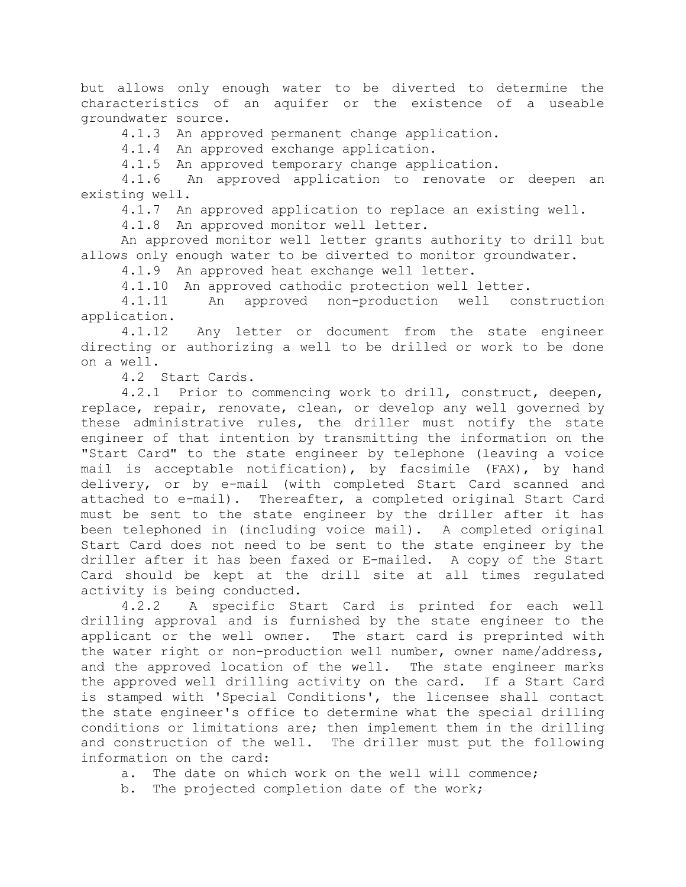but allows only enough water to be diverted to determine the characteristics of an aquifer or the existence of a useable groundwater source.

4.1.3 An approved permanent change application.

4.1.4 An approved exchange application.

4.1.5 An approved temporary change application.

4.1.6 An approved application to renovate or deepen an existing well.

4.1.7 An approved application to replace an existing well.

4.1.8 An approved monitor well letter.

An approved monitor well letter grants authority to drill but allows only enough water to be diverted to monitor groundwater.

4.1.9 An approved heat exchange well letter.

4.1.10 An approved cathodic protection well letter.

4.1.11 An approved non-production well construction application.

4.1.12 Any letter or document from the state engineer directing or authorizing a well to be drilled or work to be done on a well.

4.2 Start Cards.

4.2.1 Prior to commencing work to drill, construct, deepen, replace, repair, renovate, clean, or develop any well governed by these administrative rules, the driller must notify the state engineer of that intention by transmitting the information on the "Start Card" to the state engineer by telephone (leaving a voice mail is acceptable notification), by facsimile (FAX), by hand delivery, or by e-mail (with completed Start Card scanned and attached to e-mail). Thereafter, a completed original Start Card must be sent to the state engineer by the driller after it has been telephoned in (including voice mail). A completed original Start Card does not need to be sent to the state engineer by the driller after it has been faxed or E-mailed. A copy of the Start Card should be kept at the drill site at all times regulated activity is being conducted.

4.2.2 A specific Start Card is printed for each well drilling approval and is furnished by the state engineer to the applicant or the well owner. The start card is preprinted with the water right or non-production well number, owner name/address, and the approved location of the well. The state engineer marks the approved well drilling activity on the card. If a Start Card is stamped with 'Special Conditions', the licensee shall contact the state engineer's office to determine what the special drilling conditions or limitations are; then implement them in the drilling and construction of the well. The driller must put the following information on the card:

a. The date on which work on the well will commence;

b. The projected completion date of the work;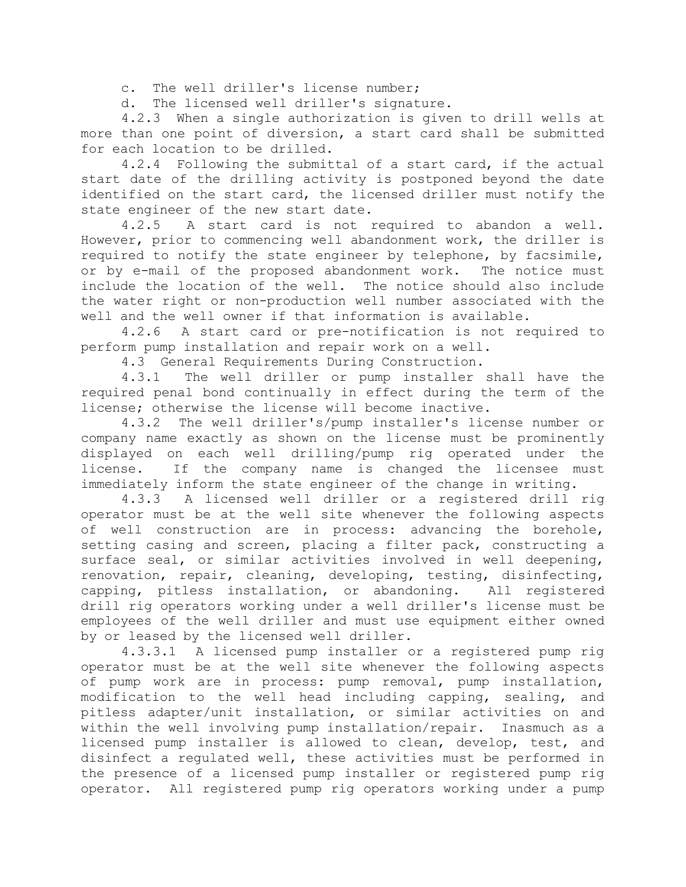c. The well driller's license number;

d. The licensed well driller's signature.

4.2.3 When a single authorization is given to drill wells at more than one point of diversion, a start card shall be submitted for each location to be drilled.

4.2.4 Following the submittal of a start card, if the actual start date of the drilling activity is postponed beyond the date identified on the start card, the licensed driller must notify the state engineer of the new start date.

4.2.5 A start card is not required to abandon a well. However, prior to commencing well abandonment work, the driller is required to notify the state engineer by telephone, by facsimile, or by e-mail of the proposed abandonment work. The notice must include the location of the well. The notice should also include the water right or non-production well number associated with the well and the well owner if that information is available.

4.2.6 A start card or pre-notification is not required to perform pump installation and repair work on a well.

4.3 General Requirements During Construction.

4.3.1 The well driller or pump installer shall have the required penal bond continually in effect during the term of the license; otherwise the license will become inactive.

4.3.2 The well driller's/pump installer's license number or company name exactly as shown on the license must be prominently displayed on each well drilling/pump rig operated under the license. If the company name is changed the licensee must immediately inform the state engineer of the change in writing.

4.3.3 A licensed well driller or a registered drill rig operator must be at the well site whenever the following aspects of well construction are in process: advancing the borehole, setting casing and screen, placing a filter pack, constructing a surface seal, or similar activities involved in well deepening, renovation, repair, cleaning, developing, testing, disinfecting, capping, pitless installation, or abandoning. All registered drill rig operators working under a well driller's license must be employees of the well driller and must use equipment either owned by or leased by the licensed well driller.

4.3.3.1 A licensed pump installer or a registered pump rig operator must be at the well site whenever the following aspects of pump work are in process: pump removal, pump installation, modification to the well head including capping, sealing, and pitless adapter/unit installation, or similar activities on and within the well involving pump installation/repair. Inasmuch as a licensed pump installer is allowed to clean, develop, test, and disinfect a regulated well, these activities must be performed in the presence of a licensed pump installer or registered pump rig operator. All registered pump rig operators working under a pump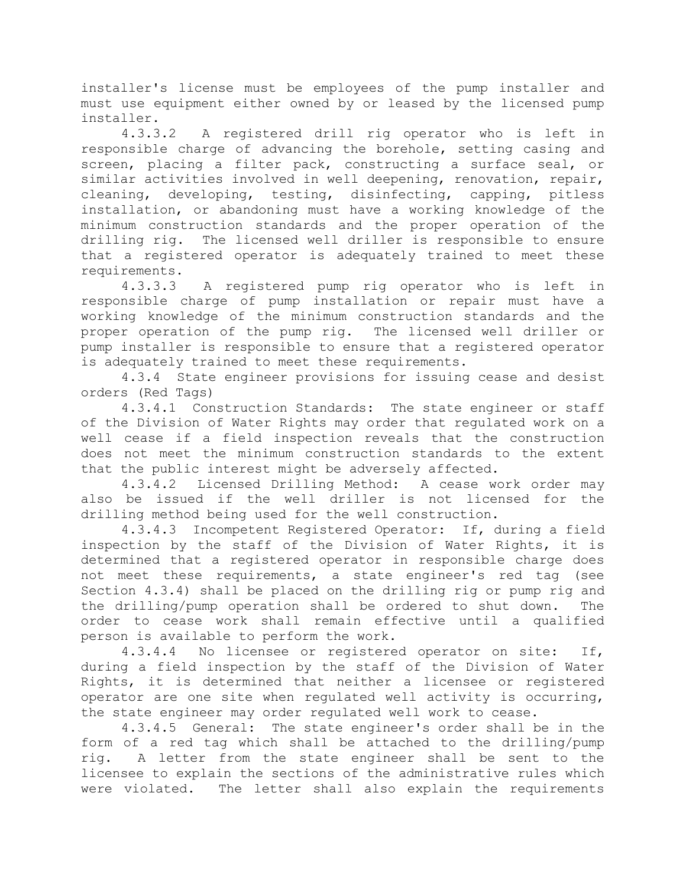installer's license must be employees of the pump installer and must use equipment either owned by or leased by the licensed pump installer.

4.3.3.2 A registered drill rig operator who is left in responsible charge of advancing the borehole, setting casing and screen, placing a filter pack, constructing a surface seal, or similar activities involved in well deepening, renovation, repair, cleaning, developing, testing, disinfecting, capping, pitless installation, or abandoning must have a working knowledge of the minimum construction standards and the proper operation of the drilling rig. The licensed well driller is responsible to ensure that a registered operator is adequately trained to meet these requirements.

4.3.3.3 A registered pump rig operator who is left in responsible charge of pump installation or repair must have a working knowledge of the minimum construction standards and the proper operation of the pump rig. The licensed well driller or pump installer is responsible to ensure that a registered operator is adequately trained to meet these requirements.

4.3.4 State engineer provisions for issuing cease and desist orders (Red Tags)

4.3.4.1 Construction Standards: The state engineer or staff of the Division of Water Rights may order that regulated work on a well cease if a field inspection reveals that the construction does not meet the minimum construction standards to the extent that the public interest might be adversely affected.

4.3.4.2 Licensed Drilling Method: A cease work order may also be issued if the well driller is not licensed for the drilling method being used for the well construction.

4.3.4.3 Incompetent Registered Operator: If, during a field inspection by the staff of the Division of Water Rights, it is determined that a registered operator in responsible charge does not meet these requirements, a state engineer's red tag (see Section 4.3.4) shall be placed on the drilling rig or pump rig and the drilling/pump operation shall be ordered to shut down. The order to cease work shall remain effective until a qualified person is available to perform the work.

4.3.4.4 No licensee or registered operator on site: If, during a field inspection by the staff of the Division of Water Rights, it is determined that neither a licensee or registered operator are one site when regulated well activity is occurring, the state engineer may order regulated well work to cease.

4.3.4.5 General: The state engineer's order shall be in the form of a red tag which shall be attached to the drilling/pump rig. A letter from the state engineer shall be sent to the licensee to explain the sections of the administrative rules which were violated. The letter shall also explain the requirements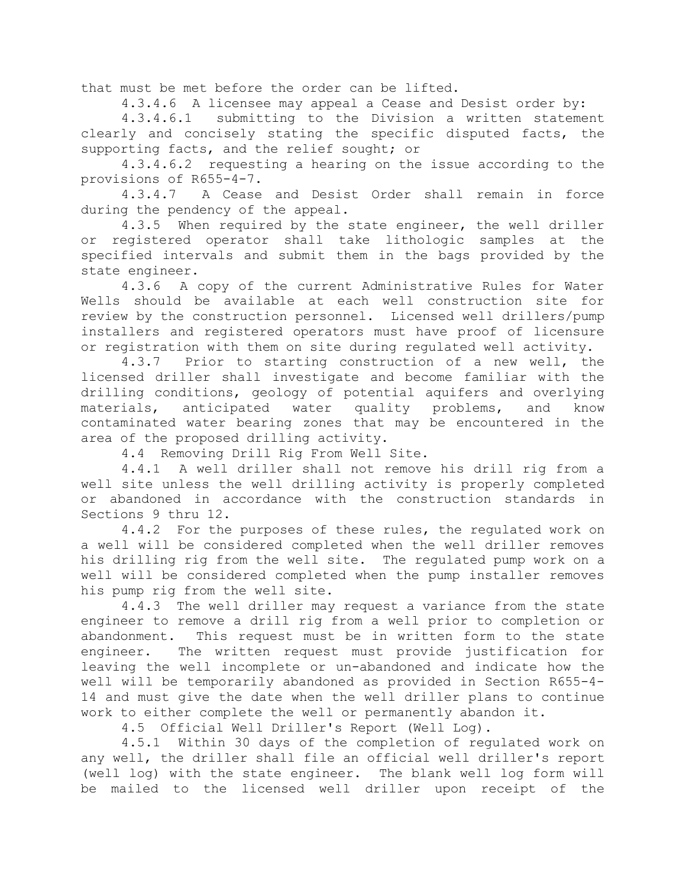that must be met before the order can be lifted.

4.3.4.6 A licensee may appeal a Cease and Desist order by:

4.3.4.6.1 submitting to the Division a written statement clearly and concisely stating the specific disputed facts, the supporting facts, and the relief sought; or

4.3.4.6.2 requesting a hearing on the issue according to the provisions of R655-4-7.

4.3.4.7 A Cease and Desist Order shall remain in force during the pendency of the appeal.

4.3.5 When required by the state engineer, the well driller or registered operator shall take lithologic samples at the specified intervals and submit them in the bags provided by the state engineer.

4.3.6 A copy of the current Administrative Rules for Water Wells should be available at each well construction site for review by the construction personnel. Licensed well drillers/pump installers and registered operators must have proof of licensure or registration with them on site during regulated well activity.

4.3.7 Prior to starting construction of a new well, the licensed driller shall investigate and become familiar with the drilling conditions, geology of potential aquifers and overlying materials, anticipated water quality problems, and know contaminated water bearing zones that may be encountered in the area of the proposed drilling activity.

4.4 Removing Drill Rig From Well Site.

4.4.1 A well driller shall not remove his drill rig from a well site unless the well drilling activity is properly completed or abandoned in accordance with the construction standards in Sections 9 thru 12.

4.4.2 For the purposes of these rules, the regulated work on a well will be considered completed when the well driller removes his drilling rig from the well site. The regulated pump work on a well will be considered completed when the pump installer removes his pump rig from the well site.

4.4.3 The well driller may request a variance from the state engineer to remove a drill rig from a well prior to completion or abandonment. This request must be in written form to the state engineer. The written request must provide justification for leaving the well incomplete or un-abandoned and indicate how the well will be temporarily abandoned as provided in Section R655-4- 14 and must give the date when the well driller plans to continue work to either complete the well or permanently abandon it.

4.5 Official Well Driller's Report (Well Log).

4.5.1 Within 30 days of the completion of regulated work on any well, the driller shall file an official well driller's report (well log) with the state engineer. The blank well log form will be mailed to the licensed well driller upon receipt of the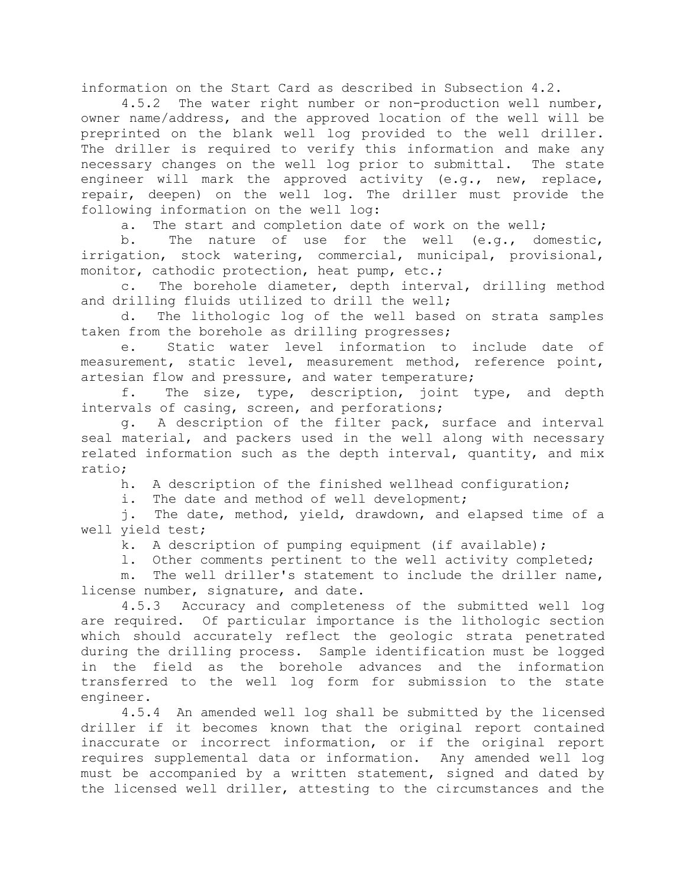information on the Start Card as described in Subsection 4.2.

4.5.2 The water right number or non-production well number, owner name/address, and the approved location of the well will be preprinted on the blank well log provided to the well driller. The driller is required to verify this information and make any necessary changes on the well log prior to submittal. The state engineer will mark the approved activity (e.g., new, replace, repair, deepen) on the well log. The driller must provide the following information on the well log:

a. The start and completion date of work on the well;

b. The nature of use for the well (e.g., domestic, irrigation, stock watering, commercial, municipal, provisional, monitor, cathodic protection, heat pump, etc.;

c. The borehole diameter, depth interval, drilling method and drilling fluids utilized to drill the well;

d. The lithologic log of the well based on strata samples taken from the borehole as drilling progresses;

e. Static water level information to include date of measurement, static level, measurement method, reference point, artesian flow and pressure, and water temperature;

f. The size, type, description, joint type, and depth intervals of casing, screen, and perforations;

g. A description of the filter pack, surface and interval seal material, and packers used in the well along with necessary related information such as the depth interval, quantity, and mix ratio;

h. A description of the finished wellhead configuration;

i. The date and method of well development;

j. The date, method, yield, drawdown, and elapsed time of a well yield test;

k. A description of pumping equipment (if available);

l. Other comments pertinent to the well activity completed;

m. The well driller's statement to include the driller name, license number, signature, and date.

4.5.3 Accuracy and completeness of the submitted well log are required. Of particular importance is the lithologic section which should accurately reflect the geologic strata penetrated during the drilling process. Sample identification must be logged in the field as the borehole advances and the information transferred to the well log form for submission to the state engineer.

4.5.4 An amended well log shall be submitted by the licensed driller if it becomes known that the original report contained inaccurate or incorrect information, or if the original report requires supplemental data or information. Any amended well log must be accompanied by a written statement, signed and dated by the licensed well driller, attesting to the circumstances and the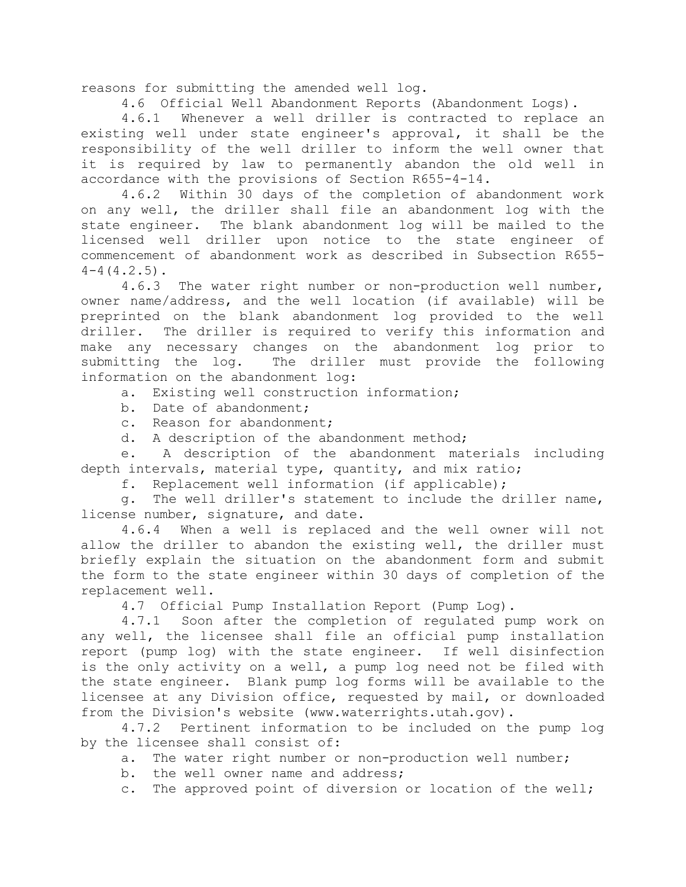reasons for submitting the amended well log.

4.6 Official Well Abandonment Reports (Abandonment Logs).

4.6.1 Whenever a well driller is contracted to replace an existing well under state engineer's approval, it shall be the responsibility of the well driller to inform the well owner that it is required by law to permanently abandon the old well in accordance with the provisions of Section R655-4-14.

4.6.2 Within 30 days of the completion of abandonment work on any well, the driller shall file an abandonment log with the state engineer. The blank abandonment log will be mailed to the licensed well driller upon notice to the state engineer of commencement of abandonment work as described in Subsection R655-  $4-4(4.2.5)$ .

4.6.3 The water right number or non-production well number, owner name/address, and the well location (if available) will be preprinted on the blank abandonment log provided to the well driller. The driller is required to verify this information and make any necessary changes on the abandonment log prior to submitting the log. The driller must provide the following information on the abandonment log:

a. Existing well construction information;

- b. Date of abandonment;
- c. Reason for abandonment;
- d. A description of the abandonment method;

e. A description of the abandonment materials including depth intervals, material type, quantity, and mix ratio;

f. Replacement well information (if applicable);

g. The well driller's statement to include the driller name, license number, signature, and date.

4.6.4 When a well is replaced and the well owner will not allow the driller to abandon the existing well, the driller must briefly explain the situation on the abandonment form and submit the form to the state engineer within 30 days of completion of the replacement well.

4.7 Official Pump Installation Report (Pump Log).

4.7.1 Soon after the completion of regulated pump work on any well, the licensee shall file an official pump installation report (pump log) with the state engineer. If well disinfection is the only activity on a well, a pump log need not be filed with the state engineer. Blank pump log forms will be available to the licensee at any Division office, requested by mail, or downloaded from the Division's website (www.waterrights.utah.gov).

4.7.2 Pertinent information to be included on the pump log by the licensee shall consist of:

- a. The water right number or non-production well number;
- b. the well owner name and address;
- c. The approved point of diversion or location of the well;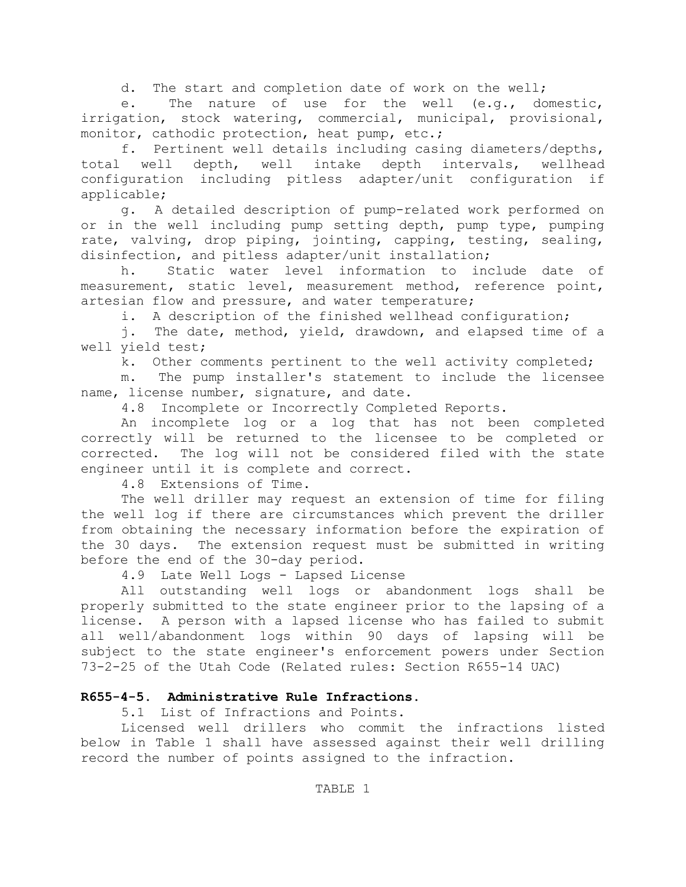d. The start and completion date of work on the well;

e. The nature of use for the well (e.g., domestic, irrigation, stock watering, commercial, municipal, provisional, monitor, cathodic protection, heat pump, etc.;

f. Pertinent well details including casing diameters/depths, total well depth, well intake depth intervals, wellhead configuration including pitless adapter/unit configuration if applicable;

g. A detailed description of pump-related work performed on or in the well including pump setting depth, pump type, pumping rate, valving, drop piping, jointing, capping, testing, sealing, disinfection, and pitless adapter/unit installation;

h. Static water level information to include date of measurement, static level, measurement method, reference point, artesian flow and pressure, and water temperature;

i. A description of the finished wellhead configuration;

j. The date, method, yield, drawdown, and elapsed time of a well yield test;

k. Other comments pertinent to the well activity completed;

m. The pump installer's statement to include the licensee name, license number, signature, and date.

4.8 Incomplete or Incorrectly Completed Reports.

An incomplete log or a log that has not been completed correctly will be returned to the licensee to be completed or corrected. The log will not be considered filed with the state engineer until it is complete and correct.

4.8 Extensions of Time.

The well driller may request an extension of time for filing the well log if there are circumstances which prevent the driller from obtaining the necessary information before the expiration of the 30 days. The extension request must be submitted in writing before the end of the 30-day period.

4.9 Late Well Logs - Lapsed License

All outstanding well logs or abandonment logs shall be properly submitted to the state engineer prior to the lapsing of a license. A person with a lapsed license who has failed to submit all well/abandonment logs within 90 days of lapsing will be subject to the state engineer's enforcement powers under Section 73-2-25 of the Utah Code (Related rules: Section R655-14 UAC)

# **R655-4-5. Administrative Rule Infractions.**

5.1 List of Infractions and Points.

Licensed well drillers who commit the infractions listed below in Table 1 shall have assessed against their well drilling record the number of points assigned to the infraction.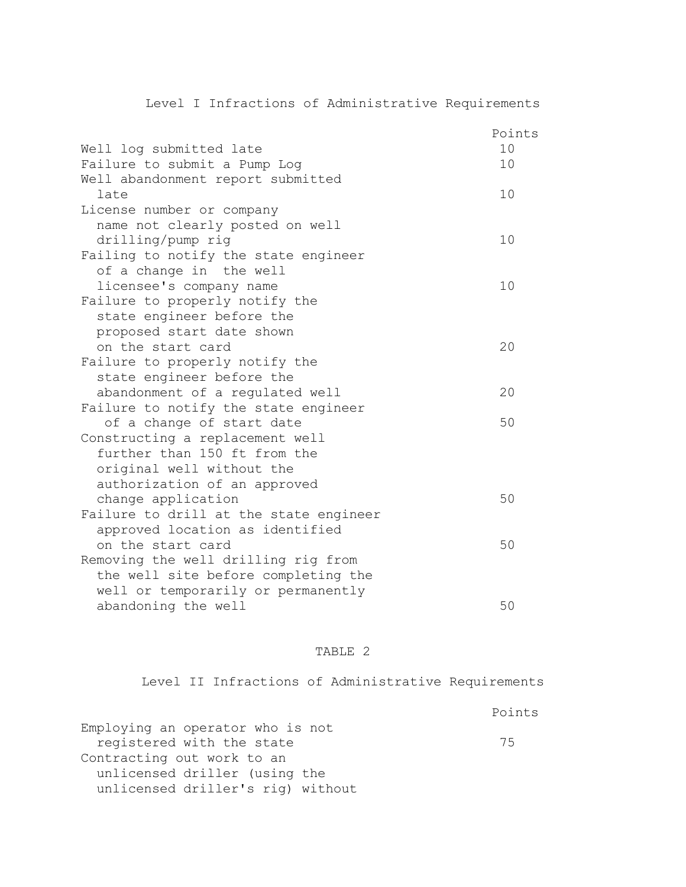# Level I Infractions of Administrative Requirements

|                                        | Points |
|----------------------------------------|--------|
| Well log submitted late                | 10     |
| Failure to submit a Pump Log           | 10     |
| Well abandonment report submitted      |        |
| late                                   | 10     |
| License number or company              |        |
| name not clearly posted on well        |        |
| drilling/pump rig                      | 10     |
| Failing to notify the state engineer   |        |
| of a change in the well                |        |
| licensee's company name                | 10     |
| Failure to properly notify the         |        |
| state engineer before the              |        |
| proposed start date shown              |        |
| on the start card                      | 20     |
| Failure to properly notify the         |        |
| state engineer before the              |        |
| abandonment of a regulated well        | 20     |
| Failure to notify the state engineer   |        |
| of a change of start date              | 50     |
| Constructing a replacement well        |        |
| further than 150 ft from the           |        |
| original well without the              |        |
| authorization of an approved           |        |
| change application                     | 50     |
| Failure to drill at the state engineer |        |
| approved location as identified        |        |
| on the start card                      | 50     |
| Removing the well drilling rig from    |        |
| the well site before completing the    |        |
| well or temporarily or permanently     |        |
| abandoning the well                    | 50     |

# TABLE 2

Level II Infractions of Administrative Requirements

|                                   | Points |
|-----------------------------------|--------|
| Employing an operator who is not  |        |
| registered with the state         | 75     |
| Contracting out work to an        |        |
| unlicensed driller (using the     |        |
| unlicensed driller's rig) without |        |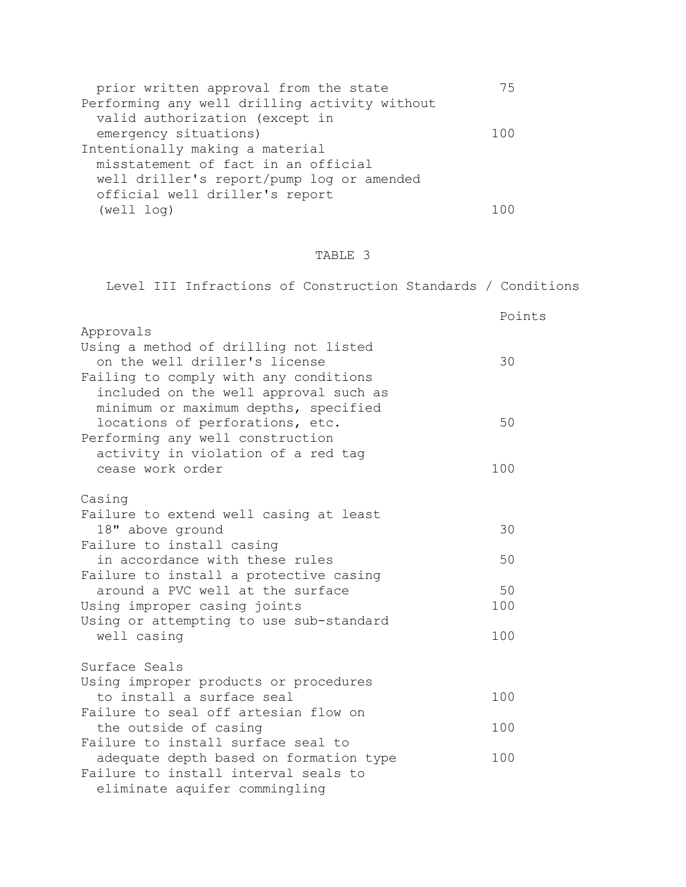| prior written approval from the state         | 75    |
|-----------------------------------------------|-------|
| Performing any well drilling activity without |       |
| valid authorization (except in                |       |
| emergency situations)                         | 1 Q Q |
| Intentionally making a material               |       |
| misstatement of fact in an official           |       |
| well driller's report/pump log or amended     |       |
| official well driller's report                |       |
| (well log)                                    |       |

# TABLE 3

| Level III Infractions of Construction Standards / Conditions        |        |
|---------------------------------------------------------------------|--------|
|                                                                     | Points |
| Approvals                                                           |        |
| Using a method of drilling not listed                               |        |
| on the well driller's license                                       | 30     |
| Failing to comply with any conditions                               |        |
| included on the well approval such as                               |        |
| minimum or maximum depths, specified                                | 50     |
| locations of perforations, etc.<br>Performing any well construction |        |
| activity in violation of a red tag                                  |        |
| cease work order                                                    | 100    |
|                                                                     |        |
| Casing                                                              |        |
| Failure to extend well casing at least                              |        |
| 18" above ground                                                    | 30     |
| Failure to install casing                                           |        |
| in accordance with these rules                                      | 50     |
| Failure to install a protective casing                              |        |
| around a PVC well at the surface                                    | 50     |
| Using improper casing joints                                        | 100    |
| Using or attempting to use sub-standard                             |        |
| well casing                                                         | 100    |
| Surface Seals                                                       |        |
| Using improper products or procedures                               |        |
| to install a surface seal                                           | 100    |
| Failure to seal off artesian flow on                                |        |
| the outside of casing                                               | 100    |
| Failure to install surface seal to                                  |        |
| adequate depth based on formation type                              | 100    |
| Failure to install interval seals to                                |        |
| eliminate aquifer commingling                                       |        |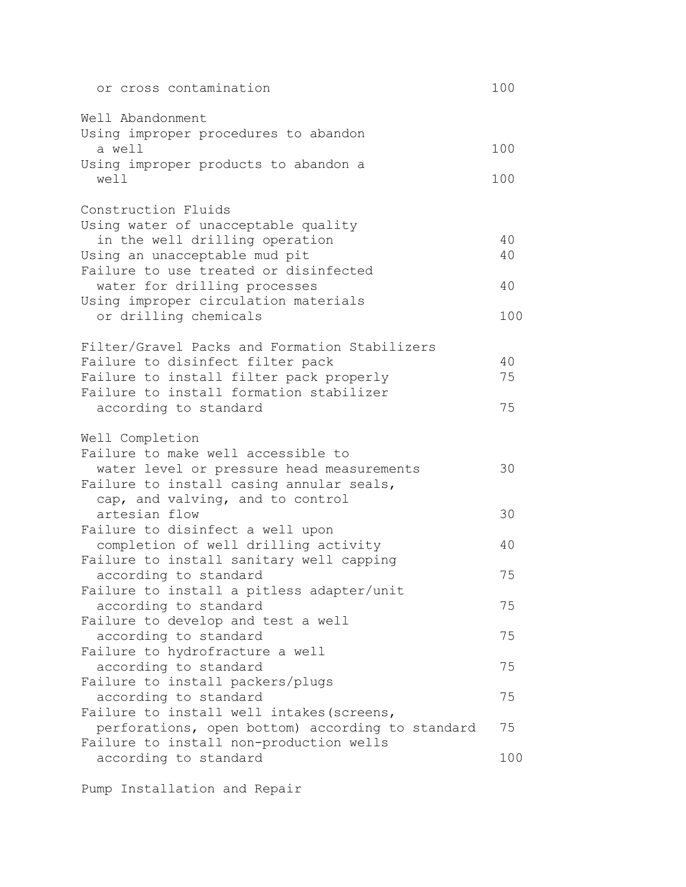| or cross contamination                                                 | 100      |
|------------------------------------------------------------------------|----------|
| Well Abandonment                                                       |          |
| Using improper procedures to abandon<br>a well                         | 100      |
| Using improper products to abandon a<br>well                           | 100      |
| Construction Fluids                                                    |          |
| Using water of unacceptable quality                                    |          |
| in the well drilling operation                                         | 40<br>40 |
| Using an unacceptable mud pit<br>Failure to use treated or disinfected |          |
| water for drilling processes                                           | 40       |
| Using improper circulation materials                                   |          |
| or drilling chemicals                                                  | 100      |
| Filter/Gravel Packs and Formation Stabilizers                          |          |
| Failure to disinfect filter pack                                       | 40       |
| Failure to install filter pack properly                                | 75       |
| Failure to install formation stabilizer<br>according to standard       | 75       |
| Well Completion                                                        |          |
| Failure to make well accessible to                                     |          |
| water level or pressure head measurements                              | 30       |
| Failure to install casing annular seals,                               |          |
| cap, and valving, and to control                                       |          |
| artesian flow<br>Failure to disinfect a well upon                      | 30       |
| completion of well drilling activity                                   | 40       |
| Failure to install sanitary well capping                               |          |
| according to standard                                                  | 75       |
| Failure to install a pitless adapter/unit                              |          |
| according to standard                                                  | 75       |
| Failure to develop and test a well                                     |          |
| according to standard                                                  | 75       |
| Failure to hydrofracture a well<br>according to standard               | 75       |
| Failure to install packers/plugs                                       |          |
| according to standard                                                  | 75       |
| Failure to install well intakes (screens,                              |          |
| perforations, open bottom) according to standard                       | 75       |
| Failure to install non-production wells                                |          |
| according to standard                                                  | 100      |

Pump Installation and Repair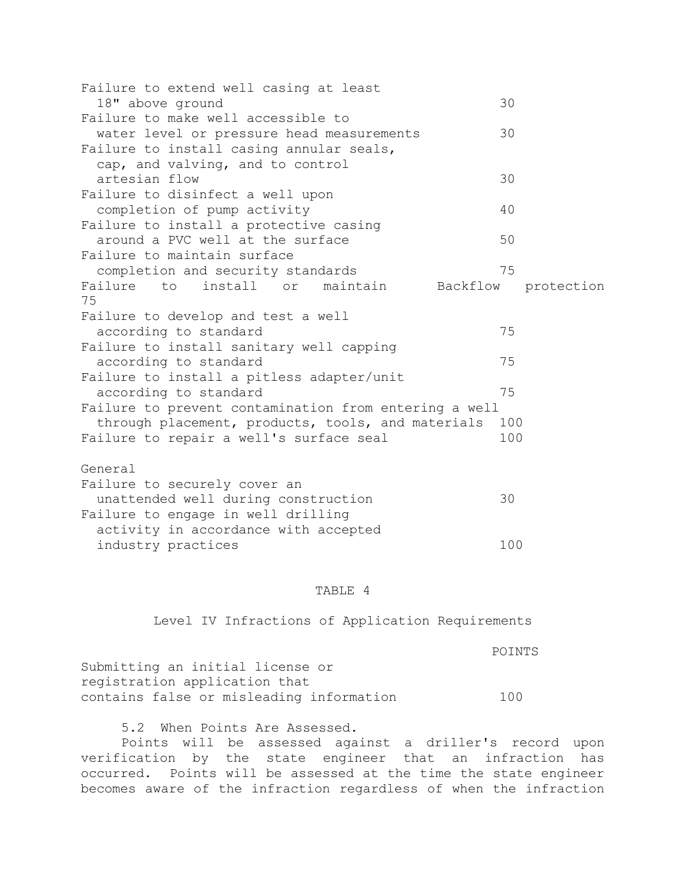| Failure to extend well casing at least                |          |            |
|-------------------------------------------------------|----------|------------|
| 18" above ground                                      | 30       |            |
| Failure to make well accessible to                    |          |            |
| water level or pressure head measurements             | 30       |            |
| Failure to install casing annular seals,              |          |            |
| cap, and valving, and to control                      |          |            |
| artesian flow                                         | 30       |            |
| Failure to disinfect a well upon                      |          |            |
| completion of pump activity                           | 40       |            |
| Failure to install a protective casing                |          |            |
| around a PVC well at the surface                      | 50       |            |
| Failure to maintain surface                           |          |            |
| completion and security standards                     | 75       |            |
| Failure to install or maintain                        | Backflow | protection |
| 75                                                    |          |            |
| Failure to develop and test a well                    |          |            |
| according to standard                                 | 75       |            |
| Failure to install sanitary well capping              |          |            |
| according to standard                                 | 75       |            |
| Failure to install a pitless adapter/unit             |          |            |
| according to standard                                 | 75       |            |
| Failure to prevent contamination from entering a well |          |            |
| through placement, products, tools, and materials     | 100      |            |
| Failure to repair a well's surface seal               | 100      |            |
| General                                               |          |            |
| Failure to securely cover an                          |          |            |

| unattended well during construction  | 30  |
|--------------------------------------|-----|
| Failure to engage in well drilling   |     |
| activity in accordance with accepted |     |
| industry practices                   | 100 |
|                                      |     |

### TABLE 4

Level IV Infractions of Application Requirements

 POINTS Submitting an initial license or registration application that contains false or misleading information 100

5.2 When Points Are Assessed.

Points will be assessed against a driller's record upon verification by the state engineer that an infraction has occurred. Points will be assessed at the time the state engineer becomes aware of the infraction regardless of when the infraction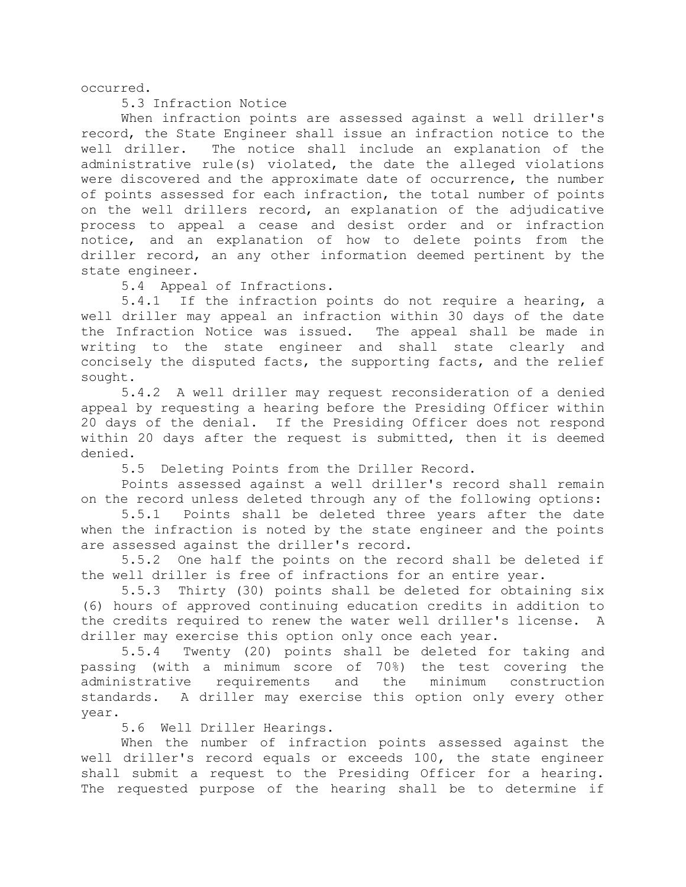occurred.

5.3 Infraction Notice

When infraction points are assessed against a well driller's record, the State Engineer shall issue an infraction notice to the well driller. The notice shall include an explanation of the administrative rule(s) violated, the date the alleged violations were discovered and the approximate date of occurrence, the number of points assessed for each infraction, the total number of points on the well drillers record, an explanation of the adjudicative process to appeal a cease and desist order and or infraction notice, and an explanation of how to delete points from the driller record, an any other information deemed pertinent by the state engineer.

5.4 Appeal of Infractions.

5.4.1 If the infraction points do not require a hearing, a well driller may appeal an infraction within 30 days of the date the Infraction Notice was issued. The appeal shall be made in writing to the state engineer and shall state clearly and concisely the disputed facts, the supporting facts, and the relief sought.

5.4.2 A well driller may request reconsideration of a denied appeal by requesting a hearing before the Presiding Officer within 20 days of the denial. If the Presiding Officer does not respond within 20 days after the request is submitted, then it is deemed denied.

5.5 Deleting Points from the Driller Record.

Points assessed against a well driller's record shall remain on the record unless deleted through any of the following options:

5.5.1 Points shall be deleted three years after the date when the infraction is noted by the state engineer and the points are assessed against the driller's record.

5.5.2 One half the points on the record shall be deleted if the well driller is free of infractions for an entire year.

5.5.3 Thirty (30) points shall be deleted for obtaining six (6) hours of approved continuing education credits in addition to the credits required to renew the water well driller's license. A driller may exercise this option only once each year.

5.5.4 Twenty (20) points shall be deleted for taking and passing (with a minimum score of 70%) the test covering the administrative requirements and the minimum construction standards. A driller may exercise this option only every other year.

5.6 Well Driller Hearings.

When the number of infraction points assessed against the well driller's record equals or exceeds 100, the state engineer shall submit a request to the Presiding Officer for a hearing. The requested purpose of the hearing shall be to determine if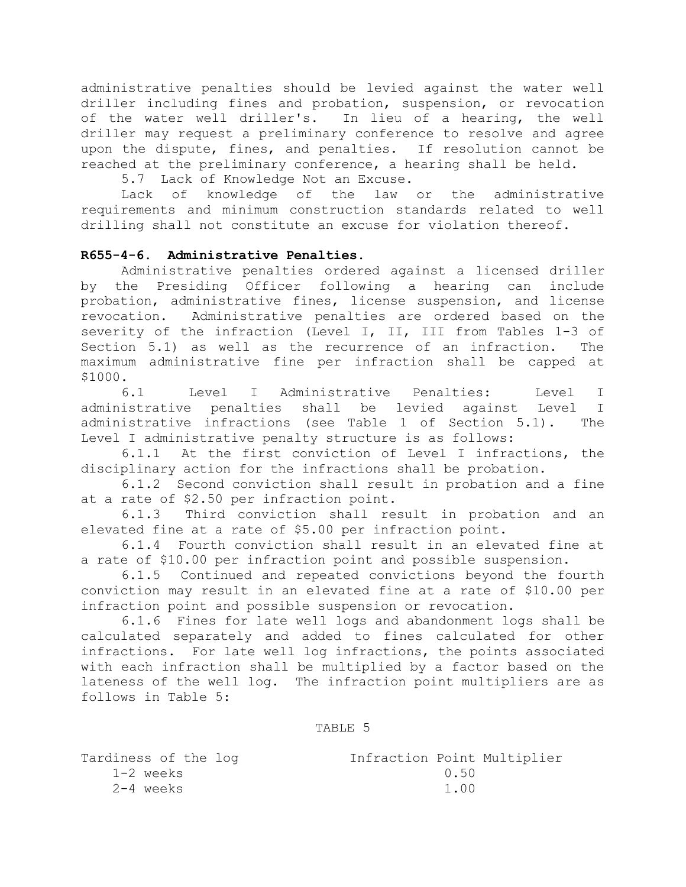administrative penalties should be levied against the water well driller including fines and probation, suspension, or revocation of the water well driller's. In lieu of a hearing, the well driller may request a preliminary conference to resolve and agree upon the dispute, fines, and penalties. If resolution cannot be reached at the preliminary conference, a hearing shall be held.

5.7 Lack of Knowledge Not an Excuse.<br>Lack of knowledge of the law

Lack of knowledge of the law or the administrative requirements and minimum construction standards related to well drilling shall not constitute an excuse for violation thereof.

### **R655-4-6. Administrative Penalties.**

Administrative penalties ordered against a licensed driller by the Presiding Officer following a hearing can include probation, administrative fines, license suspension, and license revocation. Administrative penalties are ordered based on the severity of the infraction (Level I, II, III from Tables 1-3 of Section 5.1) as well as the recurrence of an infraction. The maximum administrative fine per infraction shall be capped at \$1000.

6.1 Level I Administrative Penalties: Level I administrative penalties shall be levied against Level I administrative infractions (see Table 1 of Section 5.1). The Level I administrative penalty structure is as follows:

6.1.1 At the first conviction of Level I infractions, the disciplinary action for the infractions shall be probation.

6.1.2 Second conviction shall result in probation and a fine at a rate of \$2.50 per infraction point.

6.1.3 Third conviction shall result in probation and an elevated fine at a rate of \$5.00 per infraction point.

6.1.4 Fourth conviction shall result in an elevated fine at a rate of \$10.00 per infraction point and possible suspension.

6.1.5 Continued and repeated convictions beyond the fourth conviction may result in an elevated fine at a rate of \$10.00 per infraction point and possible suspension or revocation.

6.1.6 Fines for late well logs and abandonment logs shall be calculated separately and added to fines calculated for other infractions. For late well log infractions, the points associated with each infraction shall be multiplied by a factor based on the lateness of the well log. The infraction point multipliers are as follows in Table 5:

#### TABLE 5

| Tardiness of the log | Infraction Point Multiplier |  |
|----------------------|-----------------------------|--|
| 1-2 weeks            | (1.50)                      |  |
| 2-4 weeks            | 1.00                        |  |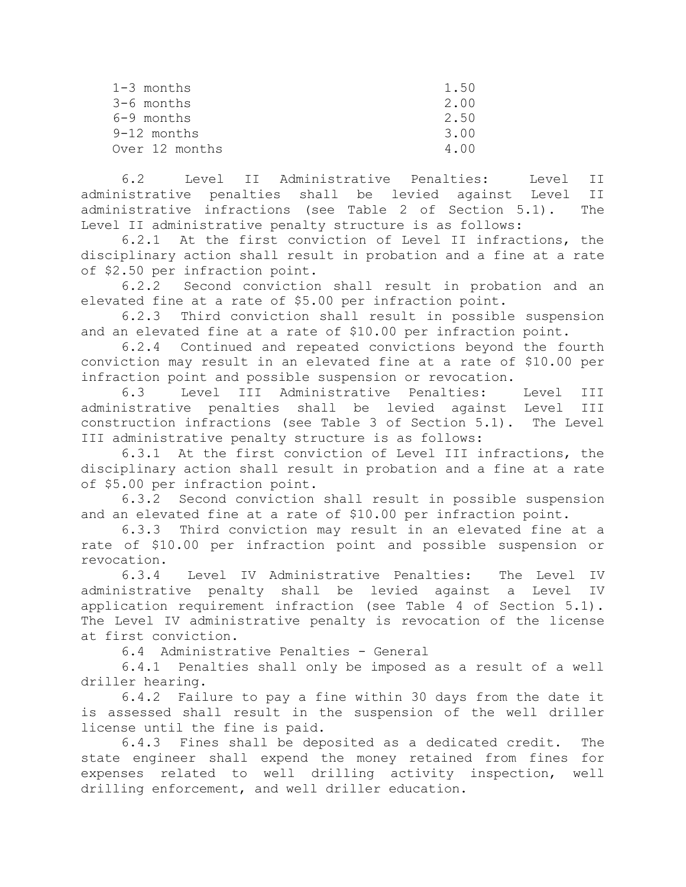| $1-3$ months   | 1.50 |
|----------------|------|
| $3-6$ months   | 2.00 |
| 6-9 months     | 2.50 |
| $9-12$ months  | 3.00 |
| Over 12 months | 400  |

6.2 Level II Administrative Penalties: Level II administrative penalties shall be levied against Level II administrative infractions (see Table 2 of Section 5.1). The Level II administrative penalty structure is as follows:

6.2.1 At the first conviction of Level II infractions, the disciplinary action shall result in probation and a fine at a rate of \$2.50 per infraction point.

6.2.2 Second conviction shall result in probation and an elevated fine at a rate of \$5.00 per infraction point.

6.2.3 Third conviction shall result in possible suspension and an elevated fine at a rate of \$10.00 per infraction point.

6.2.4 Continued and repeated convictions beyond the fourth conviction may result in an elevated fine at a rate of \$10.00 per infraction point and possible suspension or revocation.

6.3 Level III Administrative Penalties: Level III administrative penalties shall be levied against Level III construction infractions (see Table 3 of Section 5.1). The Level III administrative penalty structure is as follows:

6.3.1 At the first conviction of Level III infractions, the disciplinary action shall result in probation and a fine at a rate of \$5.00 per infraction point.

6.3.2 Second conviction shall result in possible suspension and an elevated fine at a rate of \$10.00 per infraction point.

6.3.3 Third conviction may result in an elevated fine at a rate of \$10.00 per infraction point and possible suspension or revocation.

6.3.4 Level IV Administrative Penalties: The Level IV administrative penalty shall be levied against a Level IV application requirement infraction (see Table 4 of Section 5.1). The Level IV administrative penalty is revocation of the license at first conviction.

6.4 Administrative Penalties - General

6.4.1 Penalties shall only be imposed as a result of a well driller hearing.

6.4.2 Failure to pay a fine within 30 days from the date it is assessed shall result in the suspension of the well driller license until the fine is paid.

6.4.3 Fines shall be deposited as a dedicated credit. The state engineer shall expend the money retained from fines for expenses related to well drilling activity inspection, well drilling enforcement, and well driller education.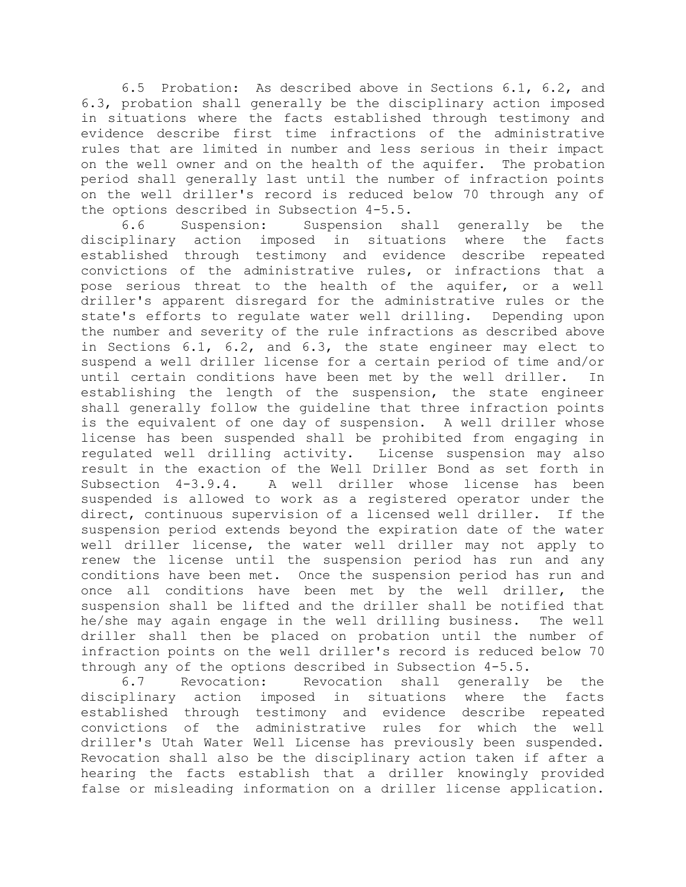6.5 Probation: As described above in Sections 6.1, 6.2, and 6.3, probation shall generally be the disciplinary action imposed in situations where the facts established through testimony and evidence describe first time infractions of the administrative rules that are limited in number and less serious in their impact on the well owner and on the health of the aquifer. The probation period shall generally last until the number of infraction points on the well driller's record is reduced below 70 through any of the options described in Subsection 4-5.5.

6.6 Suspension: Suspension shall generally be the disciplinary action imposed in situations where the facts established through testimony and evidence describe repeated convictions of the administrative rules, or infractions that a pose serious threat to the health of the aquifer, or a well driller's apparent disregard for the administrative rules or the state's efforts to regulate water well drilling. Depending upon the number and severity of the rule infractions as described above in Sections 6.1, 6.2, and 6.3, the state engineer may elect to suspend a well driller license for a certain period of time and/or until certain conditions have been met by the well driller. In establishing the length of the suspension, the state engineer shall generally follow the guideline that three infraction points is the equivalent of one day of suspension. A well driller whose license has been suspended shall be prohibited from engaging in regulated well drilling activity. License suspension may also result in the exaction of the Well Driller Bond as set forth in Subsection 4-3.9.4. A well driller whose license has been suspended is allowed to work as a registered operator under the direct, continuous supervision of a licensed well driller. If the suspension period extends beyond the expiration date of the water well driller license, the water well driller may not apply to renew the license until the suspension period has run and any conditions have been met. Once the suspension period has run and once all conditions have been met by the well driller, the suspension shall be lifted and the driller shall be notified that he/she may again engage in the well drilling business. The well driller shall then be placed on probation until the number of infraction points on the well driller's record is reduced below 70 through any of the options described in Subsection 4-5.5.

6.7 Revocation: Revocation shall generally be the disciplinary action imposed in situations where the facts established through testimony and evidence describe repeated convictions of the administrative rules for which the well driller's Utah Water Well License has previously been suspended. Revocation shall also be the disciplinary action taken if after a hearing the facts establish that a driller knowingly provided false or misleading information on a driller license application.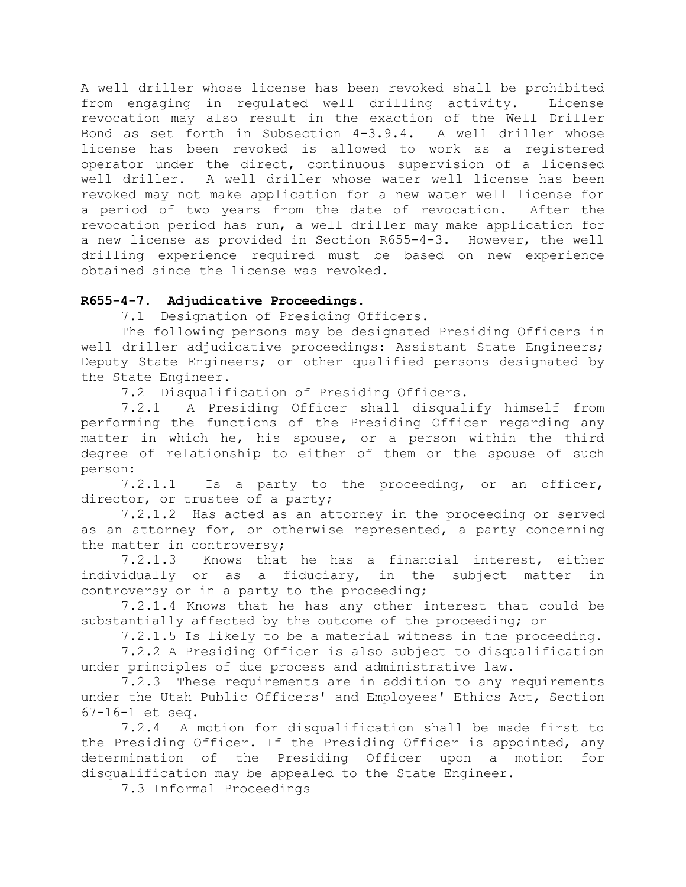A well driller whose license has been revoked shall be prohibited from engaging in regulated well drilling activity. License revocation may also result in the exaction of the Well Driller Bond as set forth in Subsection 4-3.9.4. A well driller whose license has been revoked is allowed to work as a registered operator under the direct, continuous supervision of a licensed well driller. A well driller whose water well license has been revoked may not make application for a new water well license for a period of two years from the date of revocation. After the revocation period has run, a well driller may make application for a new license as provided in Section R655-4-3. However, the well drilling experience required must be based on new experience obtained since the license was revoked.

## **R655-4-7. Adjudicative Proceedings.**

7.1 Designation of Presiding Officers.

The following persons may be designated Presiding Officers in well driller adjudicative proceedings: Assistant State Engineers; Deputy State Engineers; or other qualified persons designated by the State Engineer.

7.2 Disqualification of Presiding Officers.

7.2.1 A Presiding Officer shall disqualify himself from performing the functions of the Presiding Officer regarding any matter in which he, his spouse, or a person within the third degree of relationship to either of them or the spouse of such person:

7.2.1.1 Is a party to the proceeding, or an officer, director, or trustee of a party;

7.2.1.2 Has acted as an attorney in the proceeding or served as an attorney for, or otherwise represented, a party concerning the matter in controversy;

7.2.1.3 Knows that he has a financial interest, either individually or as a fiduciary, in the subject matter in controversy or in a party to the proceeding;

7.2.1.4 Knows that he has any other interest that could be substantially affected by the outcome of the proceeding; or

7.2.1.5 Is likely to be a material witness in the proceeding.

7.2.2 A Presiding Officer is also subject to disqualification under principles of due process and administrative law.

7.2.3 These requirements are in addition to any requirements under the Utah Public Officers' and Employees' Ethics Act, Section 67-16-1 et seq.

7.2.4 A motion for disqualification shall be made first to the Presiding Officer. If the Presiding Officer is appointed, any determination of the Presiding Officer upon a motion for disqualification may be appealed to the State Engineer.

7.3 Informal Proceedings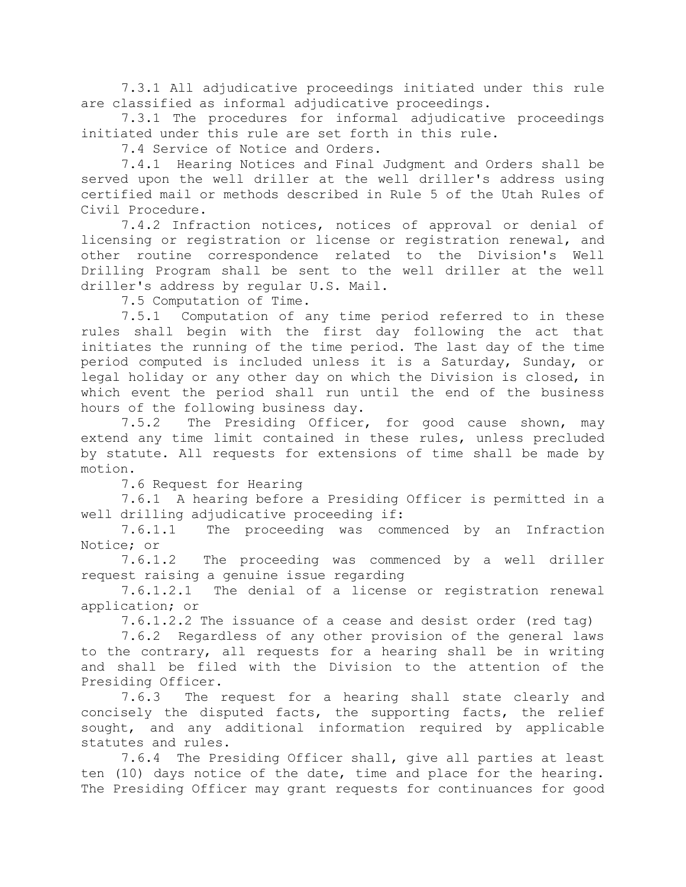7.3.1 All adjudicative proceedings initiated under this rule are classified as informal adjudicative proceedings.

7.3.1 The procedures for informal adjudicative proceedings initiated under this rule are set forth in this rule.

7.4 Service of Notice and Orders.

7.4.1 Hearing Notices and Final Judgment and Orders shall be served upon the well driller at the well driller's address using certified mail or methods described in Rule 5 of the Utah Rules of Civil Procedure.

7.4.2 Infraction notices, notices of approval or denial of licensing or registration or license or registration renewal, and other routine correspondence related to the Division's Well Drilling Program shall be sent to the well driller at the well driller's address by regular U.S. Mail.

7.5 Computation of Time.

7.5.1 Computation of any time period referred to in these rules shall begin with the first day following the act that initiates the running of the time period. The last day of the time period computed is included unless it is a Saturday, Sunday, or legal holiday or any other day on which the Division is closed, in which event the period shall run until the end of the business hours of the following business day.

7.5.2 The Presiding Officer, for good cause shown, may extend any time limit contained in these rules, unless precluded by statute. All requests for extensions of time shall be made by motion.

7.6 Request for Hearing

7.6.1 A hearing before a Presiding Officer is permitted in a well drilling adjudicative proceeding if:

7.6.1.1 The proceeding was commenced by an Infraction Notice; or

7.6.1.2 The proceeding was commenced by a well driller request raising a genuine issue regarding

7.6.1.2.1 The denial of a license or registration renewal application; or

7.6.1.2.2 The issuance of a cease and desist order (red tag)

7.6.2 Regardless of any other provision of the general laws to the contrary, all requests for a hearing shall be in writing and shall be filed with the Division to the attention of the Presiding Officer.

7.6.3 The request for a hearing shall state clearly and concisely the disputed facts, the supporting facts, the relief sought, and any additional information required by applicable statutes and rules.

7.6.4 The Presiding Officer shall, give all parties at least ten (10) days notice of the date, time and place for the hearing. The Presiding Officer may grant requests for continuances for good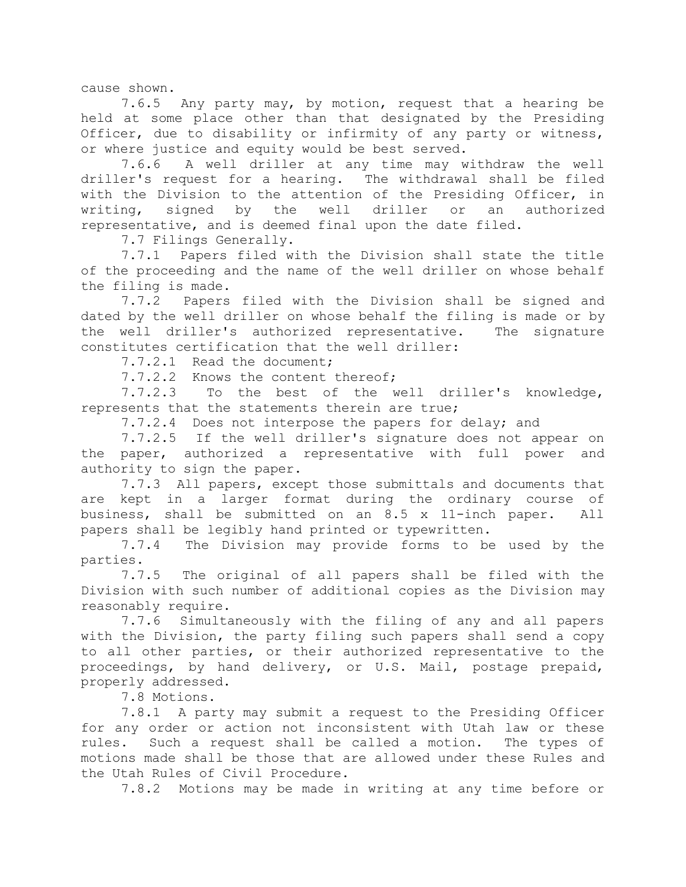cause shown.

7.6.5 Any party may, by motion, request that a hearing be held at some place other than that designated by the Presiding Officer, due to disability or infirmity of any party or witness, or where justice and equity would be best served.

7.6.6 A well driller at any time may withdraw the well driller's request for a hearing. The withdrawal shall be filed with the Division to the attention of the Presiding Officer, in writing, signed by the well driller or an authorized representative, and is deemed final upon the date filed.

7.7 Filings Generally.

7.7.1 Papers filed with the Division shall state the title of the proceeding and the name of the well driller on whose behalf the filing is made.

7.7.2 Papers filed with the Division shall be signed and dated by the well driller on whose behalf the filing is made or by the well driller's authorized representative. The signature constitutes certification that the well driller:

7.7.2.1 Read the document;

7.7.2.2 Knows the content thereof;

7.7.2.3 To the best of the well driller's knowledge, represents that the statements therein are true;

7.7.2.4 Does not interpose the papers for delay; and

7.7.2.5 If the well driller's signature does not appear on the paper, authorized a representative with full power and authority to sign the paper.

7.7.3 All papers, except those submittals and documents that are kept in a larger format during the ordinary course of business, shall be submitted on an 8.5 x 11-inch paper. All papers shall be legibly hand printed or typewritten.

7.7.4 The Division may provide forms to be used by the parties.

7.7.5 The original of all papers shall be filed with the Division with such number of additional copies as the Division may reasonably require.

7.7.6 Simultaneously with the filing of any and all papers with the Division, the party filing such papers shall send a copy to all other parties, or their authorized representative to the proceedings, by hand delivery, or U.S. Mail, postage prepaid, properly addressed.

7.8 Motions.

7.8.1 A party may submit a request to the Presiding Officer for any order or action not inconsistent with Utah law or these rules. Such a request shall be called a motion. The types of motions made shall be those that are allowed under these Rules and the Utah Rules of Civil Procedure.

7.8.2 Motions may be made in writing at any time before or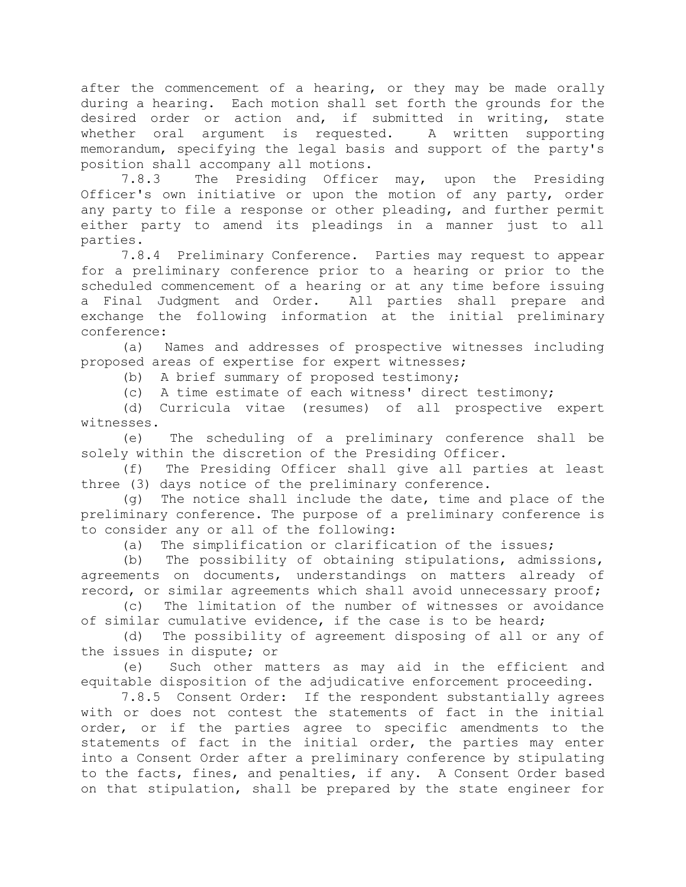after the commencement of a hearing, or they may be made orally during a hearing. Each motion shall set forth the grounds for the desired order or action and, if submitted in writing, state whether oral argument is requested. A written supporting memorandum, specifying the legal basis and support of the party's position shall accompany all motions.

7.8.3 The Presiding Officer may, upon the Presiding Officer's own initiative or upon the motion of any party, order any party to file a response or other pleading, and further permit either party to amend its pleadings in a manner just to all parties.

7.8.4 Preliminary Conference. Parties may request to appear for a preliminary conference prior to a hearing or prior to the scheduled commencement of a hearing or at any time before issuing a Final Judgment and Order. All parties shall prepare and exchange the following information at the initial preliminary conference:

(a) Names and addresses of prospective witnesses including proposed areas of expertise for expert witnesses;

(b) A brief summary of proposed testimony;

(c) A time estimate of each witness' direct testimony;

(d) Curricula vitae (resumes) of all prospective expert witnesses.

(e) The scheduling of a preliminary conference shall be solely within the discretion of the Presiding Officer.

(f) The Presiding Officer shall give all parties at least three (3) days notice of the preliminary conference.

(g) The notice shall include the date, time and place of the preliminary conference. The purpose of a preliminary conference is to consider any or all of the following:

(a) The simplification or clarification of the issues;

(b) The possibility of obtaining stipulations, admissions, agreements on documents, understandings on matters already of record, or similar agreements which shall avoid unnecessary proof;

(c) The limitation of the number of witnesses or avoidance of similar cumulative evidence, if the case is to be heard;

(d) The possibility of agreement disposing of all or any of the issues in dispute; or

(e) Such other matters as may aid in the efficient and equitable disposition of the adjudicative enforcement proceeding.

7.8.5 Consent Order: If the respondent substantially agrees with or does not contest the statements of fact in the initial order, or if the parties agree to specific amendments to the statements of fact in the initial order, the parties may enter into a Consent Order after a preliminary conference by stipulating to the facts, fines, and penalties, if any. A Consent Order based on that stipulation, shall be prepared by the state engineer for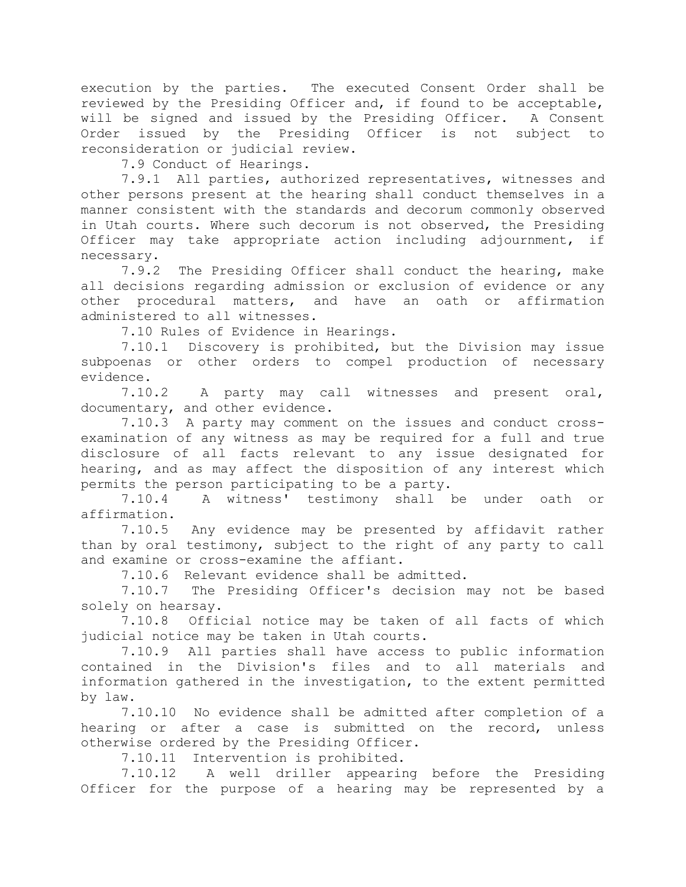execution by the parties. The executed Consent Order shall be reviewed by the Presiding Officer and, if found to be acceptable, will be signed and issued by the Presiding Officer. A Consent Order issued by the Presiding Officer is not subject to reconsideration or judicial review.

7.9 Conduct of Hearings.

7.9.1 All parties, authorized representatives, witnesses and other persons present at the hearing shall conduct themselves in a manner consistent with the standards and decorum commonly observed in Utah courts. Where such decorum is not observed, the Presiding Officer may take appropriate action including adjournment, if necessary.

7.9.2 The Presiding Officer shall conduct the hearing, make all decisions regarding admission or exclusion of evidence or any other procedural matters, and have an oath or affirmation administered to all witnesses.

7.10 Rules of Evidence in Hearings.

7.10.1 Discovery is prohibited, but the Division may issue subpoenas or other orders to compel production of necessary evidence.

7.10.2 A party may call witnesses and present oral, documentary, and other evidence.

7.10.3 A party may comment on the issues and conduct crossexamination of any witness as may be required for a full and true disclosure of all facts relevant to any issue designated for hearing, and as may affect the disposition of any interest which permits the person participating to be a party.

7.10.4 A witness' testimony shall be under oath or affirmation.

7.10.5 Any evidence may be presented by affidavit rather than by oral testimony, subject to the right of any party to call and examine or cross-examine the affiant.

7.10.6 Relevant evidence shall be admitted.

7.10.7 The Presiding Officer's decision may not be based solely on hearsay.

7.10.8 Official notice may be taken of all facts of which judicial notice may be taken in Utah courts.

7.10.9 All parties shall have access to public information contained in the Division's files and to all materials and information gathered in the investigation, to the extent permitted by law.

7.10.10 No evidence shall be admitted after completion of a hearing or after a case is submitted on the record, unless otherwise ordered by the Presiding Officer.

7.10.11 Intervention is prohibited.

7.10.12 A well driller appearing before the Presiding Officer for the purpose of a hearing may be represented by a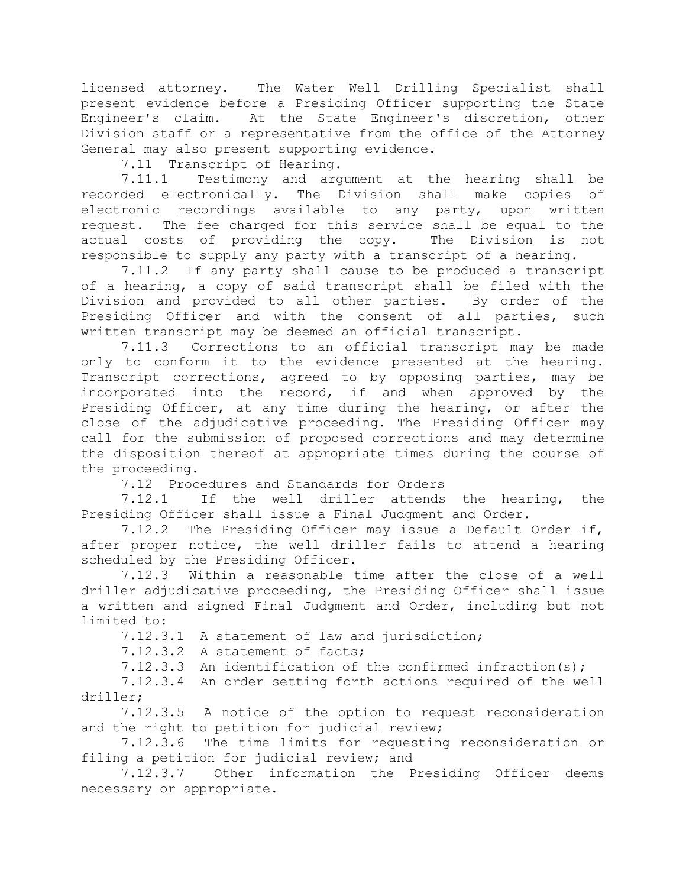licensed attorney. The Water Well Drilling Specialist shall present evidence before a Presiding Officer supporting the State Engineer's claim. At the State Engineer's discretion, other Division staff or a representative from the office of the Attorney General may also present supporting evidence.

7.11 Transcript of Hearing.

7.11.1 Testimony and argument at the hearing shall be recorded electronically. The Division shall make copies of electronic recordings available to any party, upon written request. The fee charged for this service shall be equal to the actual costs of providing the copy. The Division is not responsible to supply any party with a transcript of a hearing.

7.11.2 If any party shall cause to be produced a transcript of a hearing, a copy of said transcript shall be filed with the Division and provided to all other parties. By order of the Presiding Officer and with the consent of all parties, such written transcript may be deemed an official transcript.

7.11.3 Corrections to an official transcript may be made only to conform it to the evidence presented at the hearing. Transcript corrections, agreed to by opposing parties, may be incorporated into the record, if and when approved by the Presiding Officer, at any time during the hearing, or after the close of the adjudicative proceeding. The Presiding Officer may call for the submission of proposed corrections and may determine the disposition thereof at appropriate times during the course of the proceeding.

7.12 Procedures and Standards for Orders

7.12.1 If the well driller attends the hearing, the Presiding Officer shall issue a Final Judgment and Order.

7.12.2 The Presiding Officer may issue a Default Order if, after proper notice, the well driller fails to attend a hearing scheduled by the Presiding Officer.

7.12.3 Within a reasonable time after the close of a well driller adjudicative proceeding, the Presiding Officer shall issue a written and signed Final Judgment and Order, including but not limited to:

7.12.3.1 A statement of law and jurisdiction;

7.12.3.2 A statement of facts;

7.12.3.3 An identification of the confirmed infraction(s);

7.12.3.4 An order setting forth actions required of the well driller;

7.12.3.5 A notice of the option to request reconsideration and the right to petition for judicial review;

7.12.3.6 The time limits for requesting reconsideration or filing a petition for judicial review; and

7.12.3.7 Other information the Presiding Officer deems necessary or appropriate.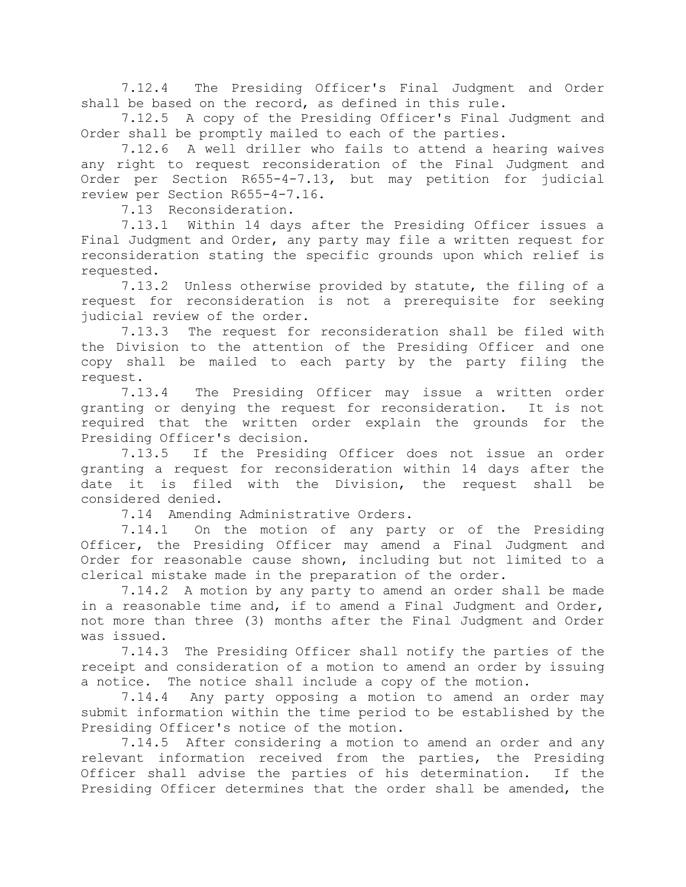7.12.4 The Presiding Officer's Final Judgment and Order shall be based on the record, as defined in this rule.

7.12.5 A copy of the Presiding Officer's Final Judgment and Order shall be promptly mailed to each of the parties.

7.12.6 A well driller who fails to attend a hearing waives any right to request reconsideration of the Final Judgment and Order per Section R655-4-7.13, but may petition for judicial review per Section R655-4-7.16.

7.13 Reconsideration.

7.13.1 Within 14 days after the Presiding Officer issues a Final Judgment and Order, any party may file a written request for reconsideration stating the specific grounds upon which relief is requested.

7.13.2 Unless otherwise provided by statute, the filing of a request for reconsideration is not a prerequisite for seeking judicial review of the order.

7.13.3 The request for reconsideration shall be filed with the Division to the attention of the Presiding Officer and one copy shall be mailed to each party by the party filing the request.

7.13.4 The Presiding Officer may issue a written order granting or denying the request for reconsideration. It is not required that the written order explain the grounds for the Presiding Officer's decision.

7.13.5 If the Presiding Officer does not issue an order granting a request for reconsideration within 14 days after the date it is filed with the Division, the request shall be considered denied.

7.14 Amending Administrative Orders.

7.14.1 On the motion of any party or of the Presiding Officer, the Presiding Officer may amend a Final Judgment and Order for reasonable cause shown, including but not limited to a clerical mistake made in the preparation of the order.

7.14.2 A motion by any party to amend an order shall be made in a reasonable time and, if to amend a Final Judgment and Order, not more than three (3) months after the Final Judgment and Order was issued.

7.14.3 The Presiding Officer shall notify the parties of the receipt and consideration of a motion to amend an order by issuing a notice. The notice shall include a copy of the motion.

7.14.4 Any party opposing a motion to amend an order may submit information within the time period to be established by the Presiding Officer's notice of the motion.

7.14.5 After considering a motion to amend an order and any relevant information received from the parties, the Presiding Officer shall advise the parties of his determination. If the Presiding Officer determines that the order shall be amended, the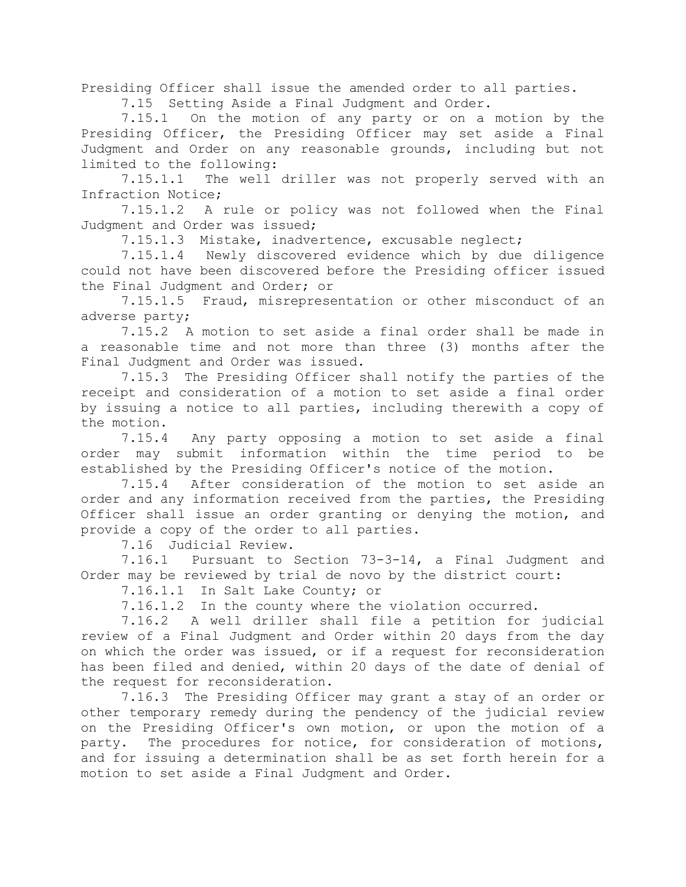Presiding Officer shall issue the amended order to all parties.

7.15 Setting Aside a Final Judgment and Order.

7.15.1 On the motion of any party or on a motion by the Presiding Officer, the Presiding Officer may set aside a Final Judgment and Order on any reasonable grounds, including but not limited to the following:

7.15.1.1 The well driller was not properly served with an Infraction Notice;

7.15.1.2 A rule or policy was not followed when the Final Judgment and Order was issued;

7.15.1.3 Mistake, inadvertence, excusable neglect;

7.15.1.4 Newly discovered evidence which by due diligence could not have been discovered before the Presiding officer issued the Final Judgment and Order; or

7.15.1.5 Fraud, misrepresentation or other misconduct of an adverse party;

7.15.2 A motion to set aside a final order shall be made in a reasonable time and not more than three (3) months after the Final Judgment and Order was issued.

7.15.3 The Presiding Officer shall notify the parties of the receipt and consideration of a motion to set aside a final order by issuing a notice to all parties, including therewith a copy of the motion.

7.15.4 Any party opposing a motion to set aside a final order may submit information within the time period to be established by the Presiding Officer's notice of the motion.

7.15.4 After consideration of the motion to set aside an order and any information received from the parties, the Presiding Officer shall issue an order granting or denying the motion, and provide a copy of the order to all parties.

7.16 Judicial Review.

7.16.1 Pursuant to Section 73-3-14, a Final Judgment and Order may be reviewed by trial de novo by the district court:

7.16.1.1 In Salt Lake County; or

7.16.1.2 In the county where the violation occurred.

7.16.2 A well driller shall file a petition for judicial review of a Final Judgment and Order within 20 days from the day on which the order was issued, or if a request for reconsideration has been filed and denied, within 20 days of the date of denial of the request for reconsideration.

7.16.3 The Presiding Officer may grant a stay of an order or other temporary remedy during the pendency of the judicial review on the Presiding Officer's own motion, or upon the motion of a party. The procedures for notice, for consideration of motions, and for issuing a determination shall be as set forth herein for a motion to set aside a Final Judgment and Order.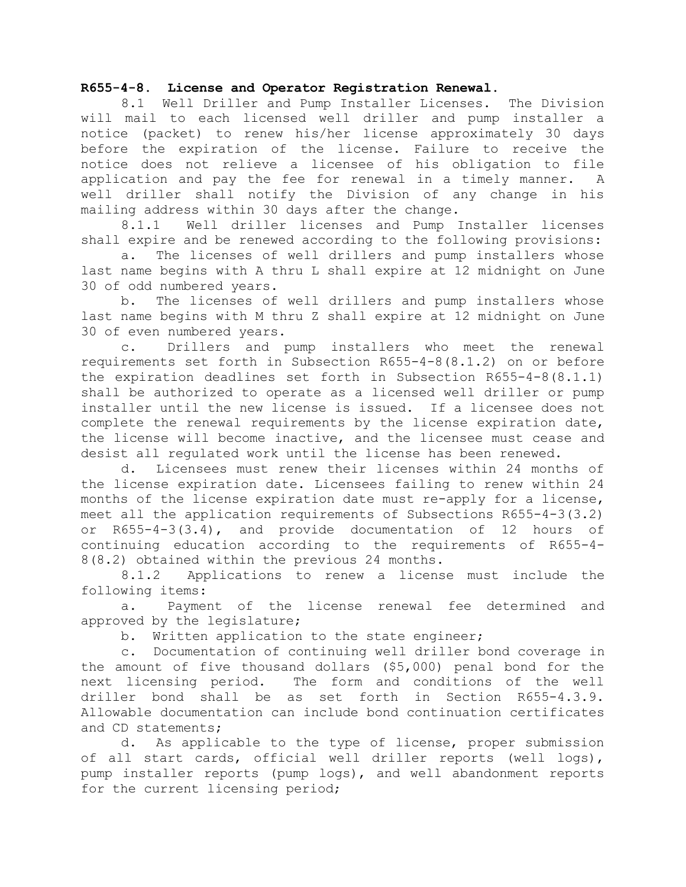### **R655-4-8. License and Operator Registration Renewal.**

8.1 Well Driller and Pump Installer Licenses. The Division will mail to each licensed well driller and pump installer a notice (packet) to renew his/her license approximately 30 days before the expiration of the license. Failure to receive the notice does not relieve a licensee of his obligation to file application and pay the fee for renewal in a timely manner. A well driller shall notify the Division of any change in his mailing address within 30 days after the change.

8.1.1 Well driller licenses and Pump Installer licenses shall expire and be renewed according to the following provisions:

a. The licenses of well drillers and pump installers whose last name begins with A thru L shall expire at 12 midnight on June 30 of odd numbered years.

b. The licenses of well drillers and pump installers whose last name begins with M thru Z shall expire at 12 midnight on June 30 of even numbered years.

c. Drillers and pump installers who meet the renewal requirements set forth in Subsection R655-4-8(8.1.2) on or before the expiration deadlines set forth in Subsection R655-4-8(8.1.1) shall be authorized to operate as a licensed well driller or pump installer until the new license is issued. If a licensee does not complete the renewal requirements by the license expiration date, the license will become inactive, and the licensee must cease and desist all regulated work until the license has been renewed.

d. Licensees must renew their licenses within 24 months of the license expiration date. Licensees failing to renew within 24 months of the license expiration date must re-apply for a license, meet all the application requirements of Subsections R655-4-3(3.2) or R655-4-3(3.4), and provide documentation of 12 hours of continuing education according to the requirements of R655-4- 8(8.2) obtained within the previous 24 months.

8.1.2 Applications to renew a license must include the following items:

a. Payment of the license renewal fee determined and approved by the legislature;

b. Written application to the state engineer;

c. Documentation of continuing well driller bond coverage in the amount of five thousand dollars (\$5,000) penal bond for the next licensing period. The form and conditions of the well driller bond shall be as set forth in Section R655-4.3.9. Allowable documentation can include bond continuation certificates and CD statements;

d. As applicable to the type of license, proper submission of all start cards, official well driller reports (well logs), pump installer reports (pump logs), and well abandonment reports for the current licensing period;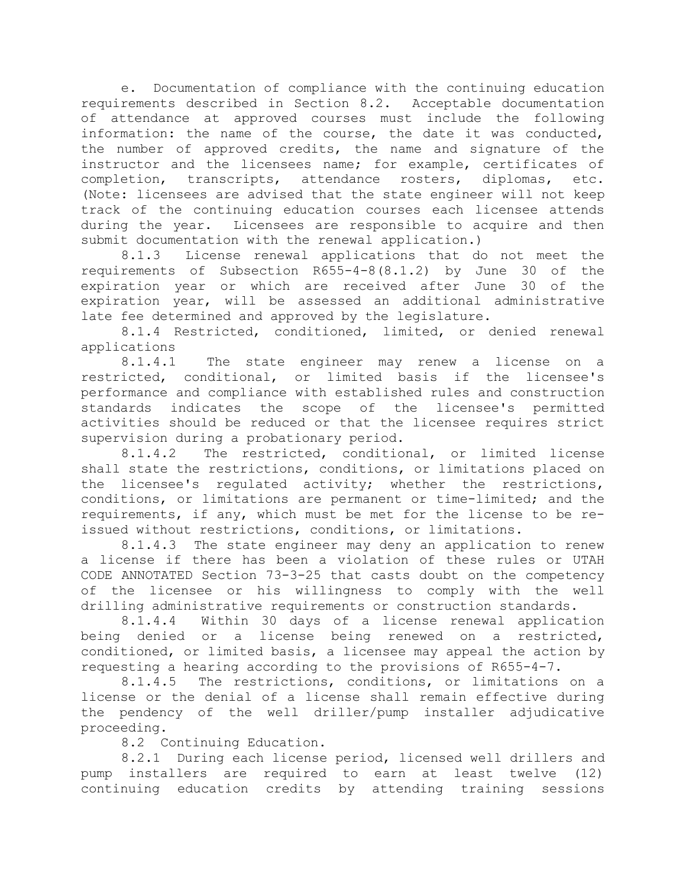e. Documentation of compliance with the continuing education requirements described in Section 8.2. Acceptable documentation of attendance at approved courses must include the following information: the name of the course, the date it was conducted, the number of approved credits, the name and signature of the instructor and the licensees name; for example, certificates of completion, transcripts, attendance rosters, diplomas, etc. (Note: licensees are advised that the state engineer will not keep track of the continuing education courses each licensee attends during the year. Licensees are responsible to acquire and then submit documentation with the renewal application.)

8.1.3 License renewal applications that do not meet the requirements of Subsection R655-4-8(8.1.2) by June 30 of the expiration year or which are received after June 30 of the expiration year, will be assessed an additional administrative late fee determined and approved by the legislature.

8.1.4 Restricted, conditioned, limited, or denied renewal applications

8.1.4.1 The state engineer may renew a license on a restricted, conditional, or limited basis if the licensee's performance and compliance with established rules and construction standards indicates the scope of the licensee's permitted activities should be reduced or that the licensee requires strict supervision during a probationary period.

8.1.4.2 The restricted, conditional, or limited license shall state the restrictions, conditions, or limitations placed on the licensee's regulated activity; whether the restrictions, conditions, or limitations are permanent or time-limited; and the requirements, if any, which must be met for the license to be reissued without restrictions, conditions, or limitations.

8.1.4.3 The state engineer may deny an application to renew a license if there has been a violation of these rules or UTAH CODE ANNOTATED Section 73-3-25 that casts doubt on the competency of the licensee or his willingness to comply with the well drilling administrative requirements or construction standards.

8.1.4.4 Within 30 days of a license renewal application being denied or a license being renewed on a restricted, conditioned, or limited basis, a licensee may appeal the action by requesting a hearing according to the provisions of R655-4-7.

8.1.4.5 The restrictions, conditions, or limitations on a license or the denial of a license shall remain effective during the pendency of the well driller/pump installer adjudicative proceeding.

8.2 Continuing Education.

8.2.1 During each license period, licensed well drillers and pump installers are required to earn at least twelve (12) continuing education credits by attending training sessions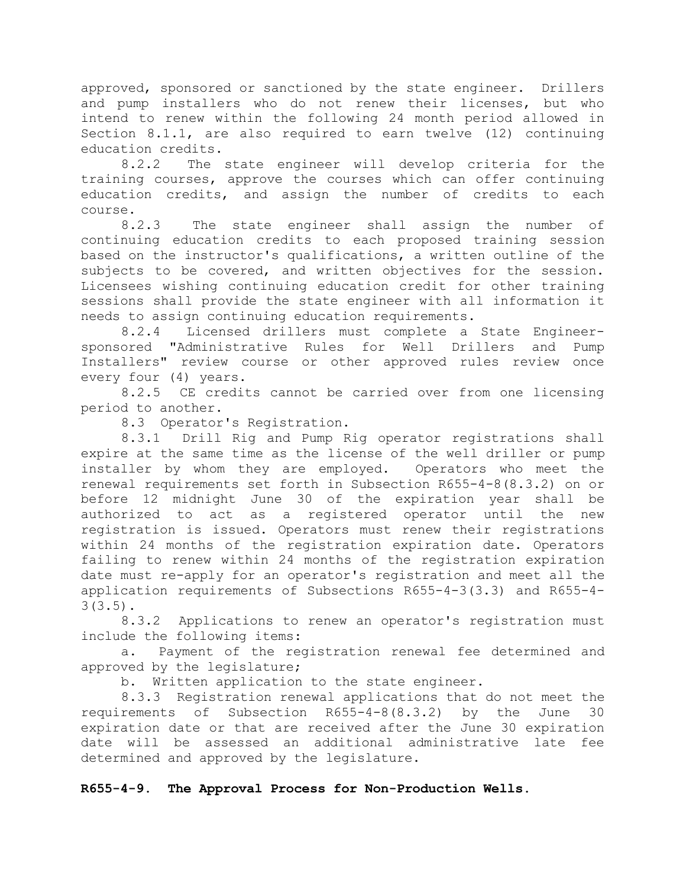approved, sponsored or sanctioned by the state engineer. Drillers and pump installers who do not renew their licenses, but who intend to renew within the following 24 month period allowed in Section 8.1.1, are also required to earn twelve (12) continuing education credits.

8.2.2 The state engineer will develop criteria for the training courses, approve the courses which can offer continuing education credits, and assign the number of credits to each course.

8.2.3 The state engineer shall assign the number of continuing education credits to each proposed training session based on the instructor's qualifications, a written outline of the subjects to be covered, and written objectives for the session. Licensees wishing continuing education credit for other training sessions shall provide the state engineer with all information it needs to assign continuing education requirements.

8.2.4 Licensed drillers must complete a State Engineersponsored "Administrative Rules for Well Drillers and Pump Installers" review course or other approved rules review once every four (4) years.

8.2.5 CE credits cannot be carried over from one licensing period to another.

8.3 Operator's Registration.

8.3.1 Drill Rig and Pump Rig operator registrations shall expire at the same time as the license of the well driller or pump installer by whom they are employed. Operators who meet the renewal requirements set forth in Subsection R655-4-8(8.3.2) on or before 12 midnight June 30 of the expiration year shall be authorized to act as a registered operator until the new registration is issued. Operators must renew their registrations within 24 months of the registration expiration date. Operators failing to renew within 24 months of the registration expiration date must re-apply for an operator's registration and meet all the application requirements of Subsections R655-4-3(3.3) and R655-4- 3(3.5).

8.3.2 Applications to renew an operator's registration must include the following items:

a. Payment of the registration renewal fee determined and approved by the legislature;

b. Written application to the state engineer.

8.3.3 Registration renewal applications that do not meet the requirements of Subsection R655-4-8(8.3.2) by the June 30 expiration date or that are received after the June 30 expiration date will be assessed an additional administrative late fee determined and approved by the legislature.

# **R655-4-9. The Approval Process for Non-Production Wells.**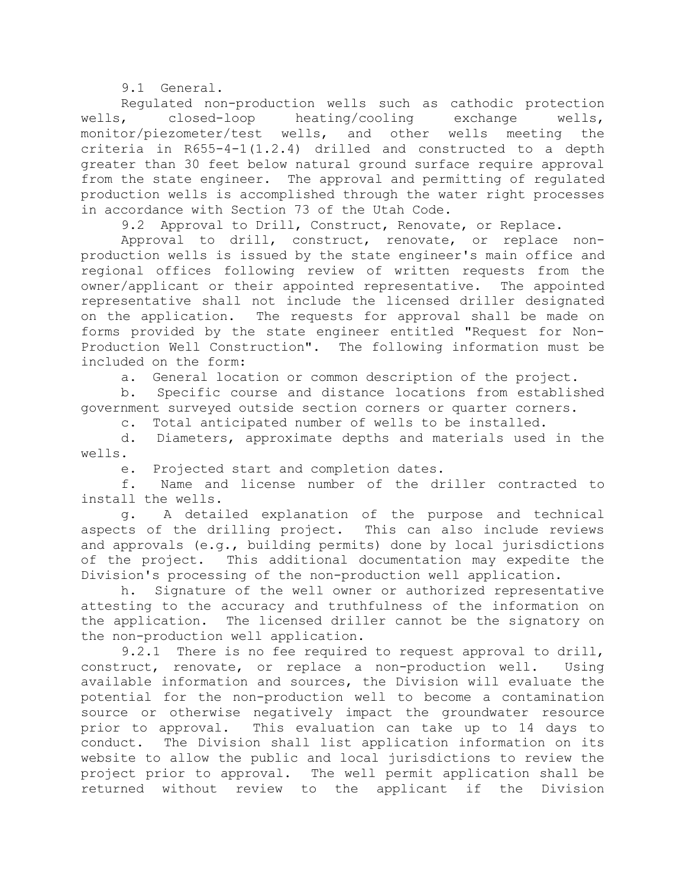9.1 General.

Regulated non-production wells such as cathodic protection wells, closed-loop heating/cooling exchange wells, monitor/piezometer/test wells, and other wells meeting the criteria in R655-4-1(1.2.4) drilled and constructed to a depth greater than 30 feet below natural ground surface require approval from the state engineer. The approval and permitting of regulated production wells is accomplished through the water right processes in accordance with Section 73 of the Utah Code.

9.2 Approval to Drill, Construct, Renovate, or Replace.

Approval to drill, construct, renovate, or replace nonproduction wells is issued by the state engineer's main office and regional offices following review of written requests from the owner/applicant or their appointed representative. The appointed representative shall not include the licensed driller designated on the application. The requests for approval shall be made on forms provided by the state engineer entitled "Request for Non-Production Well Construction". The following information must be included on the form:

a. General location or common description of the project.

b. Specific course and distance locations from established government surveyed outside section corners or quarter corners.

c. Total anticipated number of wells to be installed.

d. Diameters, approximate depths and materials used in the wells.

e. Projected start and completion dates.

f. Name and license number of the driller contracted to install the wells.

g. A detailed explanation of the purpose and technical aspects of the drilling project. This can also include reviews and approvals (e.g., building permits) done by local jurisdictions of the project. This additional documentation may expedite the Division's processing of the non-production well application.

h. Signature of the well owner or authorized representative attesting to the accuracy and truthfulness of the information on the application. The licensed driller cannot be the signatory on the non-production well application.

9.2.1 There is no fee required to request approval to drill, construct, renovate, or replace a non-production well. Using available information and sources, the Division will evaluate the potential for the non-production well to become a contamination source or otherwise negatively impact the groundwater resource prior to approval. This evaluation can take up to 14 days to conduct. The Division shall list application information on its website to allow the public and local jurisdictions to review the project prior to approval. The well permit application shall be returned without review to the applicant if the Division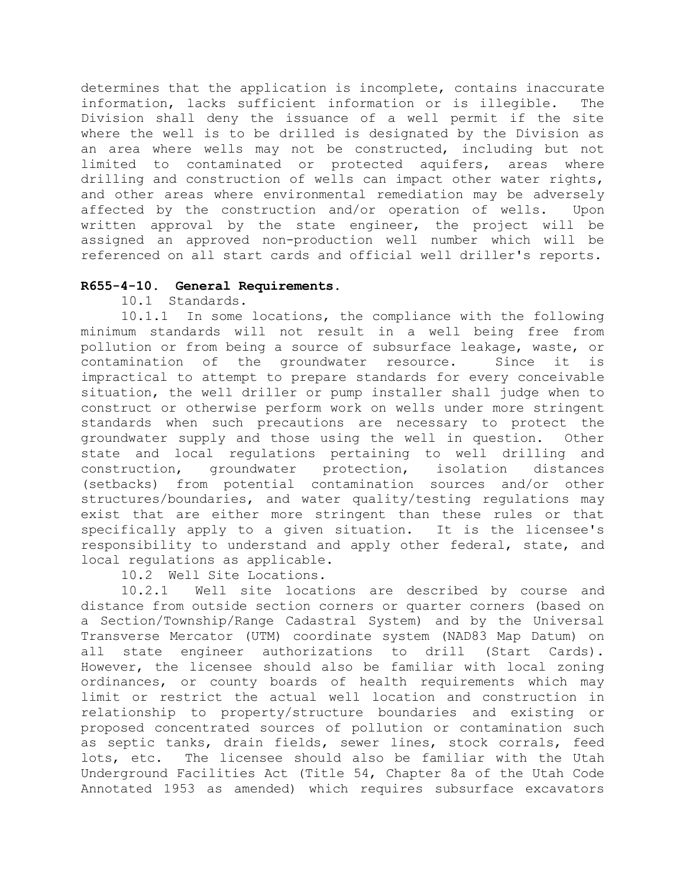determines that the application is incomplete, contains inaccurate information, lacks sufficient information or is illegible. The Division shall deny the issuance of a well permit if the site where the well is to be drilled is designated by the Division as an area where wells may not be constructed, including but not limited to contaminated or protected aquifers, areas where drilling and construction of wells can impact other water rights, and other areas where environmental remediation may be adversely affected by the construction and/or operation of wells. Upon written approval by the state engineer, the project will be assigned an approved non-production well number which will be referenced on all start cards and official well driller's reports.

## **R655-4-10. General Requirements.**

10.1 Standards.

10.1.1 In some locations, the compliance with the following minimum standards will not result in a well being free from pollution or from being a source of subsurface leakage, waste, or contamination of the groundwater resource. Since it is impractical to attempt to prepare standards for every conceivable situation, the well driller or pump installer shall judge when to construct or otherwise perform work on wells under more stringent standards when such precautions are necessary to protect the groundwater supply and those using the well in question. Other state and local regulations pertaining to well drilling and construction, groundwater protection, isolation distances (setbacks) from potential contamination sources and/or other structures/boundaries, and water quality/testing regulations may exist that are either more stringent than these rules or that specifically apply to a given situation. It is the licensee's responsibility to understand and apply other federal, state, and local regulations as applicable.

10.2 Well Site Locations.

10.2.1 Well site locations are described by course and distance from outside section corners or quarter corners (based on a Section/Township/Range Cadastral System) and by the Universal Transverse Mercator (UTM) coordinate system (NAD83 Map Datum) on all state engineer authorizations to drill (Start Cards). However, the licensee should also be familiar with local zoning ordinances, or county boards of health requirements which may limit or restrict the actual well location and construction in relationship to property/structure boundaries and existing or proposed concentrated sources of pollution or contamination such as septic tanks, drain fields, sewer lines, stock corrals, feed lots, etc. The licensee should also be familiar with the Utah Underground Facilities Act (Title 54, Chapter 8a of the Utah Code Annotated 1953 as amended) which requires subsurface excavators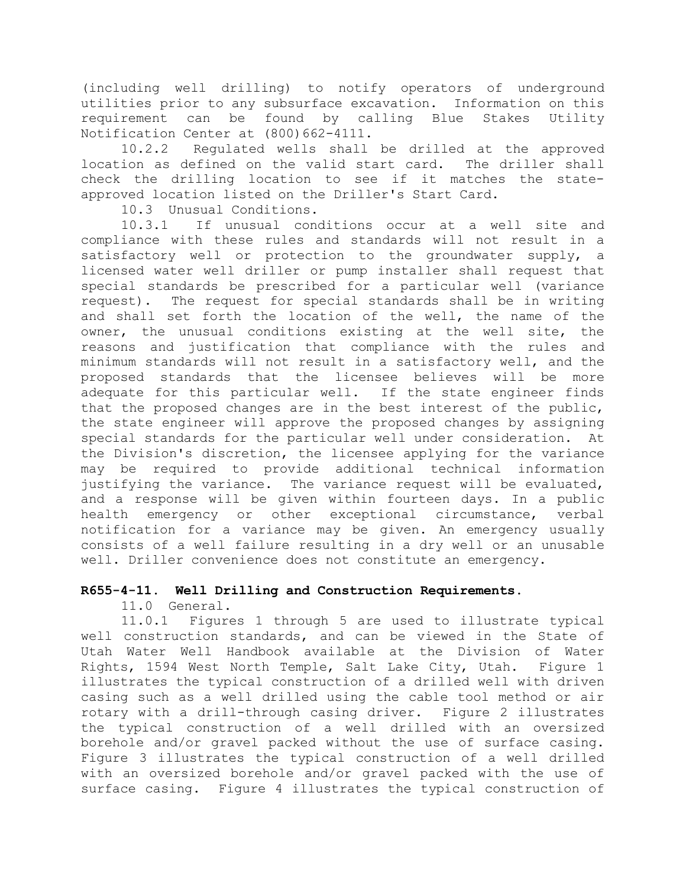(including well drilling) to notify operators of underground utilities prior to any subsurface excavation. Information on this requirement can be found by calling Blue Stakes Utility Notification Center at (800)662-4111.

10.2.2 Regulated wells shall be drilled at the approved location as defined on the valid start card. The driller shall check the drilling location to see if it matches the stateapproved location listed on the Driller's Start Card.

10.3 Unusual Conditions.

10.3.1 If unusual conditions occur at a well site and compliance with these rules and standards will not result in a satisfactory well or protection to the groundwater supply, a licensed water well driller or pump installer shall request that special standards be prescribed for a particular well (variance request). The request for special standards shall be in writing and shall set forth the location of the well, the name of the owner, the unusual conditions existing at the well site, the reasons and justification that compliance with the rules and minimum standards will not result in a satisfactory well, and the proposed standards that the licensee believes will be more adequate for this particular well. If the state engineer finds that the proposed changes are in the best interest of the public, the state engineer will approve the proposed changes by assigning special standards for the particular well under consideration. At the Division's discretion, the licensee applying for the variance may be required to provide additional technical information justifying the variance. The variance request will be evaluated, and a response will be given within fourteen days. In a public health emergency or other exceptional circumstance, verbal notification for a variance may be given. An emergency usually consists of a well failure resulting in a dry well or an unusable well. Driller convenience does not constitute an emergency.

# **R655-4-11. Well Drilling and Construction Requirements.**

11.0 General.

11.0.1 Figures 1 through 5 are used to illustrate typical well construction standards, and can be viewed in the State of Utah Water Well Handbook available at the Division of Water Rights, 1594 West North Temple, Salt Lake City, Utah. Figure 1 illustrates the typical construction of a drilled well with driven casing such as a well drilled using the cable tool method or air rotary with a drill-through casing driver. Figure 2 illustrates the typical construction of a well drilled with an oversized borehole and/or gravel packed without the use of surface casing. Figure 3 illustrates the typical construction of a well drilled with an oversized borehole and/or gravel packed with the use of surface casing. Figure 4 illustrates the typical construction of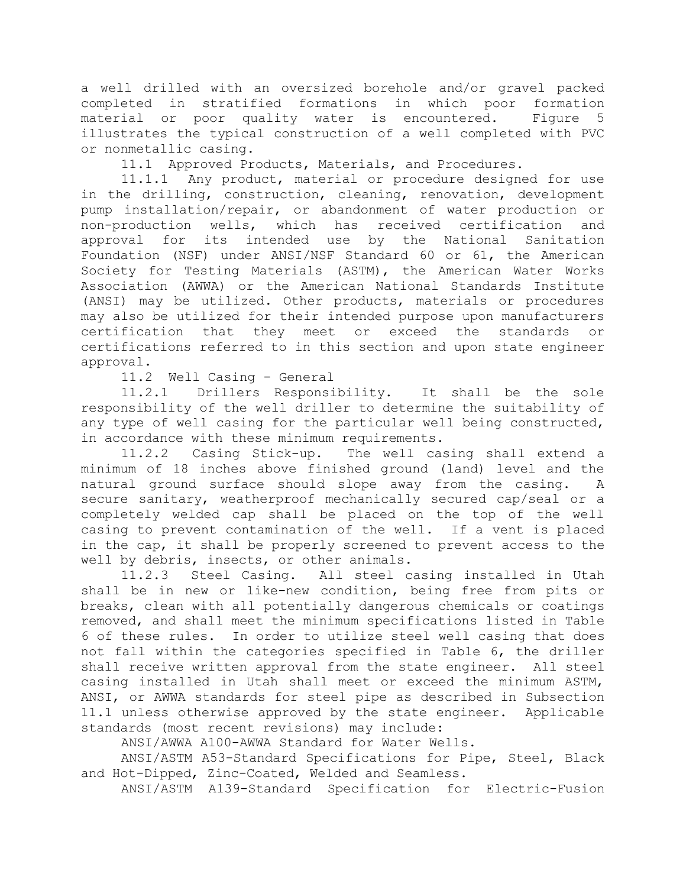a well drilled with an oversized borehole and/or gravel packed completed in stratified formations in which poor formation material or poor quality water is encountered. Figure 5 illustrates the typical construction of a well completed with PVC or nonmetallic casing.

11.1 Approved Products, Materials, and Procedures.

11.1.1 Any product, material or procedure designed for use in the drilling, construction, cleaning, renovation, development pump installation/repair, or abandonment of water production or non-production wells, which has received certification and approval for its intended use by the National Sanitation Foundation (NSF) under ANSI/NSF Standard 60 or 61, the American Society for Testing Materials (ASTM), the American Water Works Association (AWWA) or the American National Standards Institute (ANSI) may be utilized. Other products, materials or procedures may also be utilized for their intended purpose upon manufacturers certification that they meet or exceed the standards or certifications referred to in this section and upon state engineer approval.

11.2 Well Casing - General

11.2.1 Drillers Responsibility. It shall be the sole responsibility of the well driller to determine the suitability of any type of well casing for the particular well being constructed, in accordance with these minimum requirements.

11.2.2 Casing Stick-up. The well casing shall extend a minimum of 18 inches above finished ground (land) level and the natural ground surface should slope away from the casing. A secure sanitary, weatherproof mechanically secured cap/seal or a completely welded cap shall be placed on the top of the well casing to prevent contamination of the well. If a vent is placed in the cap, it shall be properly screened to prevent access to the well by debris, insects, or other animals.

11.2.3 Steel Casing. All steel casing installed in Utah shall be in new or like-new condition, being free from pits or breaks, clean with all potentially dangerous chemicals or coatings removed, and shall meet the minimum specifications listed in Table 6 of these rules. In order to utilize steel well casing that does not fall within the categories specified in Table 6, the driller shall receive written approval from the state engineer. All steel casing installed in Utah shall meet or exceed the minimum ASTM, ANSI, or AWWA standards for steel pipe as described in Subsection 11.1 unless otherwise approved by the state engineer. Applicable standards (most recent revisions) may include:

ANSI/AWWA A100-AWWA Standard for Water Wells.

ANSI/ASTM A53-Standard Specifications for Pipe, Steel, Black and Hot-Dipped, Zinc-Coated, Welded and Seamless.

ANSI/ASTM A139-Standard Specification for Electric-Fusion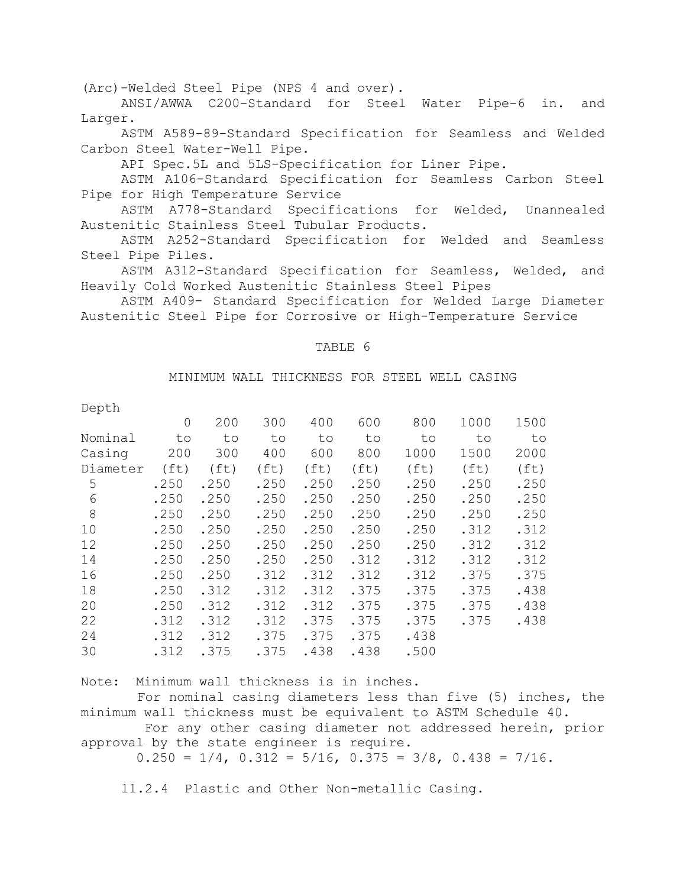(Arc)-Welded Steel Pipe (NPS 4 and over).

ANSI/AWWA C200-Standard for Steel Water Pipe-6 in. and Larger.

ASTM A589-89-Standard Specification for Seamless and Welded Carbon Steel Water-Well Pipe.

API Spec.5L and 5LS-Specification for Liner Pipe.

ASTM A106-Standard Specification for Seamless Carbon Steel Pipe for High Temperature Service

ASTM A778-Standard Specifications for Welded, Unannealed Austenitic Stainless Steel Tubular Products.

ASTM A252-Standard Specification for Welded and Seamless Steel Pipe Piles.

ASTM A312-Standard Specification for Seamless, Welded, and Heavily Cold Worked Austenitic Stainless Steel Pipes

ASTM A409- Standard Specification for Welded Large Diameter Austenitic Steel Pipe for Corrosive or High-Temperature Service

#### TABLE 6

#### MINIMUM WALL THICKNESS FOR STEEL WELL CASING

| Depth    |                   |                   |                   |                   |                   |                   |                   |                   |
|----------|-------------------|-------------------|-------------------|-------------------|-------------------|-------------------|-------------------|-------------------|
|          | $\Omega$          | 200               | 300               | 400               | 600               | 800               | 1000              | 1500              |
| Nominal  | to                | to                | to                | to                | to                | to                | to                | to                |
| Casing   | 200               | 300               | 400               | 600               | 800               | 1000              | 1500              | 2000              |
| Diameter | (f <sub>t</sub> ) | (f <sub>t</sub> ) | (f <sub>t</sub> ) | (f <sub>t</sub> ) | (f <sub>t</sub> ) | (f <sub>t</sub> ) | (f <sub>t</sub> ) | (f <sub>t</sub> ) |
| 5        | .250              | .250              | .250              | .250              | .250              | .250              | .250              | .250              |
| 6        | .250              | .250              | .250              | .250              | .250              | .250              | .250              | .250              |
| 8        | .250              | .250              | .250              | .250              | .250              | .250              | .250              | .250              |
| 10       | .250              | .250              | .250              | .250              | .250              | .250              | .312              | .312              |
| 12       | .250              | .250              | .250              | .250              | .250              | .250              | .312              | .312              |
| 14       | .250              | .250              | .250              | .250              | .312              | .312              | .312              | .312              |
| 16       | .250              | .250              | .312              | .312              | .312              | .312              | .375              | .375              |
| 18       | .250              | .312              | .312              | .312              | .375              | .375              | .375              | .438              |
| 20       | .250              | .312              | .312              | .312              | .375              | .375              | .375              | .438              |
| 22       | .312              | .312              | .312              | .375              | .375              | .375              | .375              | .438              |
| 24       | .312              | .312              | .375              | .375              | .375              | .438              |                   |                   |
| 30       | .312              | .375              | .375              | .438              | .438              | .500              |                   |                   |
|          |                   |                   |                   |                   |                   |                   |                   |                   |

Note: Minimum wall thickness is in inches.

 For nominal casing diameters less than five (5) inches, the minimum wall thickness must be equivalent to ASTM Schedule 40.

 For any other casing diameter not addressed herein, prior approval by the state engineer is require.

 $0.250 = 1/4$ ,  $0.312 = 5/16$ ,  $0.375 = 3/8$ ,  $0.438 = 7/16$ .

11.2.4 Plastic and Other Non-metallic Casing.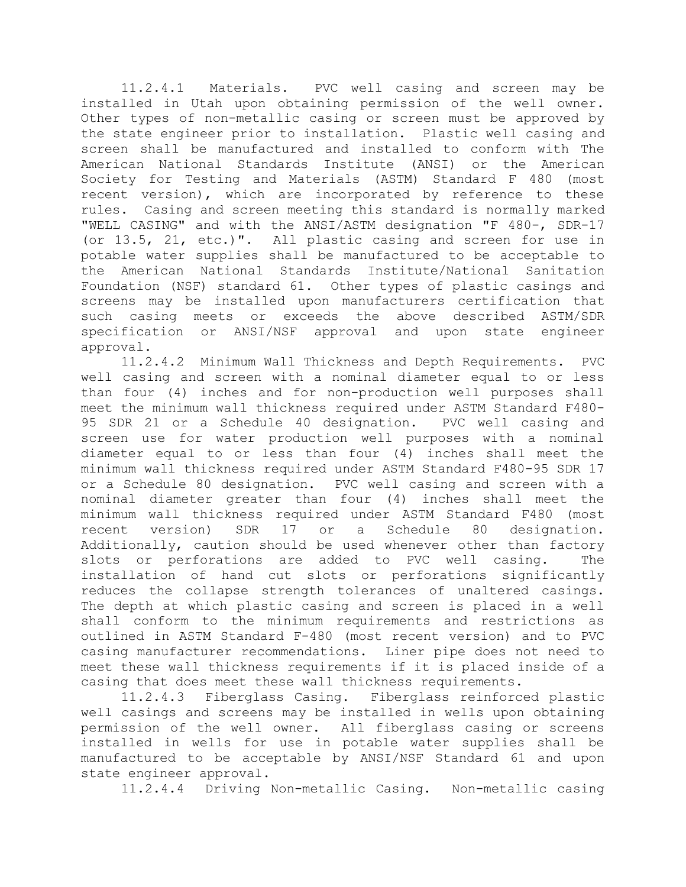11.2.4.1 Materials. PVC well casing and screen may be installed in Utah upon obtaining permission of the well owner. Other types of non-metallic casing or screen must be approved by the state engineer prior to installation. Plastic well casing and screen shall be manufactured and installed to conform with The American National Standards Institute (ANSI) or the American Society for Testing and Materials (ASTM) Standard F 480 (most recent version), which are incorporated by reference to these rules. Casing and screen meeting this standard is normally marked "WELL CASING" and with the ANSI/ASTM designation "F 480-, SDR-17 (or 13.5, 21, etc.)". All plastic casing and screen for use in potable water supplies shall be manufactured to be acceptable to the American National Standards Institute/National Sanitation Foundation (NSF) standard 61. Other types of plastic casings and screens may be installed upon manufacturers certification that such casing meets or exceeds the above described ASTM/SDR specification or ANSI/NSF approval and upon state engineer approval.

11.2.4.2 Minimum Wall Thickness and Depth Requirements. PVC well casing and screen with a nominal diameter equal to or less than four (4) inches and for non-production well purposes shall meet the minimum wall thickness required under ASTM Standard F480- 95 SDR 21 or a Schedule 40 designation. PVC well casing and screen use for water production well purposes with a nominal diameter equal to or less than four (4) inches shall meet the minimum wall thickness required under ASTM Standard F480-95 SDR 17 or a Schedule 80 designation. PVC well casing and screen with a nominal diameter greater than four (4) inches shall meet the minimum wall thickness required under ASTM Standard F480 (most recent version) SDR 17 or a Schedule 80 designation. Additionally, caution should be used whenever other than factory slots or perforations are added to PVC well casing. The installation of hand cut slots or perforations significantly reduces the collapse strength tolerances of unaltered casings. The depth at which plastic casing and screen is placed in a well shall conform to the minimum requirements and restrictions as outlined in ASTM Standard F-480 (most recent version) and to PVC casing manufacturer recommendations. Liner pipe does not need to meet these wall thickness requirements if it is placed inside of a casing that does meet these wall thickness requirements.

11.2.4.3 Fiberglass Casing. Fiberglass reinforced plastic well casings and screens may be installed in wells upon obtaining permission of the well owner. All fiberglass casing or screens installed in wells for use in potable water supplies shall be manufactured to be acceptable by ANSI/NSF Standard 61 and upon state engineer approval.

11.2.4.4 Driving Non-metallic Casing. Non-metallic casing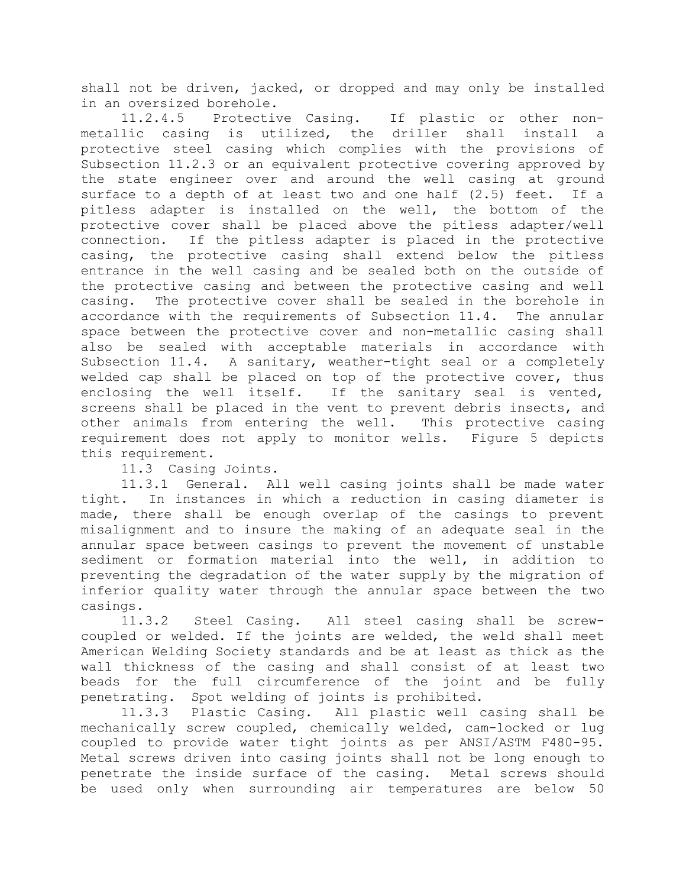shall not be driven, jacked, or dropped and may only be installed in an oversized borehole.

11.2.4.5 Protective Casing. If plastic or other nonmetallic casing is utilized, the driller shall install a protective steel casing which complies with the provisions of Subsection 11.2.3 or an equivalent protective covering approved by the state engineer over and around the well casing at ground surface to a depth of at least two and one half (2.5) feet. If a pitless adapter is installed on the well, the bottom of the protective cover shall be placed above the pitless adapter/well connection. If the pitless adapter is placed in the protective casing, the protective casing shall extend below the pitless entrance in the well casing and be sealed both on the outside of the protective casing and between the protective casing and well casing. The protective cover shall be sealed in the borehole in accordance with the requirements of Subsection 11.4. The annular space between the protective cover and non-metallic casing shall also be sealed with acceptable materials in accordance with Subsection 11.4. A sanitary, weather-tight seal or a completely welded cap shall be placed on top of the protective cover, thus enclosing the well itself. If the sanitary seal is vented, screens shall be placed in the vent to prevent debris insects, and other animals from entering the well. This protective casing requirement does not apply to monitor wells. Figure 5 depicts this requirement.

11.3 Casing Joints.

11.3.1 General. All well casing joints shall be made water tight. In instances in which a reduction in casing diameter is made, there shall be enough overlap of the casings to prevent misalignment and to insure the making of an adequate seal in the annular space between casings to prevent the movement of unstable sediment or formation material into the well, in addition to preventing the degradation of the water supply by the migration of inferior quality water through the annular space between the two casings.

11.3.2 Steel Casing. All steel casing shall be screwcoupled or welded. If the joints are welded, the weld shall meet American Welding Society standards and be at least as thick as the wall thickness of the casing and shall consist of at least two beads for the full circumference of the joint and be fully penetrating. Spot welding of joints is prohibited.

11.3.3 Plastic Casing. All plastic well casing shall be mechanically screw coupled, chemically welded, cam-locked or lug coupled to provide water tight joints as per ANSI/ASTM F480-95. Metal screws driven into casing joints shall not be long enough to penetrate the inside surface of the casing. Metal screws should be used only when surrounding air temperatures are below 50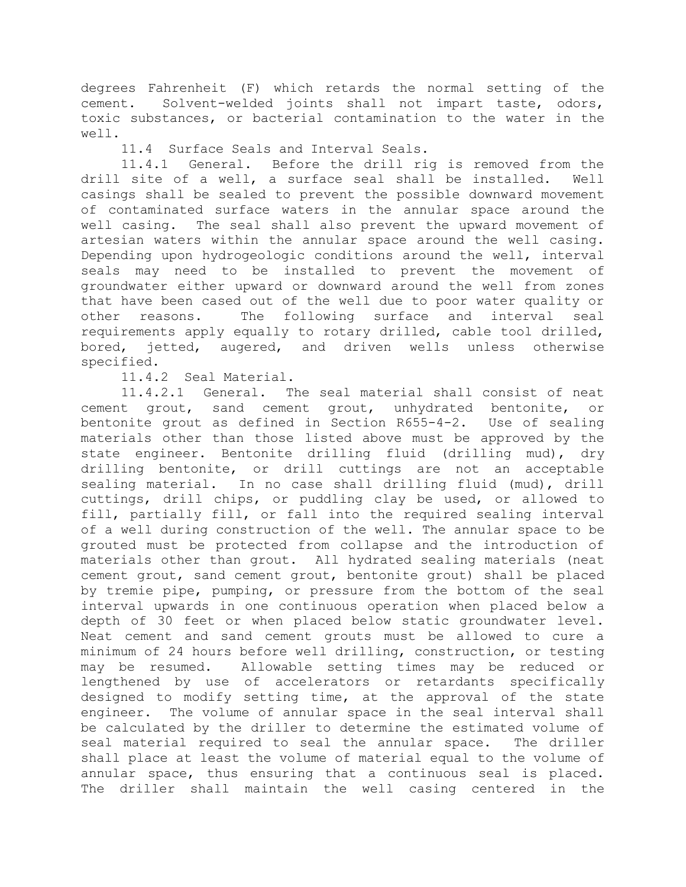degrees Fahrenheit (F) which retards the normal setting of the cement. Solvent-welded joints shall not impart taste, odors, toxic substances, or bacterial contamination to the water in the well.

11.4 Surface Seals and Interval Seals.

11.4.1 General. Before the drill rig is removed from the drill site of a well, a surface seal shall be installed. Well casings shall be sealed to prevent the possible downward movement of contaminated surface waters in the annular space around the well casing. The seal shall also prevent the upward movement of artesian waters within the annular space around the well casing. Depending upon hydrogeologic conditions around the well, interval seals may need to be installed to prevent the movement of groundwater either upward or downward around the well from zones that have been cased out of the well due to poor water quality or other reasons. The following surface and interval seal requirements apply equally to rotary drilled, cable tool drilled, bored, jetted, augered, and driven wells unless otherwise specified.

11.4.2 Seal Material.

11.4.2.1 General. The seal material shall consist of neat cement grout, sand cement grout, unhydrated bentonite, or bentonite grout as defined in Section R655-4-2. Use of sealing materials other than those listed above must be approved by the state engineer. Bentonite drilling fluid (drilling mud), dry drilling bentonite, or drill cuttings are not an acceptable sealing material. In no case shall drilling fluid (mud), drill cuttings, drill chips, or puddling clay be used, or allowed to fill, partially fill, or fall into the required sealing interval of a well during construction of the well. The annular space to be grouted must be protected from collapse and the introduction of materials other than grout. All hydrated sealing materials (neat cement grout, sand cement grout, bentonite grout) shall be placed by tremie pipe, pumping, or pressure from the bottom of the seal interval upwards in one continuous operation when placed below a depth of 30 feet or when placed below static groundwater level. Neat cement and sand cement grouts must be allowed to cure a minimum of 24 hours before well drilling, construction, or testing may be resumed. Allowable setting times may be reduced or lengthened by use of accelerators or retardants specifically designed to modify setting time, at the approval of the state engineer. The volume of annular space in the seal interval shall be calculated by the driller to determine the estimated volume of seal material required to seal the annular space. The driller shall place at least the volume of material equal to the volume of annular space, thus ensuring that a continuous seal is placed. The driller shall maintain the well casing centered in the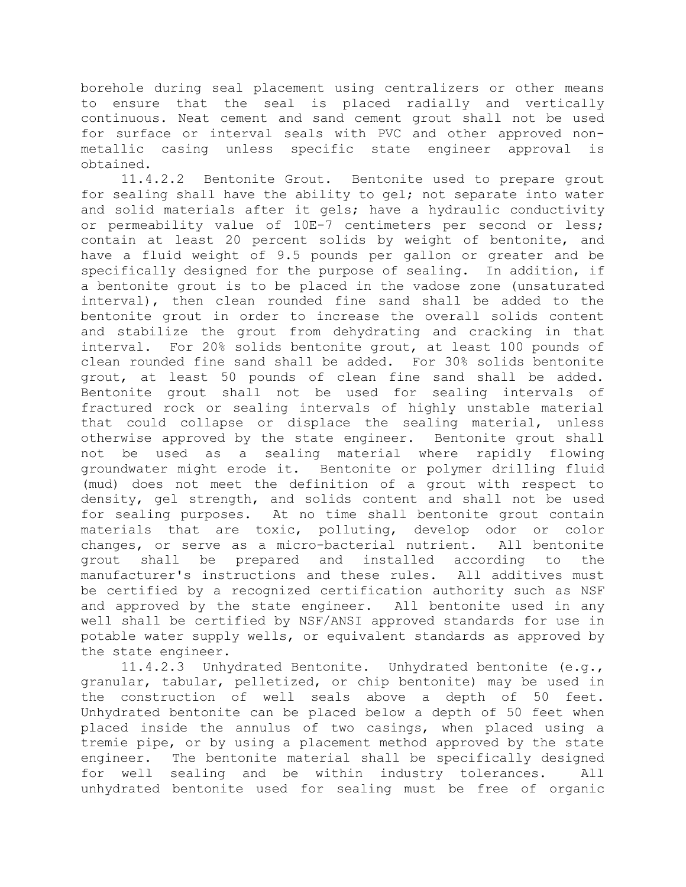borehole during seal placement using centralizers or other means to ensure that the seal is placed radially and vertically continuous. Neat cement and sand cement grout shall not be used for surface or interval seals with PVC and other approved nonmetallic casing unless specific state engineer approval is

 $obtained.$ <br> $11.4.2.2$ Bentonite Grout. Bentonite used to prepare grout for sealing shall have the ability to gel; not separate into water and solid materials after it gels; have a hydraulic conductivity or permeability value of 10E-7 centimeters per second or less; contain at least 20 percent solids by weight of bentonite, and have a fluid weight of 9.5 pounds per gallon or greater and be specifically designed for the purpose of sealing. In addition, if a bentonite grout is to be placed in the vadose zone (unsaturated interval), then clean rounded fine sand shall be added to the bentonite grout in order to increase the overall solids content and stabilize the grout from dehydrating and cracking in that interval. For 20% solids bentonite grout, at least 100 pounds of clean rounded fine sand shall be added. For 30% solids bentonite grout, at least 50 pounds of clean fine sand shall be added. Bentonite grout shall not be used for sealing intervals of fractured rock or sealing intervals of highly unstable material that could collapse or displace the sealing material, unless otherwise approved by the state engineer. Bentonite grout shall not be used as a sealing material where rapidly flowing groundwater might erode it. Bentonite or polymer drilling fluid (mud) does not meet the definition of a grout with respect to density, gel strength, and solids content and shall not be used for sealing purposes. At no time shall bentonite grout contain materials that are toxic, polluting, develop odor or color changes, or serve as a micro-bacterial nutrient. All bentonite grout shall be prepared and installed according to the manufacturer's instructions and these rules. All additives must be certified by a recognized certification authority such as NSF and approved by the state engineer. All bentonite used in any well shall be certified by NSF/ANSI approved standards for use in potable water supply wells, or equivalent standards as approved by the state engineer.

11.4.2.3 Unhydrated Bentonite. Unhydrated bentonite (e.g., granular, tabular, pelletized, or chip bentonite) may be used in the construction of well seals above a depth of 50 feet. Unhydrated bentonite can be placed below a depth of 50 feet when placed inside the annulus of two casings, when placed using a tremie pipe, or by using a placement method approved by the state engineer. The bentonite material shall be specifically designed for well sealing and be within industry tolerances. All unhydrated bentonite used for sealing must be free of organic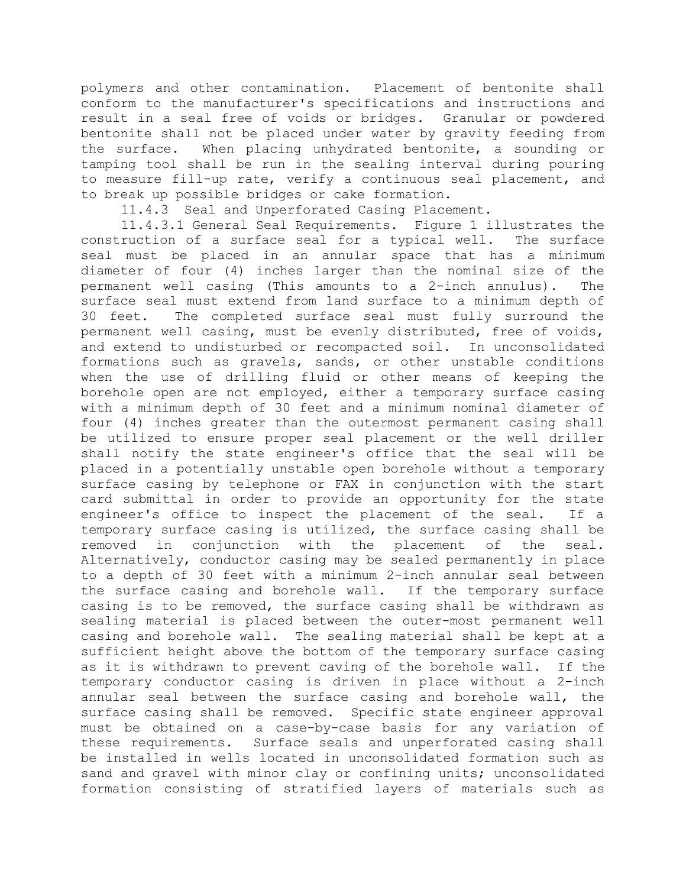polymers and other contamination. Placement of bentonite shall conform to the manufacturer's specifications and instructions and result in a seal free of voids or bridges. Granular or powdered bentonite shall not be placed under water by gravity feeding from the surface. When placing unhydrated bentonite, a sounding or tamping tool shall be run in the sealing interval during pouring to measure fill-up rate, verify a continuous seal placement, and to break up possible bridges or cake formation.

11.4.3 Seal and Unperforated Casing Placement.

11.4.3.1 General Seal Requirements. Figure 1 illustrates the construction of a surface seal for a typical well. The surface seal must be placed in an annular space that has a minimum diameter of four (4) inches larger than the nominal size of the permanent well casing (This amounts to a 2-inch annulus). The surface seal must extend from land surface to a minimum depth of 30 feet. The completed surface seal must fully surround the permanent well casing, must be evenly distributed, free of voids, and extend to undisturbed or recompacted soil. In unconsolidated formations such as gravels, sands, or other unstable conditions when the use of drilling fluid or other means of keeping the borehole open are not employed, either a temporary surface casing with a minimum depth of 30 feet and a minimum nominal diameter of four (4) inches greater than the outermost permanent casing shall be utilized to ensure proper seal placement or the well driller shall notify the state engineer's office that the seal will be placed in a potentially unstable open borehole without a temporary surface casing by telephone or FAX in conjunction with the start card submittal in order to provide an opportunity for the state engineer's office to inspect the placement of the seal. If a temporary surface casing is utilized, the surface casing shall be removed in conjunction with the placement of the seal. Alternatively, conductor casing may be sealed permanently in place to a depth of 30 feet with a minimum 2-inch annular seal between the surface casing and borehole wall. If the temporary surface casing is to be removed, the surface casing shall be withdrawn as sealing material is placed between the outer-most permanent well casing and borehole wall. The sealing material shall be kept at a sufficient height above the bottom of the temporary surface casing as it is withdrawn to prevent caving of the borehole wall. If the temporary conductor casing is driven in place without a 2-inch annular seal between the surface casing and borehole wall, the surface casing shall be removed. Specific state engineer approval must be obtained on a case-by-case basis for any variation of these requirements. Surface seals and unperforated casing shall be installed in wells located in unconsolidated formation such as sand and gravel with minor clay or confining units; unconsolidated formation consisting of stratified layers of materials such as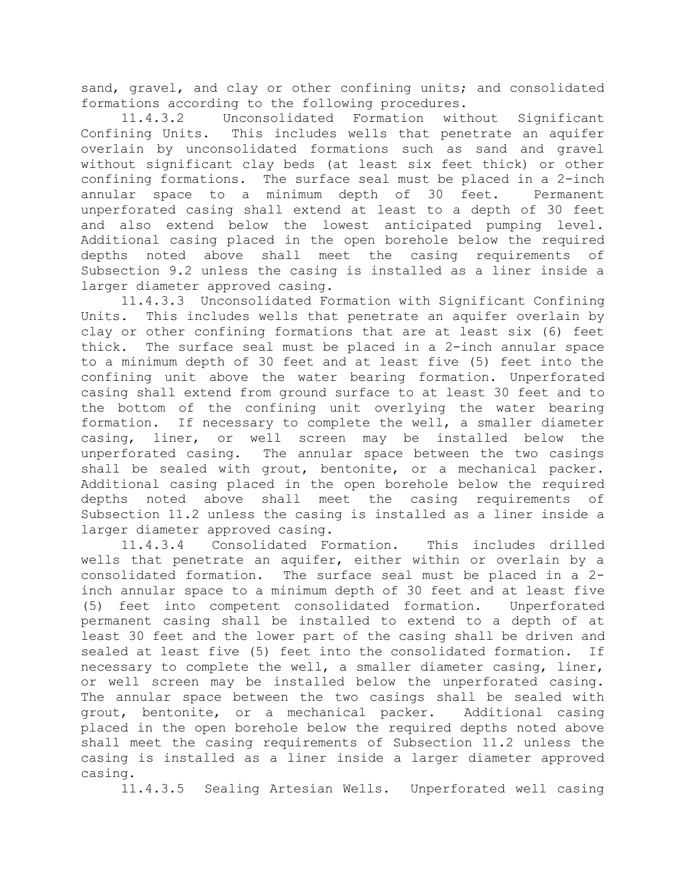sand, gravel, and clay or other confining units; and consolidated formations according to the following procedures.

11.4.3.2 Unconsolidated Formation without Significant Confining Units. This includes wells that penetrate an aquifer overlain by unconsolidated formations such as sand and gravel without significant clay beds (at least six feet thick) or other confining formations. The surface seal must be placed in a 2-inch annular space to a minimum depth of 30 feet. Permanent unperforated casing shall extend at least to a depth of 30 feet and also extend below the lowest anticipated pumping level. Additional casing placed in the open borehole below the required depths noted above shall meet the casing requirements of Subsection 9.2 unless the casing is installed as a liner inside a larger diameter approved casing.

11.4.3.3 Unconsolidated Formation with Significant Confining Units. This includes wells that penetrate an aquifer overlain by clay or other confining formations that are at least six (6) feet thick. The surface seal must be placed in a 2-inch annular space to a minimum depth of 30 feet and at least five (5) feet into the confining unit above the water bearing formation. Unperforated casing shall extend from ground surface to at least 30 feet and to the bottom of the confining unit overlying the water bearing formation. If necessary to complete the well, a smaller diameter casing, liner, or well screen may be installed below the unperforated casing. The annular space between the two casings shall be sealed with grout, bentonite, or a mechanical packer. Additional casing placed in the open borehole below the required depths noted above shall meet the casing requirements of Subsection 11.2 unless the casing is installed as a liner inside a larger diameter approved casing.

11.4.3.4 Consolidated Formation. This includes drilled wells that penetrate an aquifer, either within or overlain by a consolidated formation. The surface seal must be placed in a 2 inch annular space to a minimum depth of 30 feet and at least five (5) feet into competent consolidated formation. Unperforated permanent casing shall be installed to extend to a depth of at least 30 feet and the lower part of the casing shall be driven and sealed at least five (5) feet into the consolidated formation. If necessary to complete the well, a smaller diameter casing, liner, or well screen may be installed below the unperforated casing. The annular space between the two casings shall be sealed with grout, bentonite, or a mechanical packer. Additional casing placed in the open borehole below the required depths noted above shall meet the casing requirements of Subsection 11.2 unless the casing is installed as a liner inside a larger diameter approved casing.

11.4.3.5 Sealing Artesian Wells. Unperforated well casing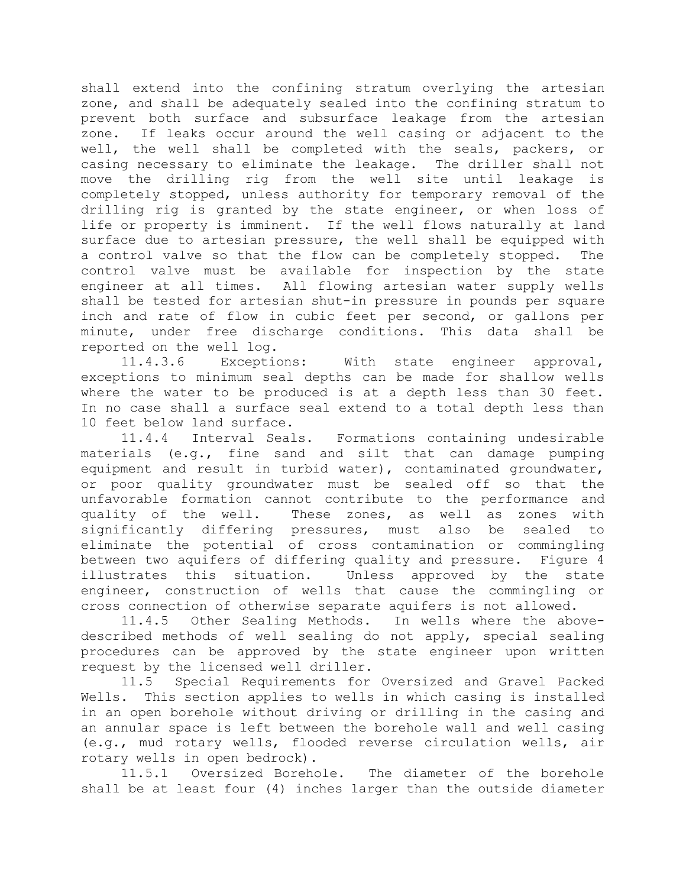shall extend into the confining stratum overlying the artesian zone, and shall be adequately sealed into the confining stratum to prevent both surface and subsurface leakage from the artesian zone. If leaks occur around the well casing or adjacent to the well, the well shall be completed with the seals, packers, or casing necessary to eliminate the leakage. The driller shall not move the drilling rig from the well site until leakage is completely stopped, unless authority for temporary removal of the drilling rig is granted by the state engineer, or when loss of life or property is imminent. If the well flows naturally at land surface due to artesian pressure, the well shall be equipped with a control valve so that the flow can be completely stopped. The control valve must be available for inspection by the state engineer at all times. All flowing artesian water supply wells shall be tested for artesian shut-in pressure in pounds per square inch and rate of flow in cubic feet per second, or gallons per minute, under free discharge conditions. This data shall be reported on the well log.

11.4.3.6 Exceptions: With state engineer approval, exceptions to minimum seal depths can be made for shallow wells where the water to be produced is at a depth less than 30 feet. In no case shall a surface seal extend to a total depth less than 10 feet below land surface.

11.4.4 Interval Seals. Formations containing undesirable materials (e.g., fine sand and silt that can damage pumping equipment and result in turbid water), contaminated groundwater, or poor quality groundwater must be sealed off so that the unfavorable formation cannot contribute to the performance and quality of the well. These zones, as well as zones with significantly differing pressures, must also be sealed to eliminate the potential of cross contamination or commingling between two aquifers of differing quality and pressure. Figure 4 illustrates this situation. Unless approved by the state engineer, construction of wells that cause the commingling or cross connection of otherwise separate aquifers is not allowed.

11.4.5 Other Sealing Methods. In wells where the abovedescribed methods of well sealing do not apply, special sealing procedures can be approved by the state engineer upon written request by the licensed well driller.

11.5 Special Requirements for Oversized and Gravel Packed Wells. This section applies to wells in which casing is installed in an open borehole without driving or drilling in the casing and an annular space is left between the borehole wall and well casing (e.g., mud rotary wells, flooded reverse circulation wells, air rotary wells in open bedrock).

11.5.1 Oversized Borehole. The diameter of the borehole shall be at least four (4) inches larger than the outside diameter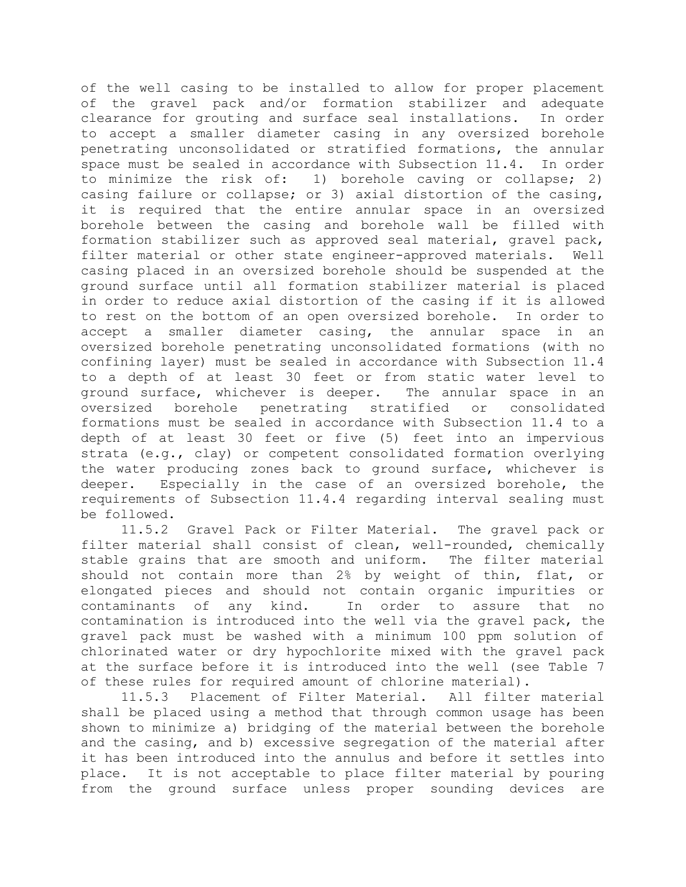of the well casing to be installed to allow for proper placement of the gravel pack and/or formation stabilizer and adequate clearance for grouting and surface seal installations. In order to accept a smaller diameter casing in any oversized borehole penetrating unconsolidated or stratified formations, the annular space must be sealed in accordance with Subsection 11.4. In order to minimize the risk of: 1) borehole caving or collapse; 2) casing failure or collapse; or 3) axial distortion of the casing, it is required that the entire annular space in an oversized borehole between the casing and borehole wall be filled with formation stabilizer such as approved seal material, gravel pack, filter material or other state engineer-approved materials. Well casing placed in an oversized borehole should be suspended at the ground surface until all formation stabilizer material is placed in order to reduce axial distortion of the casing if it is allowed to rest on the bottom of an open oversized borehole. In order to accept a smaller diameter casing, the annular space in an oversized borehole penetrating unconsolidated formations (with no confining layer) must be sealed in accordance with Subsection 11.4 to a depth of at least 30 feet or from static water level to ground surface, whichever is deeper. The annular space in an oversized borehole penetrating stratified or consolidated formations must be sealed in accordance with Subsection 11.4 to a depth of at least 30 feet or five (5) feet into an impervious strata (e.g., clay) or competent consolidated formation overlying the water producing zones back to ground surface, whichever is deeper. Especially in the case of an oversized borehole, the requirements of Subsection 11.4.4 regarding interval sealing must be followed.

11.5.2 Gravel Pack or Filter Material. The gravel pack or filter material shall consist of clean, well-rounded, chemically stable grains that are smooth and uniform. The filter material should not contain more than 2% by weight of thin, flat, or elongated pieces and should not contain organic impurities or contaminants of any kind. In order to assure that no contamination is introduced into the well via the gravel pack, the gravel pack must be washed with a minimum 100 ppm solution of chlorinated water or dry hypochlorite mixed with the gravel pack at the surface before it is introduced into the well (see Table 7 of these rules for required amount of chlorine material).

11.5.3 Placement of Filter Material. All filter material shall be placed using a method that through common usage has been shown to minimize a) bridging of the material between the borehole and the casing, and b) excessive segregation of the material after it has been introduced into the annulus and before it settles into place. It is not acceptable to place filter material by pouring from the ground surface unless proper sounding devices are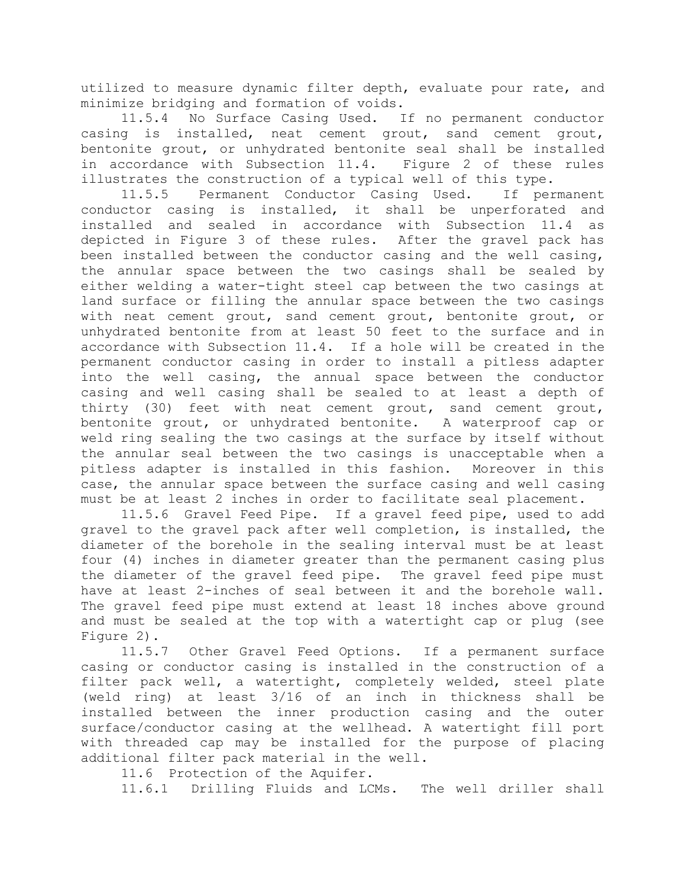utilized to measure dynamic filter depth, evaluate pour rate, and minimize bridging and formation of voids.

11.5.4 No Surface Casing Used. If no permanent conductor casing is installed, neat cement grout, sand cement grout, bentonite grout, or unhydrated bentonite seal shall be installed in accordance with Subsection 11.4. Figure 2 of these rules illustrates the construction of a typical well of this type.

11.5.5 Permanent Conductor Casing Used. If permanent conductor casing is installed, it shall be unperforated and installed and sealed in accordance with Subsection 11.4 as depicted in Figure 3 of these rules. After the gravel pack has been installed between the conductor casing and the well casing, the annular space between the two casings shall be sealed by either welding a water-tight steel cap between the two casings at land surface or filling the annular space between the two casings with neat cement grout, sand cement grout, bentonite grout, or unhydrated bentonite from at least 50 feet to the surface and in accordance with Subsection 11.4. If a hole will be created in the permanent conductor casing in order to install a pitless adapter into the well casing, the annual space between the conductor casing and well casing shall be sealed to at least a depth of thirty (30) feet with neat cement grout, sand cement grout, bentonite grout, or unhydrated bentonite. A waterproof cap or weld ring sealing the two casings at the surface by itself without the annular seal between the two casings is unacceptable when a pitless adapter is installed in this fashion. Moreover in this case, the annular space between the surface casing and well casing must be at least 2 inches in order to facilitate seal placement.

11.5.6 Gravel Feed Pipe. If a gravel feed pipe, used to add gravel to the gravel pack after well completion, is installed, the diameter of the borehole in the sealing interval must be at least four (4) inches in diameter greater than the permanent casing plus the diameter of the gravel feed pipe. The gravel feed pipe must have at least 2-inches of seal between it and the borehole wall. The gravel feed pipe must extend at least 18 inches above ground and must be sealed at the top with a watertight cap or plug (see Figure 2).

11.5.7 Other Gravel Feed Options. If a permanent surface casing or conductor casing is installed in the construction of a filter pack well, a watertight, completely welded, steel plate (weld ring) at least 3/16 of an inch in thickness shall be installed between the inner production casing and the outer surface/conductor casing at the wellhead. A watertight fill port with threaded cap may be installed for the purpose of placing additional filter pack material in the well.

11.6 Protection of the Aquifer.

11.6.1 Drilling Fluids and LCMs. The well driller shall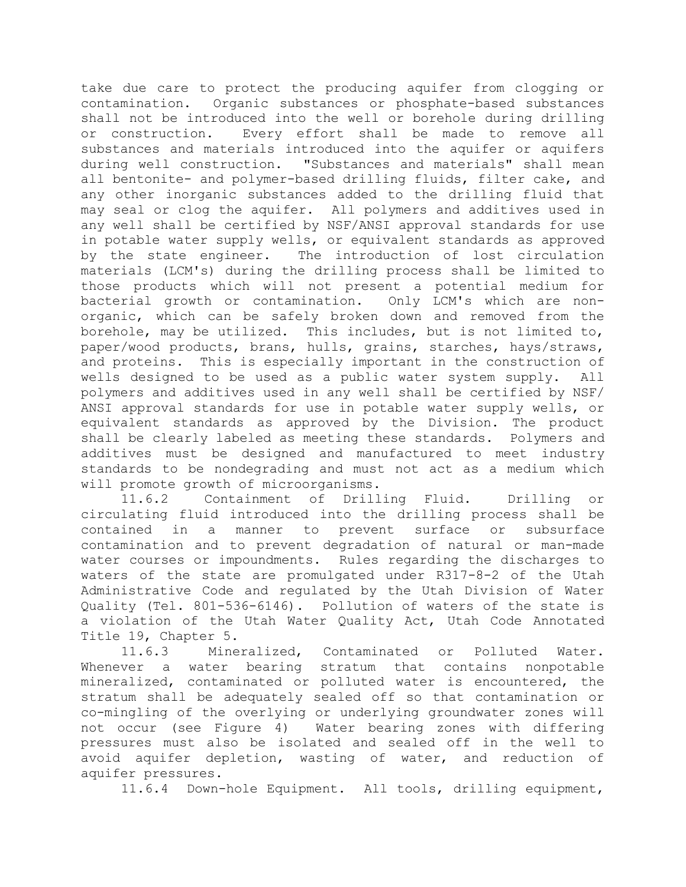take due care to protect the producing aquifer from clogging or contamination. Organic substances or phosphate-based substances shall not be introduced into the well or borehole during drilling or construction. Every effort shall be made to remove all substances and materials introduced into the aquifer or aquifers during well construction. "Substances and materials" shall mean all bentonite- and polymer-based drilling fluids, filter cake, and any other inorganic substances added to the drilling fluid that may seal or clog the aquifer. All polymers and additives used in any well shall be certified by NSF/ANSI approval standards for use in potable water supply wells, or equivalent standards as approved by the state engineer. The introduction of lost circulation materials (LCM's) during the drilling process shall be limited to those products which will not present a potential medium for bacterial growth or contamination. Only LCM's which are nonorganic, which can be safely broken down and removed from the borehole, may be utilized. This includes, but is not limited to, paper/wood products, brans, hulls, grains, starches, hays/straws, and proteins. This is especially important in the construction of wells designed to be used as a public water system supply. All polymers and additives used in any well shall be certified by NSF/ ANSI approval standards for use in potable water supply wells, or equivalent standards as approved by the Division. The product shall be clearly labeled as meeting these standards. Polymers and additives must be designed and manufactured to meet industry standards to be nondegrading and must not act as a medium which will promote growth of microorganisms.

11.6.2 Containment of Drilling Fluid. Drilling or circulating fluid introduced into the drilling process shall be contained in a manner to prevent surface or subsurface contamination and to prevent degradation of natural or man-made water courses or impoundments. Rules regarding the discharges to waters of the state are promulgated under R317-8-2 of the Utah Administrative Code and regulated by the Utah Division of Water Quality (Tel. 801-536-6146). Pollution of waters of the state is a violation of the Utah Water Quality Act, Utah Code Annotated Title 19, Chapter 5.

11.6.3 Mineralized, Contaminated or Polluted Water. Whenever a water bearing stratum that contains nonpotable mineralized, contaminated or polluted water is encountered, the stratum shall be adequately sealed off so that contamination or co-mingling of the overlying or underlying groundwater zones will not occur (see Figure 4) Water bearing zones with differing pressures must also be isolated and sealed off in the well to avoid aquifer depletion, wasting of water, and reduction of aquifer pressures.

11.6.4 Down-hole Equipment. All tools, drilling equipment,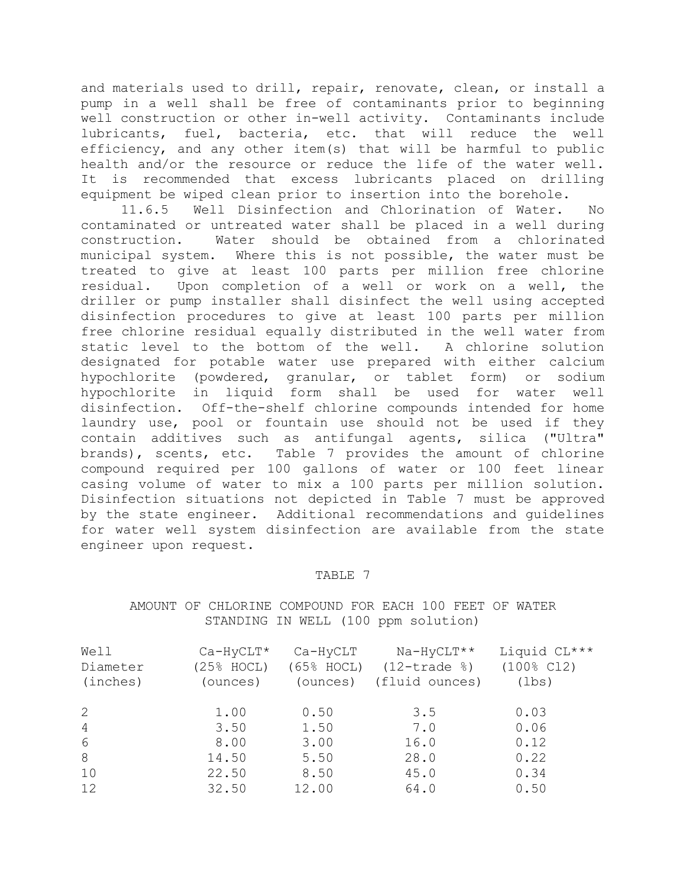and materials used to drill, repair, renovate, clean, or install a pump in a well shall be free of contaminants prior to beginning well construction or other in-well activity. Contaminants include lubricants, fuel, bacteria, etc. that will reduce the well efficiency, and any other item(s) that will be harmful to public health and/or the resource or reduce the life of the water well. It is recommended that excess lubricants placed on drilling equipment be wiped clean prior to insertion into the borehole.

11.6.5 Well Disinfection and Chlorination of Water. No contaminated or untreated water shall be placed in a well during construction. Water should be obtained from a chlorinated municipal system. Where this is not possible, the water must be treated to give at least 100 parts per million free chlorine residual. Upon completion of a well or work on a well, the driller or pump installer shall disinfect the well using accepted disinfection procedures to give at least 100 parts per million free chlorine residual equally distributed in the well water from static level to the bottom of the well. A chlorine solution designated for potable water use prepared with either calcium hypochlorite (powdered, granular, or tablet form) or sodium hypochlorite in liquid form shall be used for water well disinfection. Off-the-shelf chlorine compounds intended for home laundry use, pool or fountain use should not be used if they contain additives such as antifungal agents, silica ("Ultra" brands), scents, etc. Table 7 provides the amount of chlorine compound required per 100 gallons of water or 100 feet linear casing volume of water to mix a 100 parts per million solution. Disinfection situations not depicted in Table 7 must be approved by the state engineer. Additional recommendations and guidelines for water well system disinfection are available from the state engineer upon request.

### TABLE 7

AMOUNT OF CHLORINE COMPOUND FOR EACH 100 FEET OF WATER STANDING IN WELL (100 ppm solution)

| Well           | $Ca-HyCLT*$ | Ca-HyCLT      | Na-HyCLT**                                | Liquid CL***          |
|----------------|-------------|---------------|-------------------------------------------|-----------------------|
| Diameter       | (25% HOCL)  | $(65\% HOCL)$ | $(12 - \text{trace } \text{\textdegree})$ | $(100\% \text{ C12})$ |
| (inches)       | (ounces)    | (ounces)      | (fluid ounces)                            | (lbs)                 |
|                |             |               |                                           |                       |
| 2              | 1.00        | 0.50          | 3.5                                       | 0.03                  |
| $\overline{4}$ | 3.50        | 1.50          | 7.0                                       | 0.06                  |
| 6              | 8.00        | 3.00          | 16.0                                      | 0.12                  |
| 8              | 14.50       | 5.50          | 28.0                                      | 0.22                  |
| 10             | 22.50       | 8.50          | 45.0                                      | 0.34                  |
| 12             | 32.50       | 12.00         | 64.0                                      | 0.50                  |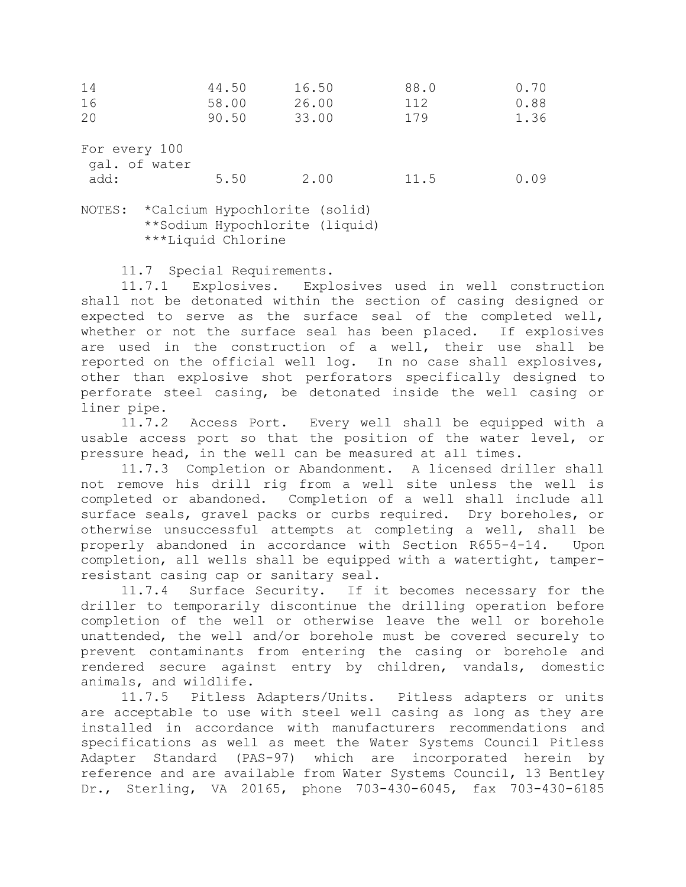| 14                             | 44.50 | 16.50 | 88.0 | 0.70 |
|--------------------------------|-------|-------|------|------|
| 16                             | 58.00 | 26.00 | 112  | 0.88 |
| 20                             | 90.50 | 33.00 | 179  | 1.36 |
| For every 100<br>gal. of water |       |       |      |      |
| add:                           | 5.50  | 2.00  | 11.5 | 0.09 |
| $- - - - -$                    |       |       |      |      |

NOTES: \*Calcium Hypochlorite (solid) \*\*Sodium Hypochlorite (liquid) \*\*\*Liquid Chlorine

11.7 Special Requirements.

11.7.1 Explosives. Explosives used in well construction shall not be detonated within the section of casing designed or expected to serve as the surface seal of the completed well, whether or not the surface seal has been placed. If explosives are used in the construction of a well, their use shall be reported on the official well log. In no case shall explosives, other than explosive shot perforators specifically designed to perforate steel casing, be detonated inside the well casing or liner pipe.

11.7.2 Access Port. Every well shall be equipped with a usable access port so that the position of the water level, or pressure head, in the well can be measured at all times.

11.7.3 Completion or Abandonment. A licensed driller shall not remove his drill rig from a well site unless the well is completed or abandoned. Completion of a well shall include all surface seals, gravel packs or curbs required. Dry boreholes, or otherwise unsuccessful attempts at completing a well, shall be properly abandoned in accordance with Section R655-4-14. Upon completion, all wells shall be equipped with a watertight, tamperresistant casing cap or sanitary seal.

11.7.4 Surface Security. If it becomes necessary for the driller to temporarily discontinue the drilling operation before completion of the well or otherwise leave the well or borehole unattended, the well and/or borehole must be covered securely to prevent contaminants from entering the casing or borehole and rendered secure against entry by children, vandals, domestic animals, and wildlife.

11.7.5 Pitless Adapters/Units. Pitless adapters or units are acceptable to use with steel well casing as long as they are installed in accordance with manufacturers recommendations and specifications as well as meet the Water Systems Council Pitless Adapter Standard (PAS-97) which are incorporated herein by reference and are available from Water Systems Council, 13 Bentley Dr., Sterling, VA 20165, phone 703-430-6045, fax 703-430-6185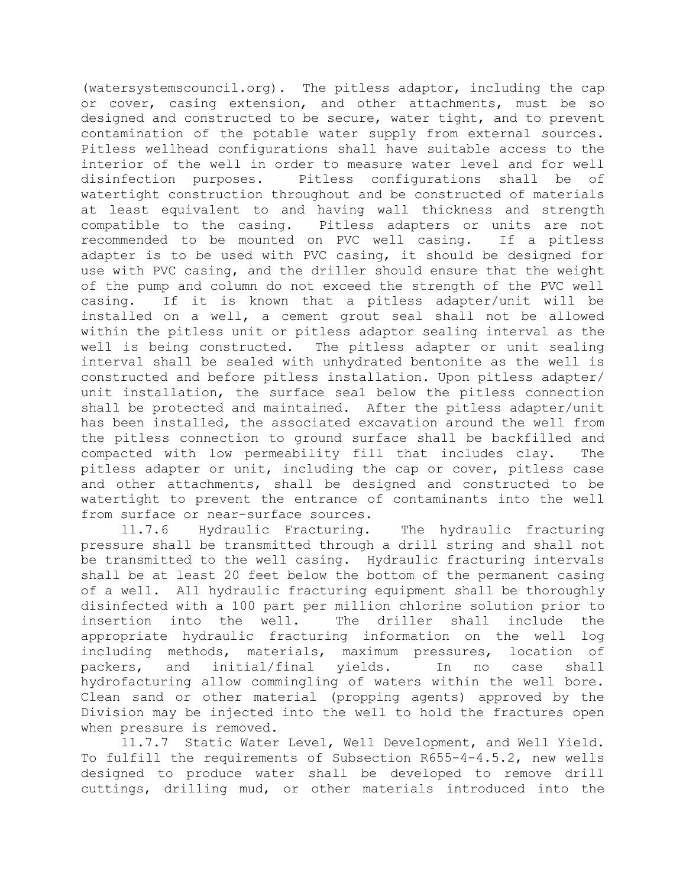(watersystemscouncil.org). The pitless adaptor, including the cap or cover, casing extension, and other attachments, must be so designed and constructed to be secure, water tight, and to prevent contamination of the potable water supply from external sources. Pitless wellhead configurations shall have suitable access to the interior of the well in order to measure water level and for well disinfection purposes. Pitless configurations shall be of watertight construction throughout and be constructed of materials at least equivalent to and having wall thickness and strength compatible to the casing. Pitless adapters or units are not recommended to be mounted on PVC well casing. If a pitless adapter is to be used with PVC casing, it should be designed for use with PVC casing, and the driller should ensure that the weight of the pump and column do not exceed the strength of the PVC well casing. If it is known that a pitless adapter/unit will be installed on a well, a cement grout seal shall not be allowed within the pitless unit or pitless adaptor sealing interval as the well is being constructed. The pitless adapter or unit sealing interval shall be sealed with unhydrated bentonite as the well is constructed and before pitless installation. Upon pitless adapter/ unit installation, the surface seal below the pitless connection shall be protected and maintained. After the pitless adapter/unit has been installed, the associated excavation around the well from the pitless connection to ground surface shall be backfilled and compacted with low permeability fill that includes clay. The pitless adapter or unit, including the cap or cover, pitless case and other attachments, shall be designed and constructed to be watertight to prevent the entrance of contaminants into the well from surface or near-surface sources.

11.7.6 Hydraulic Fracturing. The hydraulic fracturing pressure shall be transmitted through a drill string and shall not be transmitted to the well casing. Hydraulic fracturing intervals shall be at least 20 feet below the bottom of the permanent casing of a well. All hydraulic fracturing equipment shall be thoroughly disinfected with a 100 part per million chlorine solution prior to insertion into the well. The driller shall include the appropriate hydraulic fracturing information on the well log including methods, materials, maximum pressures, location of packers, and initial/final yields. In no case shall hydrofacturing allow commingling of waters within the well bore. Clean sand or other material (propping agents) approved by the Division may be injected into the well to hold the fractures open when pressure is removed.

11.7.7 Static Water Level, Well Development, and Well Yield. To fulfill the requirements of Subsection R655-4-4.5.2, new wells designed to produce water shall be developed to remove drill cuttings, drilling mud, or other materials introduced into the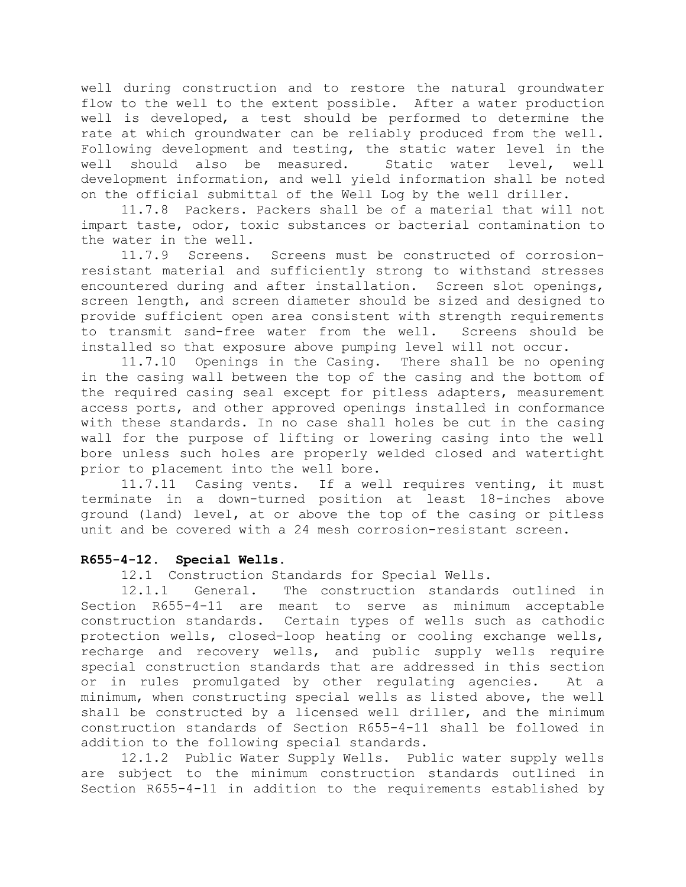well during construction and to restore the natural groundwater flow to the well to the extent possible. After a water production well is developed, a test should be performed to determine the rate at which groundwater can be reliably produced from the well. Following development and testing, the static water level in the well should also be measured. Static water level, well development information, and well yield information shall be noted on the official submittal of the Well Log by the well driller.

11.7.8 Packers. Packers shall be of a material that will not impart taste, odor, toxic substances or bacterial contamination to the water in the well.

11.7.9 Screens. Screens must be constructed of corrosionresistant material and sufficiently strong to withstand stresses encountered during and after installation. Screen slot openings, screen length, and screen diameter should be sized and designed to provide sufficient open area consistent with strength requirements to transmit sand-free water from the well. Screens should be installed so that exposure above pumping level will not occur.

11.7.10 Openings in the Casing. There shall be no opening in the casing wall between the top of the casing and the bottom of the required casing seal except for pitless adapters, measurement access ports, and other approved openings installed in conformance with these standards. In no case shall holes be cut in the casing wall for the purpose of lifting or lowering casing into the well bore unless such holes are properly welded closed and watertight prior to placement into the well bore.

11.7.11 Casing vents. If a well requires venting, it must terminate in a down-turned position at least 18-inches above ground (land) level, at or above the top of the casing or pitless unit and be covered with a 24 mesh corrosion-resistant screen.

## **R655-4-12. Special Wells.**

12.1 Construction Standards for Special Wells.

12.1.1 General. The construction standards outlined in Section R655-4-11 are meant to serve as minimum acceptable construction standards. Certain types of wells such as cathodic protection wells, closed-loop heating or cooling exchange wells, recharge and recovery wells, and public supply wells require special construction standards that are addressed in this section or in rules promulgated by other regulating agencies. At a minimum, when constructing special wells as listed above, the well shall be constructed by a licensed well driller, and the minimum construction standards of Section R655-4-11 shall be followed in addition to the following special standards.

12.1.2 Public Water Supply Wells. Public water supply wells are subject to the minimum construction standards outlined in Section R655-4-11 in addition to the requirements established by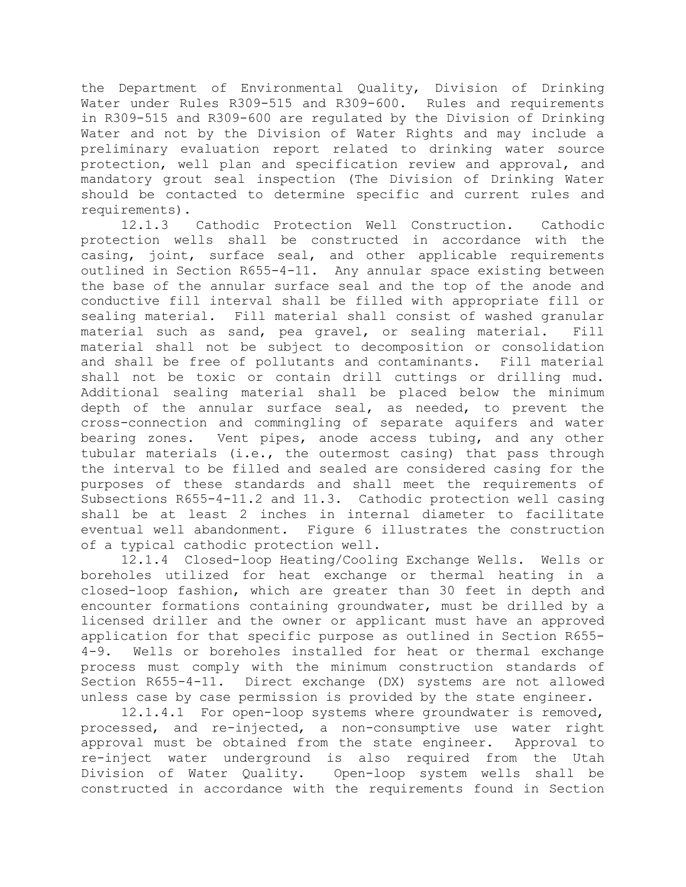the Department of Environmental Quality, Division of Drinking Water under Rules R309-515 and R309-600. Rules and requirements in R309-515 and R309-600 are regulated by the Division of Drinking Water and not by the Division of Water Rights and may include a preliminary evaluation report related to drinking water source protection, well plan and specification review and approval, and mandatory grout seal inspection (The Division of Drinking Water should be contacted to determine specific and current rules and requirements).

12.1.3 Cathodic Protection Well Construction. Cathodic protection wells shall be constructed in accordance with the casing, joint, surface seal, and other applicable requirements outlined in Section R655-4-11. Any annular space existing between the base of the annular surface seal and the top of the anode and conductive fill interval shall be filled with appropriate fill or sealing material. Fill material shall consist of washed granular material such as sand, pea gravel, or sealing material. Fill material shall not be subject to decomposition or consolidation and shall be free of pollutants and contaminants. Fill material shall not be toxic or contain drill cuttings or drilling mud. Additional sealing material shall be placed below the minimum depth of the annular surface seal, as needed, to prevent the cross-connection and commingling of separate aquifers and water bearing zones. Vent pipes, anode access tubing, and any other tubular materials (i.e., the outermost casing) that pass through the interval to be filled and sealed are considered casing for the purposes of these standards and shall meet the requirements of Subsections R655-4-11.2 and 11.3. Cathodic protection well casing shall be at least 2 inches in internal diameter to facilitate eventual well abandonment. Figure 6 illustrates the construction of a typical cathodic protection well.

12.1.4 Closed-loop Heating/Cooling Exchange Wells. Wells or boreholes utilized for heat exchange or thermal heating in a closed-loop fashion, which are greater than 30 feet in depth and encounter formations containing groundwater, must be drilled by a licensed driller and the owner or applicant must have an approved application for that specific purpose as outlined in Section R655- 4-9. Wells or boreholes installed for heat or thermal exchange process must comply with the minimum construction standards of Section R655-4-11. Direct exchange (DX) systems are not allowed unless case by case permission is provided by the state engineer.

12.1.4.1 For open-loop systems where groundwater is removed, processed, and re-injected, a non-consumptive use water right approval must be obtained from the state engineer. Approval to re-inject water underground is also required from the Utah Division of Water Quality. Open-loop system wells shall be constructed in accordance with the requirements found in Section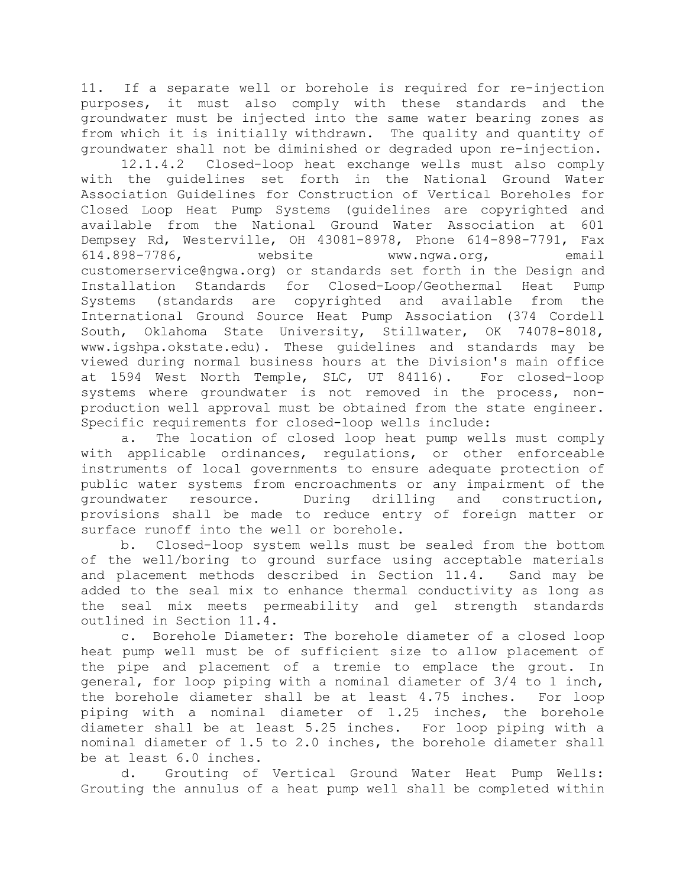11. If a separate well or borehole is required for re-injection purposes, it must also comply with these standards and the groundwater must be injected into the same water bearing zones as from which it is initially withdrawn. The quality and quantity of groundwater shall not be diminished or degraded upon re-injection.

12.1.4.2 Closed-loop heat exchange wells must also comply with the guidelines set forth in the National Ground Water Association Guidelines for Construction of Vertical Boreholes for Closed Loop Heat Pump Systems (guidelines are copyrighted and available from the National Ground Water Association at 601 Dempsey Rd, Westerville, OH 43081-8978, Phone 614-898-7791, Fax 614.898-7786, website www.ngwa.org, email customerservice@ngwa.org) or standards set forth in the Design and Installation Standards for Closed-Loop/Geothermal Heat Pump Systems (standards are copyrighted and available from the International Ground Source Heat Pump Association (374 Cordell South, Oklahoma State University, Stillwater, OK 74078-8018, www.igshpa.okstate.edu). These guidelines and standards may be viewed during normal business hours at the Division's main office at 1594 West North Temple, SLC, UT 84116). For closed-loop systems where groundwater is not removed in the process, nonproduction well approval must be obtained from the state engineer. Specific requirements for closed-loop wells include:

a. The location of closed loop heat pump wells must comply with applicable ordinances, regulations, or other enforceable instruments of local governments to ensure adequate protection of public water systems from encroachments or any impairment of the groundwater resource. During drilling and construction, provisions shall be made to reduce entry of foreign matter or surface runoff into the well or borehole.

b. Closed-loop system wells must be sealed from the bottom of the well/boring to ground surface using acceptable materials and placement methods described in Section 11.4. Sand may be added to the seal mix to enhance thermal conductivity as long as the seal mix meets permeability and gel strength standards outlined in Section 11.4.

c. Borehole Diameter: The borehole diameter of a closed loop heat pump well must be of sufficient size to allow placement of the pipe and placement of a tremie to emplace the grout. In general, for loop piping with a nominal diameter of 3/4 to 1 inch, the borehole diameter shall be at least 4.75 inches. For loop piping with a nominal diameter of 1.25 inches, the borehole diameter shall be at least 5.25 inches. For loop piping with a nominal diameter of 1.5 to 2.0 inches, the borehole diameter shall be at least 6.0 inches.

d. Grouting of Vertical Ground Water Heat Pump Wells: Grouting the annulus of a heat pump well shall be completed within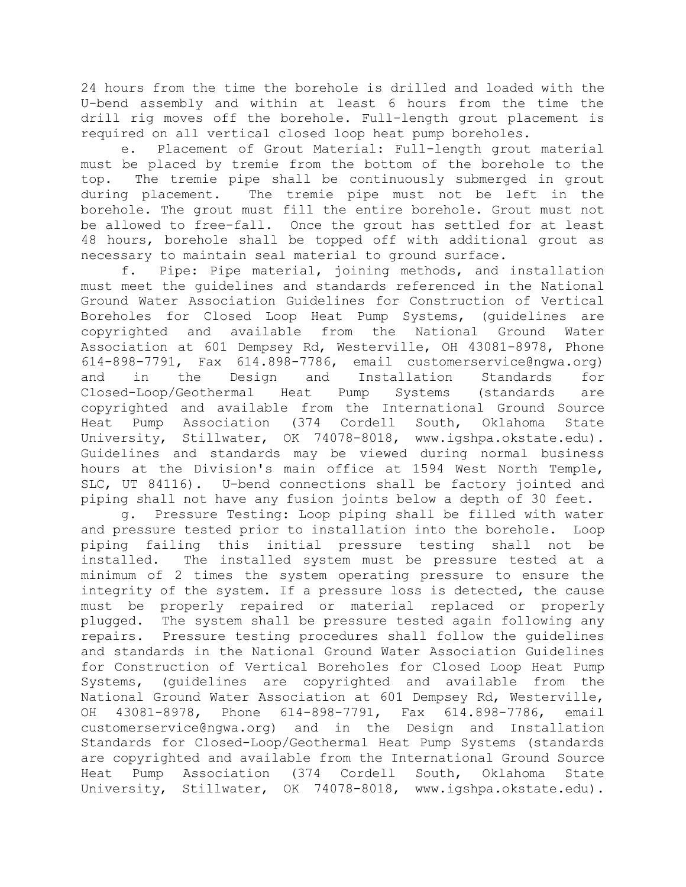24 hours from the time the borehole is drilled and loaded with the U-bend assembly and within at least 6 hours from the time the drill rig moves off the borehole. Full-length grout placement is required on all vertical closed loop heat pump boreholes.

e. Placement of Grout Material: Full-length grout material must be placed by tremie from the bottom of the borehole to the top. The tremie pipe shall be continuously submerged in grout during placement. The tremie pipe must not be left in the borehole. The grout must fill the entire borehole. Grout must not be allowed to free-fall. Once the grout has settled for at least 48 hours, borehole shall be topped off with additional grout as necessary to maintain seal material to ground surface.

f. Pipe: Pipe material, joining methods, and installation must meet the guidelines and standards referenced in the National Ground Water Association Guidelines for Construction of Vertical Boreholes for Closed Loop Heat Pump Systems, (guidelines are copyrighted and available from the National Ground Water Association at 601 Dempsey Rd, Westerville, OH 43081-8978, Phone 614-898-7791, Fax 614.898-7786, email customerservice@ngwa.org) and in the Design and Installation Standards for Closed-Loop/Geothermal Heat Pump Systems (standards are copyrighted and available from the International Ground Source Heat Pump Association (374 Cordell South, Oklahoma State University, Stillwater, OK 74078-8018, www.igshpa.okstate.edu). Guidelines and standards may be viewed during normal business hours at the Division's main office at 1594 West North Temple, SLC, UT 84116). U-bend connections shall be factory jointed and piping shall not have any fusion joints below a depth of 30 feet.

g. Pressure Testing: Loop piping shall be filled with water and pressure tested prior to installation into the borehole. Loop piping failing this initial pressure testing shall not be installed. The installed system must be pressure tested at a minimum of 2 times the system operating pressure to ensure the integrity of the system. If a pressure loss is detected, the cause must be properly repaired or material replaced or properly plugged. The system shall be pressure tested again following any repairs. Pressure testing procedures shall follow the guidelines and standards in the National Ground Water Association Guidelines for Construction of Vertical Boreholes for Closed Loop Heat Pump Systems, (guidelines are copyrighted and available from the National Ground Water Association at 601 Dempsey Rd, Westerville, OH 43081-8978, Phone 614-898-7791, Fax 614.898-7786, email customerservice@ngwa.org) and in the Design and Installation Standards for Closed-Loop/Geothermal Heat Pump Systems (standards are copyrighted and available from the International Ground Source Heat Pump Association (374 Cordell South, Oklahoma State University, Stillwater, OK 74078-8018, www.igshpa.okstate.edu).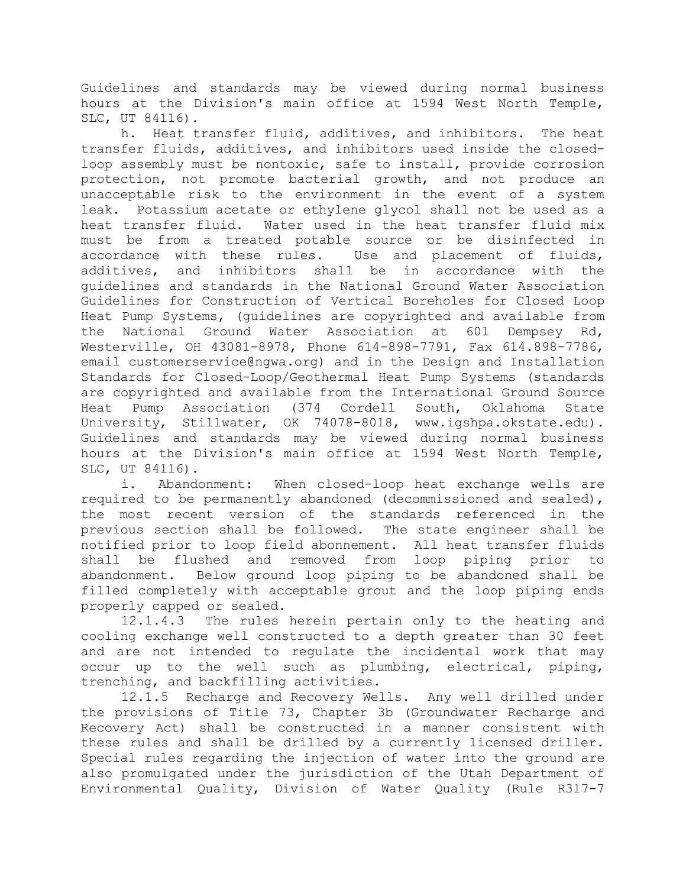Guidelines and standards may be viewed during normal business hours at the Division's main office at 1594 West North Temple, SLC, UT 84116).

h. Heat transfer fluid, additives, and inhibitors. The heat transfer fluids, additives, and inhibitors used inside the closedloop assembly must be nontoxic, safe to install, provide corrosion protection, not promote bacterial growth, and not produce an unacceptable risk to the environment in the event of a system leak. Potassium acetate or ethylene glycol shall not be used as a heat transfer fluid. Water used in the heat transfer fluid mix must be from a treated potable source or be disinfected in accordance with these rules. Use and placement of fluids, additives, and inhibitors shall be in accordance with the guidelines and standards in the National Ground Water Association Guidelines for Construction of Vertical Boreholes for Closed Loop Heat Pump Systems, (guidelines are copyrighted and available from the National Ground Water Association at 601 Dempsey Rd, Westerville, OH 43081-8978, Phone 614-898-7791, Fax 614.898-7786, email customerservice@ngwa.org) and in the Design and Installation Standards for Closed-Loop/Geothermal Heat Pump Systems (standards are copyrighted and available from the International Ground Source Heat Pump Association (374 Cordell South, Oklahoma State University, Stillwater, OK 74078-8018, www.igshpa.okstate.edu). Guidelines and standards may be viewed during normal business hours at the Division's main office at 1594 West North Temple, SLC, UT 84116).

i. Abandonment: When closed-loop heat exchange wells are required to be permanently abandoned (decommissioned and sealed), the most recent version of the standards referenced in the previous section shall be followed. The state engineer shall be notified prior to loop field abonnement. All heat transfer fluids shall be flushed and removed from loop piping prior to abandonment. Below ground loop piping to be abandoned shall be filled completely with acceptable grout and the loop piping ends properly capped or sealed.

12.1.4.3 The rules herein pertain only to the heating and cooling exchange well constructed to a depth greater than 30 feet and are not intended to regulate the incidental work that may occur up to the well such as plumbing, electrical, piping, trenching, and backfilling activities.

12.1.5 Recharge and Recovery Wells. Any well drilled under the provisions of Title 73, Chapter 3b (Groundwater Recharge and Recovery Act) shall be constructed in a manner consistent with these rules and shall be drilled by a currently licensed driller. Special rules regarding the injection of water into the ground are also promulgated under the jurisdiction of the Utah Department of Environmental Quality, Division of Water Quality (Rule R317-7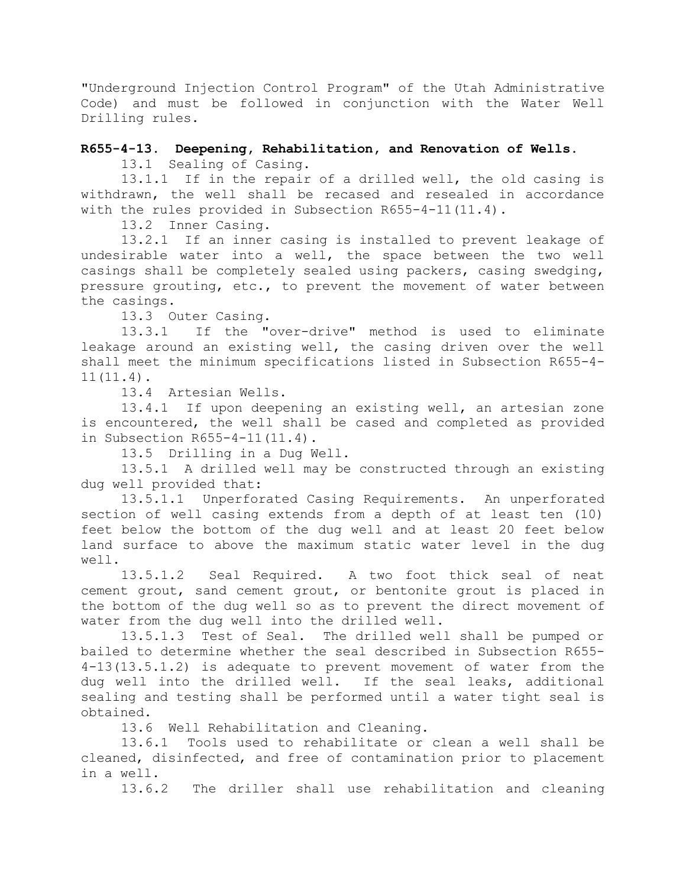"Underground Injection Control Program" of the Utah Administrative Code) and must be followed in conjunction with the Water Well Drilling rules.

## **R655-4-13. Deepening, Rehabilitation, and Renovation of Wells.**

13.1 Sealing of Casing.

13.1.1 If in the repair of a drilled well, the old casing is withdrawn, the well shall be recased and resealed in accordance with the rules provided in Subsection R655-4-11(11.4).

13.2 Inner Casing.

13.2.1 If an inner casing is installed to prevent leakage of undesirable water into a well, the space between the two well casings shall be completely sealed using packers, casing swedging, pressure grouting, etc., to prevent the movement of water between the casings.

13.3 Outer Casing.

13.3.1 If the "over-drive" method is used to eliminate leakage around an existing well, the casing driven over the well shall meet the minimum specifications listed in Subsection R655-4- 11(11.4).

13.4 Artesian Wells.

13.4.1 If upon deepening an existing well, an artesian zone is encountered, the well shall be cased and completed as provided in Subsection R655-4-11(11.4).

13.5 Drilling in a Dug Well.

13.5.1 A drilled well may be constructed through an existing dug well provided that:

13.5.1.1 Unperforated Casing Requirements. An unperforated section of well casing extends from a depth of at least ten (10) feet below the bottom of the dug well and at least 20 feet below land surface to above the maximum static water level in the dug well.

13.5.1.2 Seal Required. A two foot thick seal of neat cement grout, sand cement grout, or bentonite grout is placed in the bottom of the dug well so as to prevent the direct movement of water from the dug well into the drilled well.

13.5.1.3 Test of Seal. The drilled well shall be pumped or bailed to determine whether the seal described in Subsection R655- 4-13(13.5.1.2) is adequate to prevent movement of water from the dug well into the drilled well. If the seal leaks, additional sealing and testing shall be performed until a water tight seal is obtained.

13.6 Well Rehabilitation and Cleaning.

13.6.1 Tools used to rehabilitate or clean a well shall be cleaned, disinfected, and free of contamination prior to placement in a well.

13.6.2 The driller shall use rehabilitation and cleaning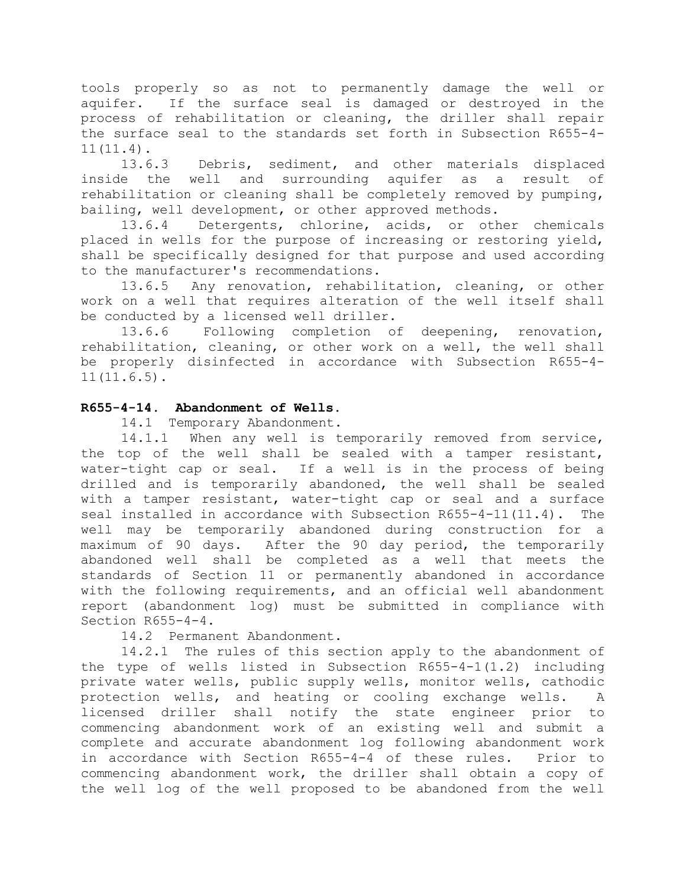tools properly so as not to permanently damage the well or aquifer. If the surface seal is damaged or destroyed in the process of rehabilitation or cleaning, the driller shall repair the surface seal to the standards set forth in Subsection R655-4- 11(11.4).

13.6.3 Debris, sediment, and other materials displaced inside the well and surrounding aquifer as a result of rehabilitation or cleaning shall be completely removed by pumping, bailing, well development, or other approved methods.

13.6.4 Detergents, chlorine, acids, or other chemicals placed in wells for the purpose of increasing or restoring yield, shall be specifically designed for that purpose and used according to the manufacturer's recommendations.

13.6.5 Any renovation, rehabilitation, cleaning, or other work on a well that requires alteration of the well itself shall be conducted by a licensed well driller.

13.6.6 Following completion of deepening, renovation, rehabilitation, cleaning, or other work on a well, the well shall be properly disinfected in accordance with Subsection R655-4- 11(11.6.5).

# **R655-4-14. Abandonment of Wells.**

14.1 Temporary Abandonment.

14.1.1 When any well is temporarily removed from service, the top of the well shall be sealed with a tamper resistant, water-tight cap or seal. If a well is in the process of being drilled and is temporarily abandoned, the well shall be sealed with a tamper resistant, water-tight cap or seal and a surface seal installed in accordance with Subsection R655-4-11(11.4). The well may be temporarily abandoned during construction for a maximum of 90 days. After the 90 day period, the temporarily abandoned well shall be completed as a well that meets the standards of Section 11 or permanently abandoned in accordance with the following requirements, and an official well abandonment report (abandonment log) must be submitted in compliance with Section R655-4-4.

## 14.2 Permanent Abandonment.

14.2.1 The rules of this section apply to the abandonment of the type of wells listed in Subsection R655-4-1(1.2) including private water wells, public supply wells, monitor wells, cathodic protection wells, and heating or cooling exchange wells. A licensed driller shall notify the state engineer prior to commencing abandonment work of an existing well and submit a complete and accurate abandonment log following abandonment work in accordance with Section R655-4-4 of these rules. Prior to commencing abandonment work, the driller shall obtain a copy of the well log of the well proposed to be abandoned from the well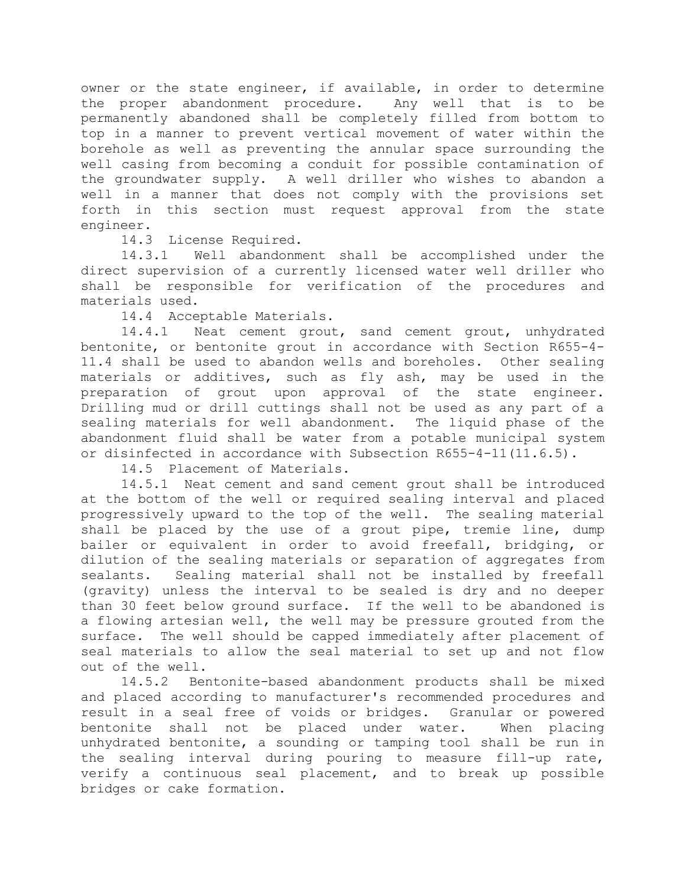owner or the state engineer, if available, in order to determine the proper abandonment procedure. Any well that is to be permanently abandoned shall be completely filled from bottom to top in a manner to prevent vertical movement of water within the borehole as well as preventing the annular space surrounding the well casing from becoming a conduit for possible contamination of the groundwater supply. A well driller who wishes to abandon a well in a manner that does not comply with the provisions set forth in this section must request approval from the state engineer.

14.3 License Required.

14.3.1 Well abandonment shall be accomplished under the direct supervision of a currently licensed water well driller who shall be responsible for verification of the procedures and materials used.

14.4 Acceptable Materials.

14.4.1 Neat cement grout, sand cement grout, unhydrated bentonite, or bentonite grout in accordance with Section R655-4- 11.4 shall be used to abandon wells and boreholes. Other sealing materials or additives, such as fly ash, may be used in the preparation of grout upon approval of the state engineer. Drilling mud or drill cuttings shall not be used as any part of a sealing materials for well abandonment. The liquid phase of the abandonment fluid shall be water from a potable municipal system or disinfected in accordance with Subsection R655-4-11(11.6.5).

14.5 Placement of Materials.

14.5.1 Neat cement and sand cement grout shall be introduced at the bottom of the well or required sealing interval and placed progressively upward to the top of the well. The sealing material shall be placed by the use of a grout pipe, tremie line, dump bailer or equivalent in order to avoid freefall, bridging, or dilution of the sealing materials or separation of aggregates from sealants. Sealing material shall not be installed by freefall (gravity) unless the interval to be sealed is dry and no deeper than 30 feet below ground surface. If the well to be abandoned is a flowing artesian well, the well may be pressure grouted from the surface. The well should be capped immediately after placement of seal materials to allow the seal material to set up and not flow out of the well.

14.5.2 Bentonite-based abandonment products shall be mixed and placed according to manufacturer's recommended procedures and result in a seal free of voids or bridges. Granular or powered bentonite shall not be placed under water. When placing unhydrated bentonite, a sounding or tamping tool shall be run in the sealing interval during pouring to measure fill-up rate, verify a continuous seal placement, and to break up possible bridges or cake formation.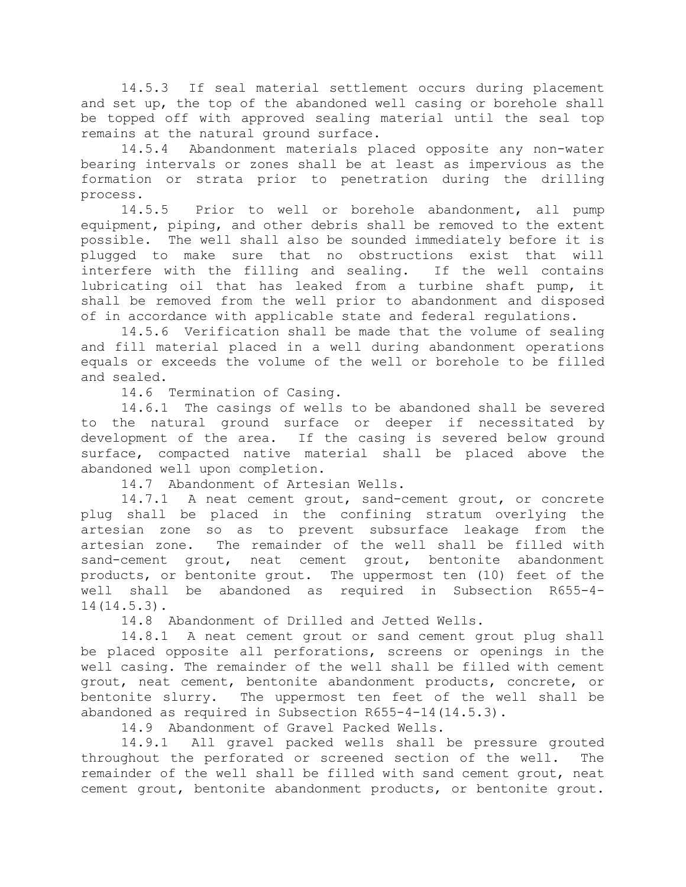14.5.3 If seal material settlement occurs during placement and set up, the top of the abandoned well casing or borehole shall be topped off with approved sealing material until the seal top remains at the natural ground surface.

14.5.4 Abandonment materials placed opposite any non-water bearing intervals or zones shall be at least as impervious as the formation or strata prior to penetration during the drilling process.

14.5.5 Prior to well or borehole abandonment, all pump equipment, piping, and other debris shall be removed to the extent possible. The well shall also be sounded immediately before it is plugged to make sure that no obstructions exist that will interfere with the filling and sealing. If the well contains lubricating oil that has leaked from a turbine shaft pump, it shall be removed from the well prior to abandonment and disposed of in accordance with applicable state and federal regulations.

14.5.6 Verification shall be made that the volume of sealing and fill material placed in a well during abandonment operations equals or exceeds the volume of the well or borehole to be filled and sealed.

14.6 Termination of Casing.

14.6.1 The casings of wells to be abandoned shall be severed to the natural ground surface or deeper if necessitated by development of the area. If the casing is severed below ground surface, compacted native material shall be placed above the abandoned well upon completion.

14.7 Abandonment of Artesian Wells.

14.7.1 A neat cement grout, sand-cement grout, or concrete plug shall be placed in the confining stratum overlying the artesian zone so as to prevent subsurface leakage from the artesian zone. The remainder of the well shall be filled with sand-cement grout, neat cement grout, bentonite abandonment products, or bentonite grout. The uppermost ten (10) feet of the well shall be abandoned as required in Subsection R655-4- 14(14.5.3).

14.8 Abandonment of Drilled and Jetted Wells.

14.8.1 A neat cement grout or sand cement grout plug shall be placed opposite all perforations, screens or openings in the well casing. The remainder of the well shall be filled with cement grout, neat cement, bentonite abandonment products, concrete, or bentonite slurry. The uppermost ten feet of the well shall be abandoned as required in Subsection R655-4-14(14.5.3).

14.9 Abandonment of Gravel Packed Wells.

14.9.1 All gravel packed wells shall be pressure grouted throughout the perforated or screened section of the well. The remainder of the well shall be filled with sand cement grout, neat cement grout, bentonite abandonment products, or bentonite grout.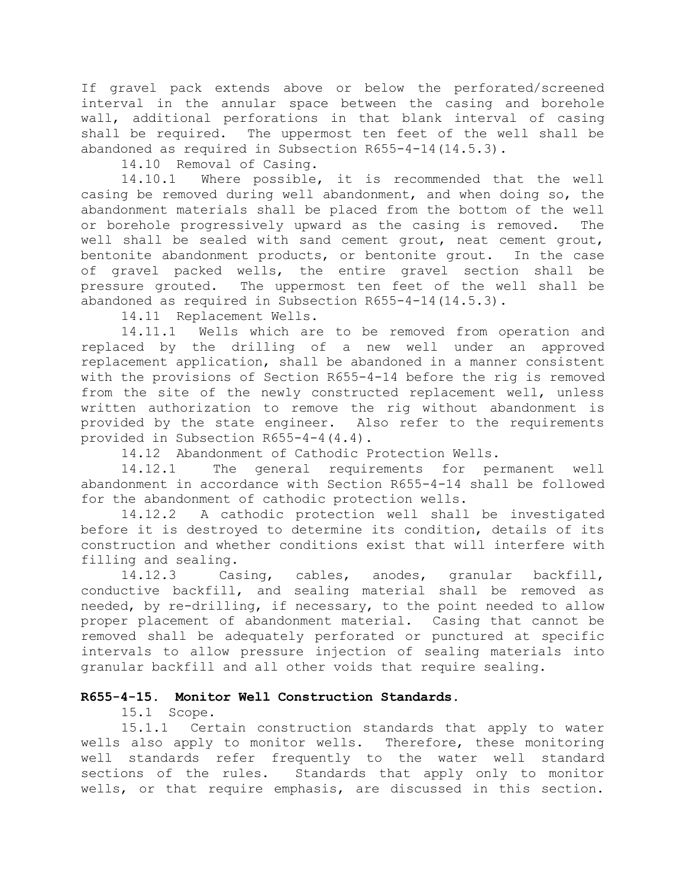If gravel pack extends above or below the perforated/screened interval in the annular space between the casing and borehole wall, additional perforations in that blank interval of casing shall be required. The uppermost ten feet of the well shall be abandoned as required in Subsection R655-4-14(14.5.3).

14.10 Removal of Casing.

14.10.1 Where possible, it is recommended that the well casing be removed during well abandonment, and when doing so, the abandonment materials shall be placed from the bottom of the well or borehole progressively upward as the casing is removed. The well shall be sealed with sand cement grout, neat cement grout, bentonite abandonment products, or bentonite grout. In the case of gravel packed wells, the entire gravel section shall be pressure grouted. The uppermost ten feet of the well shall be abandoned as required in Subsection R655-4-14(14.5.3).

14.11 Replacement Wells.

14.11.1 Wells which are to be removed from operation and replaced by the drilling of a new well under an approved replacement application, shall be abandoned in a manner consistent with the provisions of Section R655-4-14 before the rig is removed from the site of the newly constructed replacement well, unless written authorization to remove the rig without abandonment is provided by the state engineer. Also refer to the requirements provided in Subsection R655-4-4(4.4).

14.12 Abandonment of Cathodic Protection Wells.

14.12.1 The general requirements for permanent well abandonment in accordance with Section R655-4-14 shall be followed for the abandonment of cathodic protection wells.

14.12.2 A cathodic protection well shall be investigated before it is destroyed to determine its condition, details of its construction and whether conditions exist that will interfere with filling and sealing.

14.12.3 Casing, cables, anodes, granular backfill, conductive backfill, and sealing material shall be removed as needed, by re-drilling, if necessary, to the point needed to allow proper placement of abandonment material. Casing that cannot be removed shall be adequately perforated or punctured at specific intervals to allow pressure injection of sealing materials into granular backfill and all other voids that require sealing.

## **R655-4-15. Monitor Well Construction Standards.**

15.1 Scope.

15.1.1 Certain construction standards that apply to water wells also apply to monitor wells. Therefore, these monitoring well standards refer frequently to the water well standard sections of the rules. Standards that apply only to monitor wells, or that require emphasis, are discussed in this section.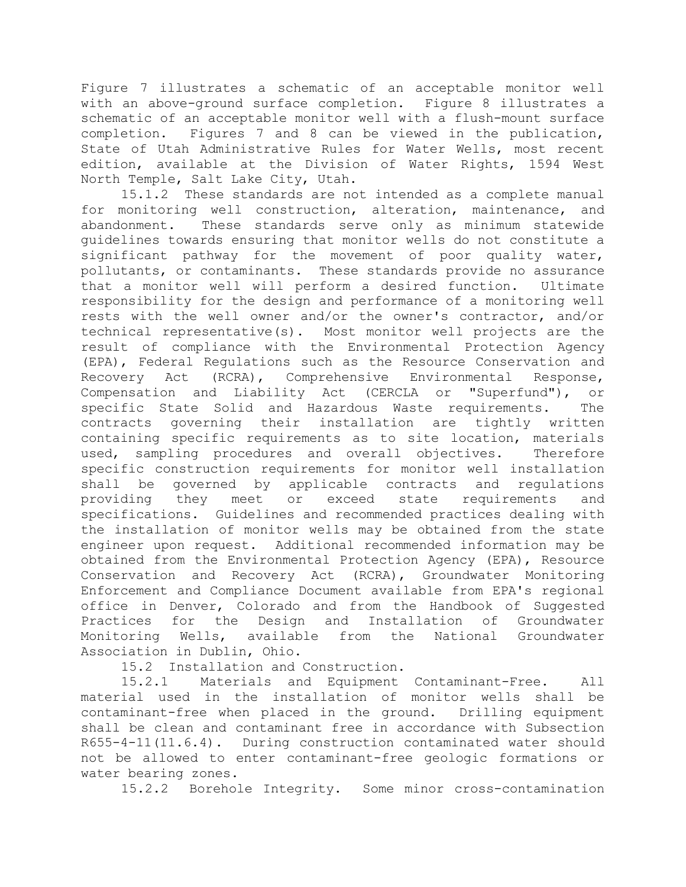Figure 7 illustrates a schematic of an acceptable monitor well with an above-ground surface completion. Figure 8 illustrates a schematic of an acceptable monitor well with a flush-mount surface completion. Figures 7 and 8 can be viewed in the publication, State of Utah Administrative Rules for Water Wells, most recent edition, available at the Division of Water Rights, 1594 West North Temple, Salt Lake City, Utah.

15.1.2 These standards are not intended as a complete manual for monitoring well construction, alteration, maintenance, and abandonment. These standards serve only as minimum statewide guidelines towards ensuring that monitor wells do not constitute a significant pathway for the movement of poor quality water, pollutants, or contaminants. These standards provide no assurance that a monitor well will perform a desired function. Ultimate responsibility for the design and performance of a monitoring well rests with the well owner and/or the owner's contractor, and/or technical representative(s). Most monitor well projects are the result of compliance with the Environmental Protection Agency (EPA), Federal Regulations such as the Resource Conservation and Recovery Act (RCRA), Comprehensive Environmental Response, Compensation and Liability Act (CERCLA or "Superfund"), or specific State Solid and Hazardous Waste requirements. The contracts governing their installation are tightly written containing specific requirements as to site location, materials used, sampling procedures and overall objectives. Therefore specific construction requirements for monitor well installation shall be governed by applicable contracts and regulations providing they meet or exceed state requirements and specifications. Guidelines and recommended practices dealing with the installation of monitor wells may be obtained from the state engineer upon request. Additional recommended information may be obtained from the Environmental Protection Agency (EPA), Resource Conservation and Recovery Act (RCRA), Groundwater Monitoring Enforcement and Compliance Document available from EPA's regional office in Denver, Colorado and from the Handbook of Suggested Practices for the Design and Installation of Groundwater Monitoring Wells, available from the National Groundwater Association in Dublin, Ohio.

15.2 Installation and Construction.

15.2.1 Materials and Equipment Contaminant-Free. All material used in the installation of monitor wells shall be contaminant-free when placed in the ground. Drilling equipment shall be clean and contaminant free in accordance with Subsection R655-4-11(11.6.4). During construction contaminated water should not be allowed to enter contaminant-free geologic formations or water bearing zones.

15.2.2 Borehole Integrity. Some minor cross-contamination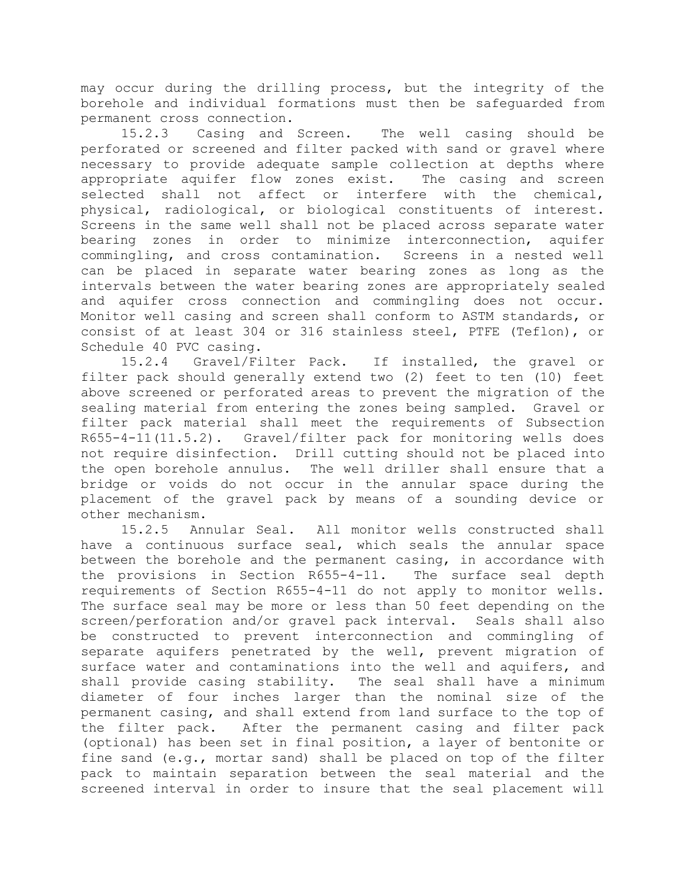may occur during the drilling process, but the integrity of the borehole and individual formations must then be safeguarded from permanent cross connection.

15.2.3 Casing and Screen. The well casing should be perforated or screened and filter packed with sand or gravel where necessary to provide adequate sample collection at depths where appropriate aquifer flow zones exist. The casing and screen selected shall not affect or interfere with the chemical, physical, radiological, or biological constituents of interest. Screens in the same well shall not be placed across separate water bearing zones in order to minimize interconnection, aquifer commingling, and cross contamination. Screens in a nested well can be placed in separate water bearing zones as long as the intervals between the water bearing zones are appropriately sealed and aquifer cross connection and commingling does not occur. Monitor well casing and screen shall conform to ASTM standards, or consist of at least 304 or 316 stainless steel, PTFE (Teflon), or Schedule 40 PVC casing.

15.2.4 Gravel/Filter Pack. If installed, the gravel or filter pack should generally extend two (2) feet to ten (10) feet above screened or perforated areas to prevent the migration of the sealing material from entering the zones being sampled. Gravel or filter pack material shall meet the requirements of Subsection R655-4-11(11.5.2). Gravel/filter pack for monitoring wells does not require disinfection. Drill cutting should not be placed into the open borehole annulus. The well driller shall ensure that a bridge or voids do not occur in the annular space during the placement of the gravel pack by means of a sounding device or other mechanism.

15.2.5 Annular Seal. All monitor wells constructed shall have a continuous surface seal, which seals the annular space between the borehole and the permanent casing, in accordance with the provisions in Section R655-4-11. The surface seal depth requirements of Section R655-4-11 do not apply to monitor wells. The surface seal may be more or less than 50 feet depending on the screen/perforation and/or gravel pack interval. Seals shall also be constructed to prevent interconnection and commingling of separate aquifers penetrated by the well, prevent migration of surface water and contaminations into the well and aquifers, and shall provide casing stability. The seal shall have a minimum diameter of four inches larger than the nominal size of the permanent casing, and shall extend from land surface to the top of the filter pack. After the permanent casing and filter pack (optional) has been set in final position, a layer of bentonite or fine sand (e.g., mortar sand) shall be placed on top of the filter pack to maintain separation between the seal material and the screened interval in order to insure that the seal placement will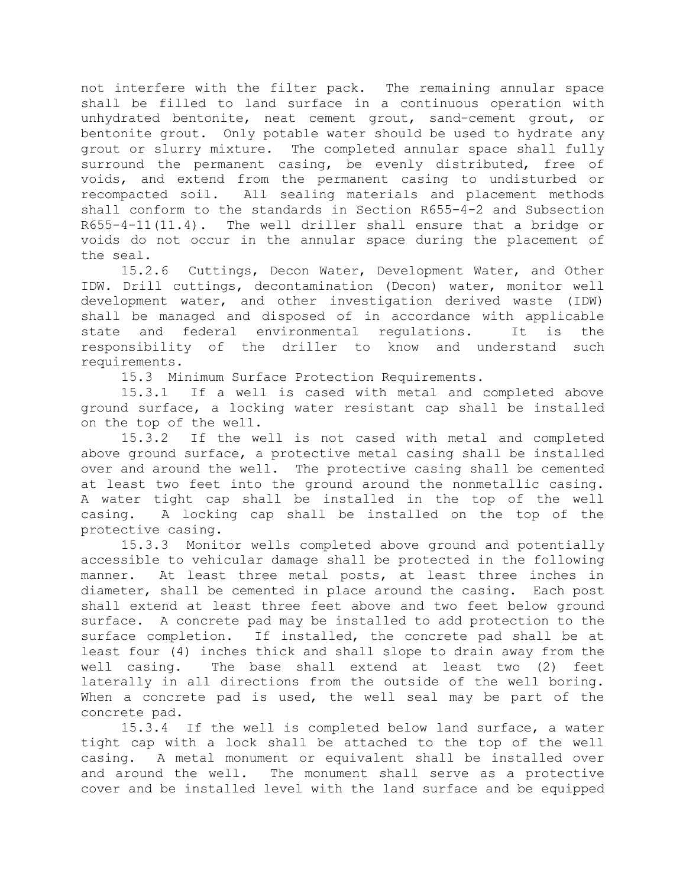not interfere with the filter pack. The remaining annular space shall be filled to land surface in a continuous operation with unhydrated bentonite, neat cement grout, sand-cement grout, or bentonite grout. Only potable water should be used to hydrate any grout or slurry mixture. The completed annular space shall fully surround the permanent casing, be evenly distributed, free of voids, and extend from the permanent casing to undisturbed or recompacted soil. All sealing materials and placement methods shall conform to the standards in Section R655-4-2 and Subsection R655-4-11(11.4). The well driller shall ensure that a bridge or voids do not occur in the annular space during the placement of the seal.

15.2.6 Cuttings, Decon Water, Development Water, and Other IDW. Drill cuttings, decontamination (Decon) water, monitor well development water, and other investigation derived waste (IDW) shall be managed and disposed of in accordance with applicable state and federal environmental regulations. It is the responsibility of the driller to know and understand such requirements.

15.3 Minimum Surface Protection Requirements.

15.3.1 If a well is cased with metal and completed above ground surface, a locking water resistant cap shall be installed on the top of the well.

15.3.2 If the well is not cased with metal and completed above ground surface, a protective metal casing shall be installed over and around the well. The protective casing shall be cemented at least two feet into the ground around the nonmetallic casing. A water tight cap shall be installed in the top of the well casing. A locking cap shall be installed on the top of the protective casing.

15.3.3 Monitor wells completed above ground and potentially accessible to vehicular damage shall be protected in the following manner. At least three metal posts, at least three inches in diameter, shall be cemented in place around the casing. Each post shall extend at least three feet above and two feet below ground surface. A concrete pad may be installed to add protection to the surface completion. If installed, the concrete pad shall be at least four (4) inches thick and shall slope to drain away from the well casing. The base shall extend at least two (2) feet laterally in all directions from the outside of the well boring. When a concrete pad is used, the well seal may be part of the concrete pad.

15.3.4 If the well is completed below land surface, a water tight cap with a lock shall be attached to the top of the well casing. A metal monument or equivalent shall be installed over and around the well. The monument shall serve as a protective cover and be installed level with the land surface and be equipped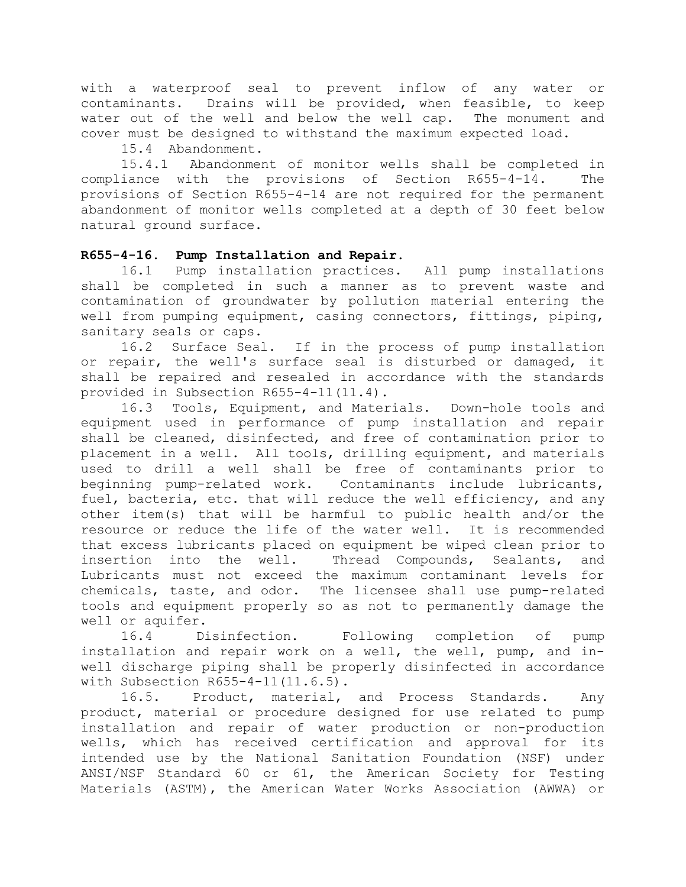with a waterproof seal to prevent inflow of any water or contaminants. Drains will be provided, when feasible, to keep water out of the well and below the well cap. The monument and cover must be designed to withstand the maximum expected load.

15.4 Abandonment.

15.4.1 Abandonment of monitor wells shall be completed in compliance with the provisions of Section R655-4-14. The provisions of Section R655-4-14 are not required for the permanent abandonment of monitor wells completed at a depth of 30 feet below natural ground surface.

## **R655-4-16. Pump Installation and Repair.**

16.1 Pump installation practices. All pump installations shall be completed in such a manner as to prevent waste and contamination of groundwater by pollution material entering the well from pumping equipment, casing connectors, fittings, piping, sanitary seals or caps.

16.2 Surface Seal. If in the process of pump installation or repair, the well's surface seal is disturbed or damaged, it shall be repaired and resealed in accordance with the standards provided in Subsection R655-4-11(11.4).

16.3 Tools, Equipment, and Materials. Down-hole tools and equipment used in performance of pump installation and repair shall be cleaned, disinfected, and free of contamination prior to placement in a well. All tools, drilling equipment, and materials used to drill a well shall be free of contaminants prior to beginning pump-related work. Contaminants include lubricants, fuel, bacteria, etc. that will reduce the well efficiency, and any other item(s) that will be harmful to public health and/or the resource or reduce the life of the water well. It is recommended that excess lubricants placed on equipment be wiped clean prior to insertion into the well. Thread Compounds, Sealants, and Lubricants must not exceed the maximum contaminant levels for chemicals, taste, and odor. The licensee shall use pump-related tools and equipment properly so as not to permanently damage the well or aquifer.

16.4 Disinfection. Following completion of pump installation and repair work on a well, the well, pump, and inwell discharge piping shall be properly disinfected in accordance with Subsection R655-4-11(11.6.5).

16.5. Product, material, and Process Standards. Any product, material or procedure designed for use related to pump installation and repair of water production or non-production wells, which has received certification and approval for its intended use by the National Sanitation Foundation (NSF) under ANSI/NSF Standard 60 or 61, the American Society for Testing Materials (ASTM), the American Water Works Association (AWWA) or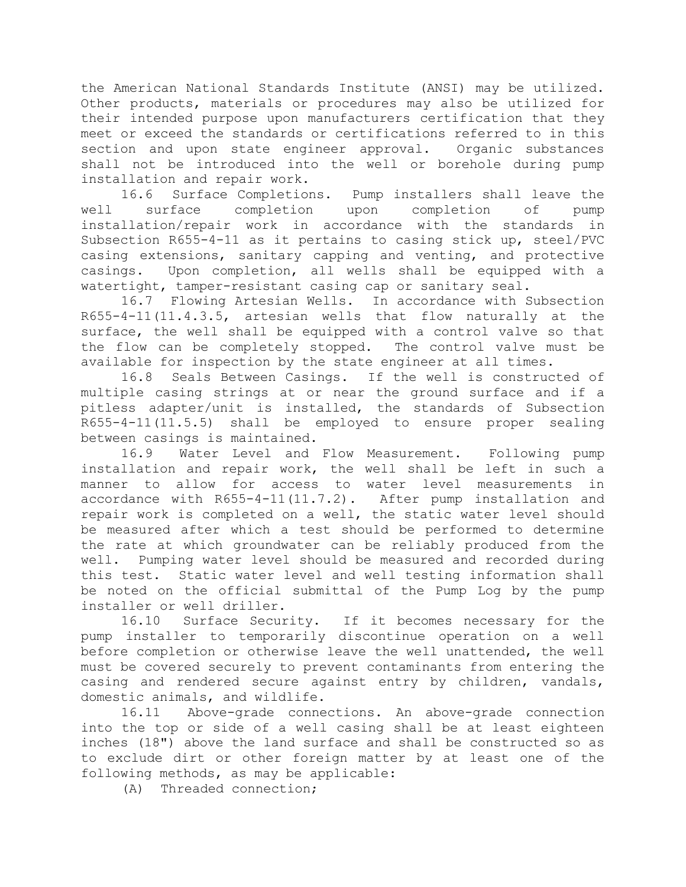the American National Standards Institute (ANSI) may be utilized. Other products, materials or procedures may also be utilized for their intended purpose upon manufacturers certification that they meet or exceed the standards or certifications referred to in this section and upon state engineer approval. Organic substances shall not be introduced into the well or borehole during pump installation and repair work.

16.6 Surface Completions. Pump installers shall leave the well surface completion upon completion of pump installation/repair work in accordance with the standards in Subsection R655-4-11 as it pertains to casing stick up, steel/PVC casing extensions, sanitary capping and venting, and protective casings. Upon completion, all wells shall be equipped with a watertight, tamper-resistant casing cap or sanitary seal.

16.7 Flowing Artesian Wells. In accordance with Subsection R655-4-11(11.4.3.5, artesian wells that flow naturally at the surface, the well shall be equipped with a control valve so that the flow can be completely stopped. The control valve must be available for inspection by the state engineer at all times.

16.8 Seals Between Casings. If the well is constructed of multiple casing strings at or near the ground surface and if a pitless adapter/unit is installed, the standards of Subsection R655-4-11(11.5.5) shall be employed to ensure proper sealing between casings is maintained.

16.9 Water Level and Flow Measurement. Following pump installation and repair work, the well shall be left in such a manner to allow for access to water level measurements in accordance with R655-4-11(11.7.2). After pump installation and repair work is completed on a well, the static water level should be measured after which a test should be performed to determine the rate at which groundwater can be reliably produced from the well. Pumping water level should be measured and recorded during this test. Static water level and well testing information shall be noted on the official submittal of the Pump Log by the pump installer or well driller.

16.10 Surface Security. If it becomes necessary for the pump installer to temporarily discontinue operation on a well before completion or otherwise leave the well unattended, the well must be covered securely to prevent contaminants from entering the casing and rendered secure against entry by children, vandals, domestic animals, and wildlife.

16.11 Above-grade connections. An above-grade connection into the top or side of a well casing shall be at least eighteen inches (18") above the land surface and shall be constructed so as to exclude dirt or other foreign matter by at least one of the following methods, as may be applicable:

(A) Threaded connection;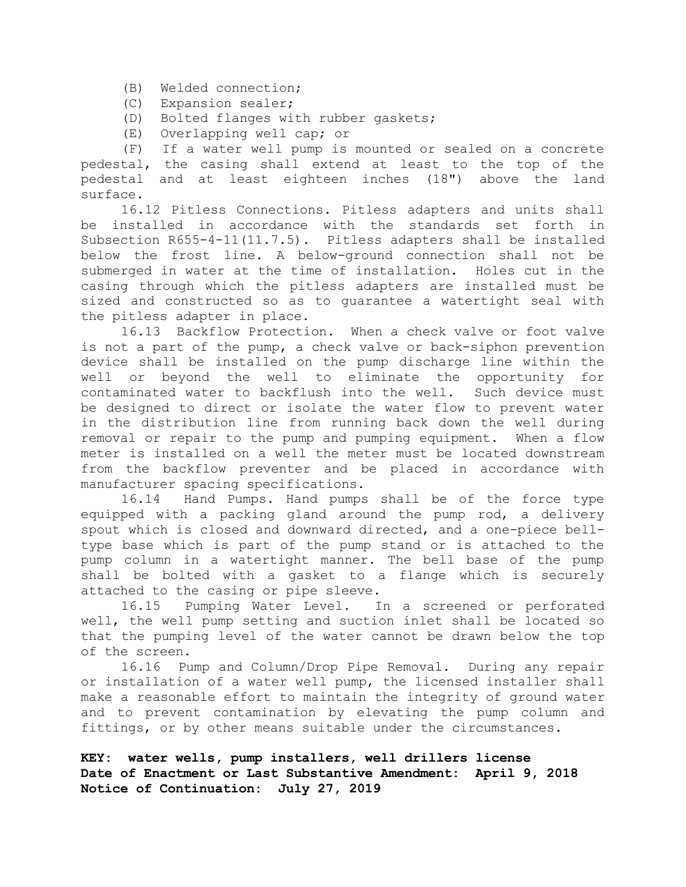- (B) Welded connection;
- (C) Expansion sealer;
- (D) Bolted flanges with rubber gaskets;
- (E) Overlapping well cap; or

(F) If a water well pump is mounted or sealed on a concrete pedestal, the casing shall extend at least to the top of the pedestal and at least eighteen inches (18") above the land surface.

16.12 Pitless Connections. Pitless adapters and units shall be installed in accordance with the standards set forth in Subsection R655-4-11(11.7.5). Pitless adapters shall be installed below the frost line. A below-ground connection shall not be submerged in water at the time of installation. Holes cut in the casing through which the pitless adapters are installed must be sized and constructed so as to guarantee a watertight seal with the pitless adapter in place.

16.13 Backflow Protection. When a check valve or foot valve is not a part of the pump, a check valve or back-siphon prevention device shall be installed on the pump discharge line within the well or beyond the well to eliminate the opportunity for contaminated water to backflush into the well. Such device must be designed to direct or isolate the water flow to prevent water in the distribution line from running back down the well during removal or repair to the pump and pumping equipment. When a flow meter is installed on a well the meter must be located downstream from the backflow preventer and be placed in accordance with manufacturer spacing specifications.

16.14 Hand Pumps. Hand pumps shall be of the force type equipped with a packing gland around the pump rod, a delivery spout which is closed and downward directed, and a one-piece belltype base which is part of the pump stand or is attached to the pump column in a watertight manner. The bell base of the pump shall be bolted with a gasket to a flange which is securely attached to the casing or pipe sleeve.

16.15 Pumping Water Level. In a screened or perforated well, the well pump setting and suction inlet shall be located so that the pumping level of the water cannot be drawn below the top of the screen.

16.16 Pump and Column/Drop Pipe Removal. During any repair or installation of a water well pump, the licensed installer shall make a reasonable effort to maintain the integrity of ground water and to prevent contamination by elevating the pump column and fittings, or by other means suitable under the circumstances.

**KEY: water wells, pump installers, well drillers license Date of Enactment or Last Substantive Amendment: April 9, 2018 Notice of Continuation: July 27, 2019**